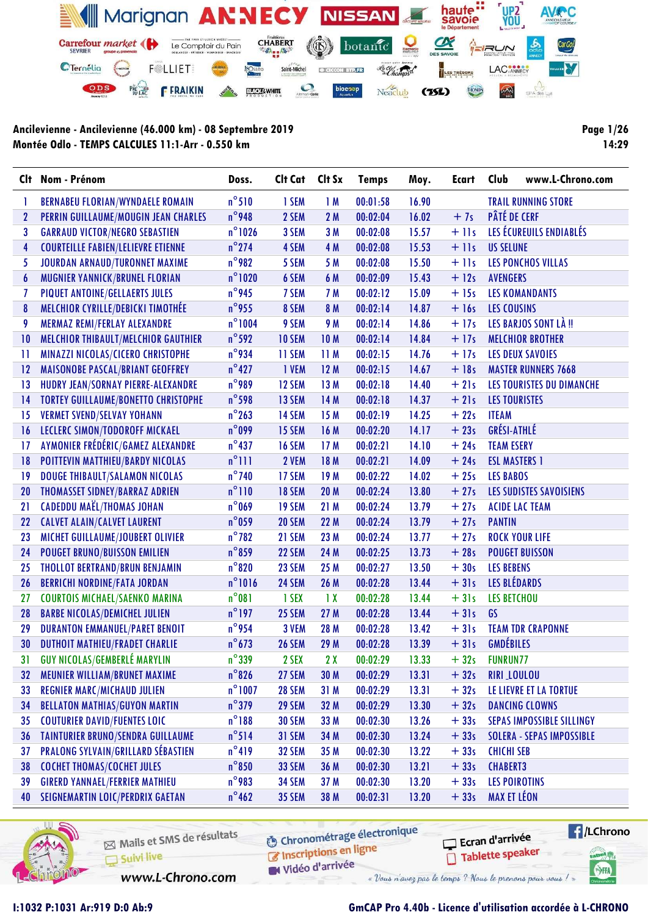

Page 1/26 14:29

|                  | Clt Nom - Prénom                           | Doss.            | Clt Cat       | Clt Sx                  | <b>Temps</b> | Moy.  | <b>Ecart</b> | Club<br>www.L-Chrono.com         |
|------------------|--------------------------------------------|------------------|---------------|-------------------------|--------------|-------|--------------|----------------------------------|
|                  | <b>BERNABEU FLORIAN/WYNDAELE ROMAIN</b>    | $n^{\circ}510$   | 1 SEM         | 1M                      | 00:01:58     | 16.90 |              | <b>TRAIL RUNNING STORE</b>       |
| $\boldsymbol{2}$ | PERRIN GUILLAUME/MOUGIN JEAN CHARLES       | $n^{\circ}$ 948  | 2 SEM         | 2M                      | 00:02:04     | 16.02 | $+7s$        | <b>PÂTÉ DE CERF</b>              |
| 3                | <b>GARRAUD VICTOR/NEGRO SEBASTIEN</b>      | $n^{\circ}$ 1026 | 3 SEM         | 3 M                     | 00:02:08     | 15.57 | $+$ 11s      | LES ÉCUREUILS ENDIABLÉS          |
| 4                | <b>COURTEILLE FABIEN/LELIEVRE ETIENNE</b>  | $n^{\circ}$ 274  | 4 SEM         | 4 M                     | 00:02:08     | 15.53 | $+$ 11s      | <b>US SELUNE</b>                 |
| 5                | JOURDAN ARNAUD/TURONNET MAXIME             | $n^{\circ}$ 982  | 5 SEM         | 5 M                     | 00:02:08     | 15.50 | $+$ 11s      | LES PONCHOS VILLAS               |
| $\boldsymbol{6}$ | MUGNIER YANNICK/BRUNEL FLORIAN             | $n^{\circ}$ 1020 | 6 SEM         | 6 M                     | 00:02:09     | 15.43 | $+12s$       | <b>AVENGERS</b>                  |
|                  | PIQUET ANTOINE/GELLAERTS JULES             | $n^{\circ}$ 945  | 7 SEM         | 7 M                     | 00:02:12     | 15.09 | $+15s$       | <b>LES KOMANDANTS</b>            |
| 8                | MELCHIOR CYRILLE/DEBICKI TIMOTHÉE          | $n^{\circ}$ 955  | 8 SEM         | 8 M                     | 00:02:14     | 14.87 | $+16s$       | <b>LES COUSINS</b>               |
| 9                | MERMAZ REMI/FERLAY ALEXANDRE               | $n^{\circ}1004$  | 9 SEM         | 9 M                     | 00:02:14     | 14.86 | $+17s$       | LES BARJOS SONT LÀ !!            |
| 10               | MELCHIOR THIBAULT/MELCHIOR GAUTHIER        | $n^{\circ}$ 592  | <b>10 SEM</b> | 10 M                    | 00:02:14     | 14.84 | $+17s$       | <b>MELCHIOR BROTHER</b>          |
| П                | MINAZZI NICOLAS/CICERO CHRISTOPHE          | n°934            | 11 SEM        | 11M                     | 00:02:15     | 14.76 | $+17s$       | <b>LES DEUX SAVOIES</b>          |
| 12               | MAISONOBE PASCAL/BRIANT GEOFFREY           | $n^{\circ}427$   | 1 VEM         | 12M                     | 00:02:15     | 14.67 | $+18s$       | <b>MASTER RUNNERS 7668</b>       |
| 13               | HUDRY JEAN/SORNAY PIERRE-ALEXANDRE         | $n^{\circ}$ 989  | 12 SEM        | 13 M                    | 00:02:18     | 14.40 | $+21s$       | LES TOURISTES DU DIMANCHE        |
| 14               | <b>TORTEY GUILLAUME/BONETTO CHRISTOPHE</b> | $n^{\circ}$ 598  | 13 SEM        | 14 M                    | 00:02:18     | 14.37 | $+21s$       | <b>LES TOURISTES</b>             |
| 15               | <b>VERMET SVEND/SELVAY YOHANN</b>          | $n^{\circ}$ 263  | 14 SEM        | 15 M                    | 00:02:19     | 14.25 | $+22s$       | <b>ITEAM</b>                     |
| 16               | LECLERC SIMON/TODOROFF MICKAEL             | $n^{\circ}$ 099  | 15 SEM        | 16M                     | 00:02:20     | 14.17 | $+23s$       | <b>GRÉSI-ATHLÉ</b>               |
| 17               | AYMONIER FRÉDÉRIC/GAMEZ ALEXANDRE          | $n^{\circ}437$   | <b>16 SEM</b> | 17 M                    | 00:02:21     | 14.10 | $+24s$       | <b>TEAM ESERY</b>                |
| 18               | POITTEVIN MATTHIEU/BARDY NICOLAS           | $n^{\circ}$ ]]]  | 2 VEM         | 18 M                    | 00:02:21     | 14.09 | $+24s$       | <b>ESL MASTERS 1</b>             |
| 19               | DOUGE THIBAULT/SALAMON NICOLAS             | $n^{\circ}$ 740  | 17 SEM        | 19 M                    | 00:02:22     | 14.02 | $+25s$       | <b>LES BABOS</b>                 |
| 20               | <b>THOMASSET SIDNEY/BARRAZ ADRIEN</b>      | $n^{\circ}$ 110  | <b>18 SEM</b> | 20 M                    | 00:02:24     | 13.80 | $+27s$       | LES SUDISTES SAVOISIENS          |
| 21               | <b>CADEDDU MAËL/THOMAS JOHAN</b>           | $n^{\circ}$ 069  | 19 SEM        | 21 M                    | 00:02:24     | 13.79 | $+27s$       | <b>ACIDE LAC TEAM</b>            |
| 22               | <b>CALVET ALAIN/CALVET LAURENT</b>         | $n^{\circ}$ 059  | 20 SEM        | 22 M                    | 00:02:24     | 13.79 | $+27s$       | <b>PANTIN</b>                    |
| 23               | MICHET GUILLAUME/JOUBERT OLIVIER           | $n^{\circ}$ 782  | 21 SEM        | 23 M                    | 00:02:24     | 13.77 | $+27s$       | <b>ROCK YOUR LIFE</b>            |
| 24               | <b>POUGET BRUNO/BUISSON EMILIEN</b>        | $n^{\circ}$ 859  | 22 SEM        | 24 M                    | 00:02:25     | 13.73 | $+28s$       | <b>POUGET BUISSON</b>            |
| 25               | THOLLOT BERTRAND/BRUN BENJAMIN             | $n^{\circ}820$   | 23 SEM        | 25 M                    | 00:02:27     | 13.50 | $+30s$       | <b>LES BEBENS</b>                |
| 26               | <b>BERRICHI NORDINE/FATA JORDAN</b>        | $n^{\circ}1016$  | 24 SEM        | 26 M                    | 00:02:28     | 13.44 | $+31s$       | LES BLÉDARDS                     |
| 27               | <b>COURTOIS MICHAEL/SAENKO MARINA</b>      | $n^{\circ}081$   | 1 SEX         | $\mathbf{1} \mathbf{X}$ | 00:02:28     | 13.44 | $+31s$       | <b>LES BETCHOU</b>               |
| 28               | <b>BARBE NICOLAS/DEMICHEL JULIEN</b>       | $n^{\circ}$ 197  | 25 SEM        | 27 M                    | 00:02:28     | 13.44 | $+31s$       | GS                               |
| 29               | <b>DURANTON EMMANUEL/PARET BENOIT</b>      | $n^{\circ}$ 954  | 3 VEM         | 28 M                    | 00:02:28     | 13.42 | $+31s$       | <b>TEAM TDR CRAPONNE</b>         |
| 30               | <b>DUTHOIT MATHIEU/FRADET CHARLIE</b>      | $n^{\circ}$ 673  | <b>26 SEM</b> | 29 M                    | 00:02:28     | 13.39 | $+31s$       | <b>GMDÉBILES</b>                 |
| 31               | <b>GUY NICOLAS/GEMBERLÉ MARYLIN</b>        | $n^{\circ}$ 339  | 2 SEX         | 2X                      | 00:02:29     | 13.33 | $+32s$       | <b>FUNRUN77</b>                  |
| 32               | MEUNIER WILLIAM/BRUNET MAXIME              | $n^{\circ}$ 826  | 27 SEM        | 30 M                    | 00:02:29     | 13.31 | $+32s$       | RIRI LOULOU                      |
| 33               | <b>REGNIER MARC/MICHAUD JULIEN</b>         | $n^{\circ}$ 1007 | <b>28 SEM</b> | 31M                     | 00:02:29     | 13.31 | $+32s$       | LE LIEVRE ET LA TORTUE           |
| 34               | <b>BELLATON MATHIAS/GUYON MARTIN</b>       | $n^{\circ}$ 379  | 29 SEM        | 32 M                    | 00:02:29     | 13.30 | $+32s$       | <b>DANCING CLOWNS</b>            |
| 35               | <b>COUTURIER DAVID/FUENTES LOIC</b>        | $n^{\circ}188$   | <b>30 SEM</b> | 33 M                    | 00:02:30     | 13.26 | $+33s$       | <b>SEPAS IMPOSSIBLE SILLINGY</b> |
| 36               | <b>TAINTURIER BRUNO/SENDRA GUILLAUME</b>   | $n^{\circ}$ 514  | <b>31 SEM</b> | 34 M                    | 00:02:30     | 13.24 | $+33s$       | <b>SOLERA - SEPAS IMPOSSIBLE</b> |
| 37               | <b>PRALONG SYLVAIN/GRILLARD SÉBASTIEN</b>  | $n^{\circ}419$   | <b>32 SEM</b> | 35 M                    | 00:02:30     | 13.22 | $+33s$       | <b>CHICHI SEB</b>                |
| 38               | <b>COCHET THOMAS/COCHET JULES</b>          | $n^{\circ}850$   | <b>33 SEM</b> | 36 M                    | 00:02:30     | 13.21 | $+33s$       | <b>CHABERT3</b>                  |
| 39               | <b>GIRERD YANNAEL/FERRIER MATHIEU</b>      | $n^{\circ}$ 983  | <b>34 SEM</b> | 37 M                    | 00:02:30     | 13.20 | $+33s$       | <b>LES POIROTINS</b>             |
| 40               | SEIGNEMARTIN LOIC/PERDRIX GAETAN           | $n^{\circ}$ 462  | <b>35 SEM</b> | 38 M                    | 00:02:31     | 13.20 | $+33s$       | <b>MAX ET LÉON</b>               |



Mails et SMS de résultats Suivi live

**6** Chronométrage électronique

 $\sqrt{\frac{1}{2}}$ /LChrono Ecran d'arrivée Tablette speaker tabel<sub>()</sub>

SHA

C Inscriptions en ligne

www.L-Chrono.com

W Vidéo d'arrivée « Vous n'avez pas le temps ? Nous le prenons pour vous !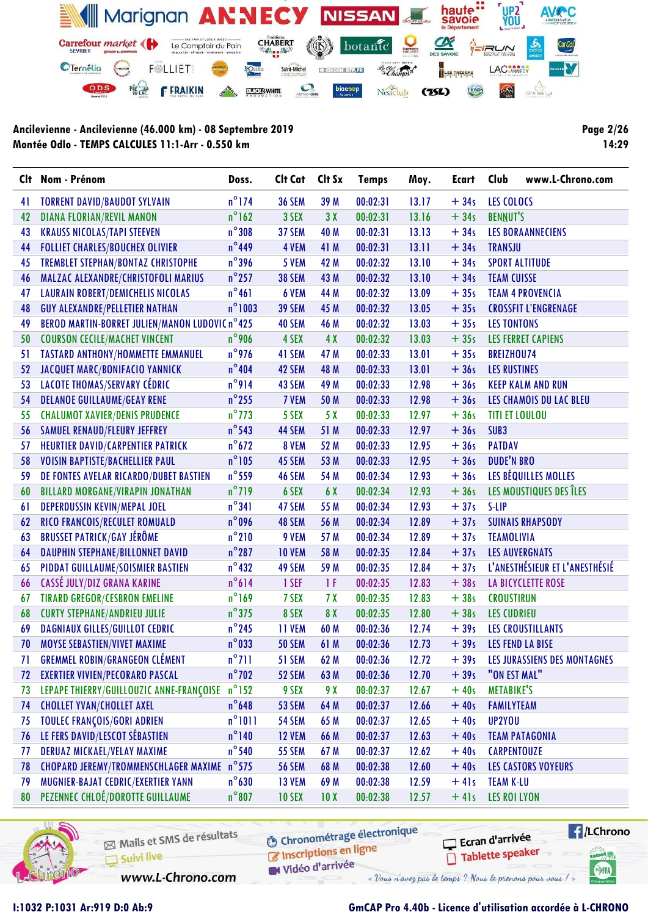

Page 2/26 14:29

| $n^{\circ}$ 174<br>39 M<br>13.17<br>$+34s$<br><b>TORRENT DAVID/BAUDOT SYLVAIN</b><br><b>36 SEM</b><br>00:02:31<br><b>LES COLOCS</b><br>41<br>$n^{\circ}$ 162<br><b>DIANA FLORIAN/REVIL MANON</b><br>3 SEX<br>3X<br>00:02:31<br>$+34s$<br><b>BENNUT'S</b><br>42<br>13.16<br>$n^{\circ}$ 308<br>43<br><b>KRAUSS NICOLAS/TAPI STEEVEN</b><br>37 SEM<br>40 M<br>00:02:31<br>13.13<br>$+34s$<br><b>LES BORAANNECIENS</b><br>$n^{\circ}$ 449<br>41 M<br>$+34s$<br>44<br><b>FOLLIET CHARLES/BOUCHEX OLIVIER</b><br>4 VEM<br>00:02:31<br>13.11<br><b>TRANSJU</b><br>$n^{\circ}$ 396<br><b>TREMBLET STEPHAN/BONTAZ CHRISTOPHE</b><br>$+34s$<br>5 VEM<br>42 M<br>00:02:32<br>13.10<br><b>SPORT ALTITUDE</b><br>45<br>$n^{\circ}$ 257<br>MALZAC ALEXANDRE/CHRISTOFOLI MARIUS<br><b>38 SEM</b><br>43 M<br>00:02:32<br>13.10<br>$+34s$<br>46<br><b>TEAM CUISSE</b><br>$n^{\circ}461$<br><b>LAURAIN ROBERT/DEMICHELIS NICOLAS</b><br>44 M<br>13.09<br>$+35s$<br>6 VEM<br>00:02:32<br><b>TEAM 4 PROVENCIA</b><br>47<br>$n^{\circ}$ 1003<br><b>GUY ALEXANDRE/PELLETIER NATHAN</b><br><b>39 SEM</b><br>00:02:32<br>13.05<br>$+35s$<br>48<br>45 M<br><b>CROSSFIT L'ENGRENAGE</b><br>BEROD MARTIN-BORRET JULIEN/MANON LUDOVIC n°425<br>49<br>40 SEM<br>46 M<br>00:02:32<br>13.03<br>$+35s$<br><b>LES TONTONS</b> | www.L-Chrono.com |
|-----------------------------------------------------------------------------------------------------------------------------------------------------------------------------------------------------------------------------------------------------------------------------------------------------------------------------------------------------------------------------------------------------------------------------------------------------------------------------------------------------------------------------------------------------------------------------------------------------------------------------------------------------------------------------------------------------------------------------------------------------------------------------------------------------------------------------------------------------------------------------------------------------------------------------------------------------------------------------------------------------------------------------------------------------------------------------------------------------------------------------------------------------------------------------------------------------------------------------------------------------------------------------------------------|------------------|
|                                                                                                                                                                                                                                                                                                                                                                                                                                                                                                                                                                                                                                                                                                                                                                                                                                                                                                                                                                                                                                                                                                                                                                                                                                                                                               |                  |
|                                                                                                                                                                                                                                                                                                                                                                                                                                                                                                                                                                                                                                                                                                                                                                                                                                                                                                                                                                                                                                                                                                                                                                                                                                                                                               |                  |
|                                                                                                                                                                                                                                                                                                                                                                                                                                                                                                                                                                                                                                                                                                                                                                                                                                                                                                                                                                                                                                                                                                                                                                                                                                                                                               |                  |
|                                                                                                                                                                                                                                                                                                                                                                                                                                                                                                                                                                                                                                                                                                                                                                                                                                                                                                                                                                                                                                                                                                                                                                                                                                                                                               |                  |
|                                                                                                                                                                                                                                                                                                                                                                                                                                                                                                                                                                                                                                                                                                                                                                                                                                                                                                                                                                                                                                                                                                                                                                                                                                                                                               |                  |
|                                                                                                                                                                                                                                                                                                                                                                                                                                                                                                                                                                                                                                                                                                                                                                                                                                                                                                                                                                                                                                                                                                                                                                                                                                                                                               |                  |
|                                                                                                                                                                                                                                                                                                                                                                                                                                                                                                                                                                                                                                                                                                                                                                                                                                                                                                                                                                                                                                                                                                                                                                                                                                                                                               |                  |
|                                                                                                                                                                                                                                                                                                                                                                                                                                                                                                                                                                                                                                                                                                                                                                                                                                                                                                                                                                                                                                                                                                                                                                                                                                                                                               |                  |
|                                                                                                                                                                                                                                                                                                                                                                                                                                                                                                                                                                                                                                                                                                                                                                                                                                                                                                                                                                                                                                                                                                                                                                                                                                                                                               |                  |
| $n^{\circ}$ 906<br><b>COURSON CECILE/MACHET VINCENT</b><br>4X<br>4 SEX<br>00:02:32<br>13.03<br>$+35s$<br><b>LES FERRET CAPIENS</b><br>50                                                                                                                                                                                                                                                                                                                                                                                                                                                                                                                                                                                                                                                                                                                                                                                                                                                                                                                                                                                                                                                                                                                                                      |                  |
| $n^{\circ}$ 976<br><b>TASTARD ANTHONY/HOMMETTE EMMANUEL</b><br>41 SEM<br>13.01<br>$+35s$<br>51<br>47 M<br>00:02:33<br><b>BREIZHOU74</b>                                                                                                                                                                                                                                                                                                                                                                                                                                                                                                                                                                                                                                                                                                                                                                                                                                                                                                                                                                                                                                                                                                                                                       |                  |
| $n^{\circ}$ 404<br>JACQUET MARC/BONIFACIO YANNICK<br>52<br>42 SEM<br>48 M<br>13.01<br>$+36s$<br>00:02:33<br><b>LES RUSTINES</b>                                                                                                                                                                                                                                                                                                                                                                                                                                                                                                                                                                                                                                                                                                                                                                                                                                                                                                                                                                                                                                                                                                                                                               |                  |
| n°914<br>LACOTE THOMAS/SERVARY CÉDRIC<br>43 SEM<br>49 M<br>00:02:33<br>12.98<br>$+36s$<br>53<br><b>KEEP KALM AND RUN</b>                                                                                                                                                                                                                                                                                                                                                                                                                                                                                                                                                                                                                                                                                                                                                                                                                                                                                                                                                                                                                                                                                                                                                                      |                  |
| $n^{\circ}$ 255<br><b>DELANOE GUILLAUME/GEAY RENE</b><br>7 VEM<br>00:02:33<br>12.98<br>$+36s$<br>54<br>50 M<br>LES CHAMOIS DU LAC BLEU                                                                                                                                                                                                                                                                                                                                                                                                                                                                                                                                                                                                                                                                                                                                                                                                                                                                                                                                                                                                                                                                                                                                                        |                  |
| $n^{\circ}$ 773<br>5 X<br><b>CHALUMOT XAVIER/DENIS PRUDENCE</b><br>5 SEX<br>00:02:33<br>12.97<br>$+36s$<br>55<br><b>TITI ET LOULOU</b>                                                                                                                                                                                                                                                                                                                                                                                                                                                                                                                                                                                                                                                                                                                                                                                                                                                                                                                                                                                                                                                                                                                                                        |                  |
| $n^{\circ}$ 543<br><b>SAMUEL RENAUD/FLEURY JEFFREY</b><br>44 SEM<br>51 M<br>00:02:33<br>12.97<br>$+36s$<br>SUB <sub>3</sub><br>56                                                                                                                                                                                                                                                                                                                                                                                                                                                                                                                                                                                                                                                                                                                                                                                                                                                                                                                                                                                                                                                                                                                                                             |                  |
| $n^{\circ}672$<br><b>HEURTIER DAVID/CARPENTIER PATRICK</b><br>8 VEM<br>12.95<br>$+36s$<br>52 M<br>00:02:33<br><b>PATDAV</b><br>57                                                                                                                                                                                                                                                                                                                                                                                                                                                                                                                                                                                                                                                                                                                                                                                                                                                                                                                                                                                                                                                                                                                                                             |                  |
| $n^{\circ}105$<br>$+36s$<br><b>DUDE'N BRO</b><br><b>VOISIN BAPTISTE/BACHELLIER PAUL</b><br>53 M<br>12.95<br>58<br>45 SEM<br>00:02:33                                                                                                                                                                                                                                                                                                                                                                                                                                                                                                                                                                                                                                                                                                                                                                                                                                                                                                                                                                                                                                                                                                                                                          |                  |
| $n^{\circ}$ 559<br>LES BÉQUILLES MOLLES<br>DE FONTES AVELAR RICARDO/DUBET BASTIEN<br>46 SEM<br>54 M<br>00:02:34<br>12.93<br>$+36s$<br>59                                                                                                                                                                                                                                                                                                                                                                                                                                                                                                                                                                                                                                                                                                                                                                                                                                                                                                                                                                                                                                                                                                                                                      |                  |
| $n^{\circ}$ 719<br>LES MOUSTIQUES DES ÎLES<br><b>BILLARD MORGANE/VIRAPIN JONATHAN</b><br>6 SEX<br>6 X<br>00:02:34<br>12.93<br>$+36s$<br>60                                                                                                                                                                                                                                                                                                                                                                                                                                                                                                                                                                                                                                                                                                                                                                                                                                                                                                                                                                                                                                                                                                                                                    |                  |
| $n^{\circ}341$<br>DEPERDUSSIN KEVIN/MEPAL JOEL<br>55 M<br>00:02:34<br>12.93<br>$+37s$<br>47 SEM<br>S-LIP<br>61                                                                                                                                                                                                                                                                                                                                                                                                                                                                                                                                                                                                                                                                                                                                                                                                                                                                                                                                                                                                                                                                                                                                                                                |                  |
| $n^{\circ}$ 096<br>RICO FRANCOIS/RECULET ROMUALD<br>48 SEM<br>12.89<br>62<br>56 M<br>00:02:34<br>$+37s$<br><b>SUINAIS RHAPSODY</b>                                                                                                                                                                                                                                                                                                                                                                                                                                                                                                                                                                                                                                                                                                                                                                                                                                                                                                                                                                                                                                                                                                                                                            |                  |
| $n^{\circ}210$<br><b>BRUSSET PATRICK/GAY JÉRÔME</b><br>63<br>9 VEM<br>12.89<br>$+37s$<br><b>TEAMOLIVIA</b><br>57 M<br>00:02:34                                                                                                                                                                                                                                                                                                                                                                                                                                                                                                                                                                                                                                                                                                                                                                                                                                                                                                                                                                                                                                                                                                                                                                |                  |
| $n^{\circ}287$<br>12.84<br><b>DAUPHIN STEPHANE/BILLONNET DAVID</b><br><b>10 VEM</b><br>58 M<br>00:02:35<br>$+37s$<br><b>LES AUVERGNATS</b><br>64                                                                                                                                                                                                                                                                                                                                                                                                                                                                                                                                                                                                                                                                                                                                                                                                                                                                                                                                                                                                                                                                                                                                              |                  |
| $n^{\circ}$ 432<br>L'ANESTHÉSIEUR ET L'ANESTHÉSIÉ<br>PIDDAT GUILLAUME/SOISMIER BASTIEN<br>49 SEM<br>59 M<br>12.84<br>$+37s$<br>65<br>00:02:35                                                                                                                                                                                                                                                                                                                                                                                                                                                                                                                                                                                                                                                                                                                                                                                                                                                                                                                                                                                                                                                                                                                                                 |                  |
| $n^{\circ}614$<br>CASSÉ JULY/DIZ GRANA KARINE<br>1 SEF<br>1F<br>00:02:35<br>12.83<br>$+38s$<br><b>LA BICYCLETTE ROSE</b><br>66                                                                                                                                                                                                                                                                                                                                                                                                                                                                                                                                                                                                                                                                                                                                                                                                                                                                                                                                                                                                                                                                                                                                                                |                  |
| $n^{\circ}$ 169<br><b>TIRARD GREGOR/CESBRON EMELINE</b><br>7 SEX<br>7X<br>12.83<br>$+38s$<br>00:02:35<br><b>CROUSTIRUN</b><br>67                                                                                                                                                                                                                                                                                                                                                                                                                                                                                                                                                                                                                                                                                                                                                                                                                                                                                                                                                                                                                                                                                                                                                              |                  |
| $n^{\circ}$ 375<br><b>CURTY STEPHANE/ANDRIEU JULIE</b><br>8 SEX<br>8X<br>12.80<br>$+38s$<br>68<br>00:02:35<br><b>LES CUDRIEU</b>                                                                                                                                                                                                                                                                                                                                                                                                                                                                                                                                                                                                                                                                                                                                                                                                                                                                                                                                                                                                                                                                                                                                                              |                  |
| $n^{\circ}$ 245<br><b>DAGNIAUX GILLES/GUILLOT CEDRIC</b><br><b>11 VEM</b><br>12.74<br>$+39s$<br>69<br>60 M<br>00:02:36<br><b>LES CROUSTILLANTS</b>                                                                                                                                                                                                                                                                                                                                                                                                                                                                                                                                                                                                                                                                                                                                                                                                                                                                                                                                                                                                                                                                                                                                            |                  |
| $n^{\circ}$ 033<br>MOYSE SEBASTIEN/VIVET MAXIME<br><b>50 SEM</b><br>61 M<br>00:02:36<br>12.73<br>$+39s$<br>LES FEND LA BISE<br>70                                                                                                                                                                                                                                                                                                                                                                                                                                                                                                                                                                                                                                                                                                                                                                                                                                                                                                                                                                                                                                                                                                                                                             |                  |
| <b>GREMMEL ROBIN/GRANGEON CLÉMENT</b><br>$n^{\circ}$ 711<br>12.72<br>51 SEM<br>00:02:36<br>LES JURASSIENS DES MONTAGNES<br>62 M<br>$+39s$<br>71                                                                                                                                                                                                                                                                                                                                                                                                                                                                                                                                                                                                                                                                                                                                                                                                                                                                                                                                                                                                                                                                                                                                               |                  |
| $n^{\circ}$ 702<br>"ON EST MAL"<br><b>EXERTIER VIVIEN/PECORARO PASCAL</b><br>63 M<br>52 SEM<br>00:02:36<br>12.70<br>$+39s$<br>72                                                                                                                                                                                                                                                                                                                                                                                                                                                                                                                                                                                                                                                                                                                                                                                                                                                                                                                                                                                                                                                                                                                                                              |                  |
| $n^{\circ}$ 152<br>LEPAPE THIERRY/GUILLOUZIC ANNE-FRANÇOISE<br>9 SEX<br>9 X<br>00:02:37<br>12.67<br>$+40s$<br><b>METABIKE'S</b><br>73                                                                                                                                                                                                                                                                                                                                                                                                                                                                                                                                                                                                                                                                                                                                                                                                                                                                                                                                                                                                                                                                                                                                                         |                  |
| $n^{\circ}$ 648<br><b>CHOLLET YVAN/CHOLLET AXEL</b><br>$+40s$<br><b>53 SEM</b><br>64 M<br>00:02:37<br>12.66<br><b>FAMILYTEAM</b><br>74                                                                                                                                                                                                                                                                                                                                                                                                                                                                                                                                                                                                                                                                                                                                                                                                                                                                                                                                                                                                                                                                                                                                                        |                  |
| $n^{\circ}1011$<br><b>TOULEC FRANÇOIS/GORI ADRIEN</b><br><b>54 SEM</b><br>65 M<br>UP2YOU<br>75<br>00:02:37<br>12.65<br>$+40s$                                                                                                                                                                                                                                                                                                                                                                                                                                                                                                                                                                                                                                                                                                                                                                                                                                                                                                                                                                                                                                                                                                                                                                 |                  |
| LE FERS DAVID/LESCOT SÉBASTIEN<br>$n^{\circ}$ 140<br><b>12 VEM</b><br>66 M<br>00:02:37<br>12.63<br>$+40s$<br><b>TEAM PATAGONIA</b><br>76                                                                                                                                                                                                                                                                                                                                                                                                                                                                                                                                                                                                                                                                                                                                                                                                                                                                                                                                                                                                                                                                                                                                                      |                  |
| $n^{\circ}$ 540<br><b>DERUAZ MICKAEL/VELAY MAXIME</b><br><b>55 SEM</b><br>67 M<br>$+40s$<br><b>CARPENTOUZE</b><br>00:02:37<br>12.62<br>77                                                                                                                                                                                                                                                                                                                                                                                                                                                                                                                                                                                                                                                                                                                                                                                                                                                                                                                                                                                                                                                                                                                                                     |                  |
| CHOPARD JEREMY/TROMMENSCHLAGER MAXIME n°575<br><b>56 SEM</b><br><b>LES CASTORS VOYEURS</b><br>68 M<br>00:02:38<br>12.60<br>$+40s$<br>78                                                                                                                                                                                                                                                                                                                                                                                                                                                                                                                                                                                                                                                                                                                                                                                                                                                                                                                                                                                                                                                                                                                                                       |                  |
| MUGNIER-BAJAT CEDRIC/EXERTIER YANN<br>$n^{\circ}$ 630<br>13 VEM<br>69 M<br>00:02:38<br>$+41s$<br><b>TEAM K-LU</b><br>79<br>12.59                                                                                                                                                                                                                                                                                                                                                                                                                                                                                                                                                                                                                                                                                                                                                                                                                                                                                                                                                                                                                                                                                                                                                              |                  |
| PEZENNEC CHLOÉ/DOROTTE GUILLAUME<br>$n^{\circ}807$<br><b>10 SEX</b><br>$+41s$<br><b>LES ROI LYON</b><br>80<br>10X<br>00:02:38<br>12.57                                                                                                                                                                                                                                                                                                                                                                                                                                                                                                                                                                                                                                                                                                                                                                                                                                                                                                                                                                                                                                                                                                                                                        |                  |



Mails et SMS de résultats Suivi live

**6** Chronométrage électronique C Inscriptions en ligne

Ecran d'arrivée Tablette speaker

 $\sqrt{1}$ /LChrono tabel<sub>()</sub>

SHA

www.L-Chrono.com

W Vidéo d'arrivée « Vous n'avez pas le temps ? Nous le prenons pour vous !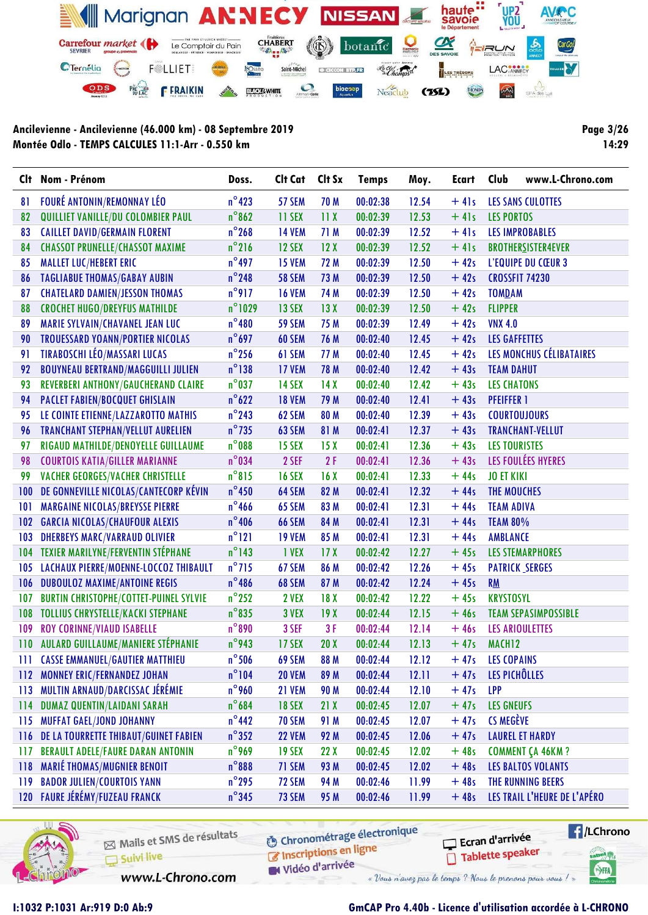

Page 3/26 14:29

| $n^{\circ}$ 423<br><b>FOURÉ ANTONIN/REMONNAY LÉO</b><br>12.54<br>57 SEM<br>70 M<br>00:02:38<br>$+41s$<br>81<br>LES SANS CULOTTES<br>$n^{\circ}862$<br>QUILLIET VANILLE/DU COLOMBIER PAUL<br>11 SEX<br>11X<br>00:02:39<br>12.53<br>$+41s$<br><b>LES PORTOS</b><br>82<br>$n^{\circ}$ 268<br><b>CAILLET DAVID/GERMAIN FLORENT</b><br><b>14 VEM</b><br>71 M<br>00:02:39<br>12.52<br>$+41s$<br>83<br><b>LES IMPROBABLES</b><br>$n^{\circ}$ 216<br><b>CHASSOT PRUNELLE/CHASSOT MAXIME</b><br>12X<br>$+41s$<br>84<br>12 SEX<br>00:02:39<br>12.52<br><b>BROTHERSISTER4EVER</b><br>$n^{\circ}$ 497<br><b>MALLET LUC/HEBERT ERIC</b><br>$+42s$<br>85<br><b>15 VEM</b><br>72 M<br>00:02:39<br>12.50<br>L'EQUIPE DU CŒUR 3<br>$n^{\circ}$ 248<br><b>TAGLIABUE THOMAS/GABAY AUBIN</b><br><b>58 SEM</b><br>12.50<br>$+42s$<br>86<br>73 M<br>00:02:39<br>CROSSFIT 74230<br>$n^{\circ}$ 917<br><b>CHATELARD DAMIEN/JESSON THOMAS</b><br>74 M<br>$+42s$<br><b>16 VEM</b><br>00:02:39<br>12.50<br><b>TOMDAM</b><br>87<br>$n^{\circ}$ 1029<br><b>CROCHET HUGO/DREYFUS MATHILDE</b><br>13 SEX<br>12.50<br>$+42s$<br>88<br>13X<br>00:02:39<br><b>FLIPPER</b><br>$n^{\circ}480$<br>89<br>MARIE SYLVAIN/CHAVANEL JEAN LUC<br><b>59 SEM</b><br>75 M<br>12.49<br>$+42s$<br><b>VNX 4.0</b><br>00:02:39<br>$n^{\circ}$ 697<br><b>TROUESSARD YOANN/PORTIER NICOLAS</b><br>76 M<br>$+42s$<br>90<br>60 SEM<br>00:02:40<br>12.45<br><b>LES GAFFETTES</b><br><b>TIRABOSCHI LÉO/MASSARI LUCAS</b><br>$n^{\circ}$ 256<br>LES MONCHUS CÉLIBATAIRES<br>61 SEM<br>12.45<br>$+42s$<br>91<br>77 M<br>00:02:40<br>$n^{\circ}138$<br>92<br><b>BOUYNEAU BERTRAND/MAGGUILLI JULIEN</b><br><b>17 VEM</b><br>12.42<br>$+43s$<br>78 M<br>00:02:40<br><b>TEAM DAHUT</b><br>$n^{\circ}$ 037<br>REVERBERI ANTHONY/GAUCHERAND CLAIRE<br>93<br><b>14 SEX</b><br>14X<br>00:02:40<br>12.42<br>$+43s$<br><b>LES CHATONS</b> | www.L-Chrono.com |
|-----------------------------------------------------------------------------------------------------------------------------------------------------------------------------------------------------------------------------------------------------------------------------------------------------------------------------------------------------------------------------------------------------------------------------------------------------------------------------------------------------------------------------------------------------------------------------------------------------------------------------------------------------------------------------------------------------------------------------------------------------------------------------------------------------------------------------------------------------------------------------------------------------------------------------------------------------------------------------------------------------------------------------------------------------------------------------------------------------------------------------------------------------------------------------------------------------------------------------------------------------------------------------------------------------------------------------------------------------------------------------------------------------------------------------------------------------------------------------------------------------------------------------------------------------------------------------------------------------------------------------------------------------------------------------------------------------------------------------------------------------------------------------------------------------------------------------------------------------------------------|------------------|
|                                                                                                                                                                                                                                                                                                                                                                                                                                                                                                                                                                                                                                                                                                                                                                                                                                                                                                                                                                                                                                                                                                                                                                                                                                                                                                                                                                                                                                                                                                                                                                                                                                                                                                                                                                                                                                                                       |                  |
|                                                                                                                                                                                                                                                                                                                                                                                                                                                                                                                                                                                                                                                                                                                                                                                                                                                                                                                                                                                                                                                                                                                                                                                                                                                                                                                                                                                                                                                                                                                                                                                                                                                                                                                                                                                                                                                                       |                  |
|                                                                                                                                                                                                                                                                                                                                                                                                                                                                                                                                                                                                                                                                                                                                                                                                                                                                                                                                                                                                                                                                                                                                                                                                                                                                                                                                                                                                                                                                                                                                                                                                                                                                                                                                                                                                                                                                       |                  |
|                                                                                                                                                                                                                                                                                                                                                                                                                                                                                                                                                                                                                                                                                                                                                                                                                                                                                                                                                                                                                                                                                                                                                                                                                                                                                                                                                                                                                                                                                                                                                                                                                                                                                                                                                                                                                                                                       |                  |
|                                                                                                                                                                                                                                                                                                                                                                                                                                                                                                                                                                                                                                                                                                                                                                                                                                                                                                                                                                                                                                                                                                                                                                                                                                                                                                                                                                                                                                                                                                                                                                                                                                                                                                                                                                                                                                                                       |                  |
|                                                                                                                                                                                                                                                                                                                                                                                                                                                                                                                                                                                                                                                                                                                                                                                                                                                                                                                                                                                                                                                                                                                                                                                                                                                                                                                                                                                                                                                                                                                                                                                                                                                                                                                                                                                                                                                                       |                  |
|                                                                                                                                                                                                                                                                                                                                                                                                                                                                                                                                                                                                                                                                                                                                                                                                                                                                                                                                                                                                                                                                                                                                                                                                                                                                                                                                                                                                                                                                                                                                                                                                                                                                                                                                                                                                                                                                       |                  |
|                                                                                                                                                                                                                                                                                                                                                                                                                                                                                                                                                                                                                                                                                                                                                                                                                                                                                                                                                                                                                                                                                                                                                                                                                                                                                                                                                                                                                                                                                                                                                                                                                                                                                                                                                                                                                                                                       |                  |
|                                                                                                                                                                                                                                                                                                                                                                                                                                                                                                                                                                                                                                                                                                                                                                                                                                                                                                                                                                                                                                                                                                                                                                                                                                                                                                                                                                                                                                                                                                                                                                                                                                                                                                                                                                                                                                                                       |                  |
|                                                                                                                                                                                                                                                                                                                                                                                                                                                                                                                                                                                                                                                                                                                                                                                                                                                                                                                                                                                                                                                                                                                                                                                                                                                                                                                                                                                                                                                                                                                                                                                                                                                                                                                                                                                                                                                                       |                  |
|                                                                                                                                                                                                                                                                                                                                                                                                                                                                                                                                                                                                                                                                                                                                                                                                                                                                                                                                                                                                                                                                                                                                                                                                                                                                                                                                                                                                                                                                                                                                                                                                                                                                                                                                                                                                                                                                       |                  |
|                                                                                                                                                                                                                                                                                                                                                                                                                                                                                                                                                                                                                                                                                                                                                                                                                                                                                                                                                                                                                                                                                                                                                                                                                                                                                                                                                                                                                                                                                                                                                                                                                                                                                                                                                                                                                                                                       |                  |
|                                                                                                                                                                                                                                                                                                                                                                                                                                                                                                                                                                                                                                                                                                                                                                                                                                                                                                                                                                                                                                                                                                                                                                                                                                                                                                                                                                                                                                                                                                                                                                                                                                                                                                                                                                                                                                                                       |                  |
| $n^{\circ}622$<br><b>PACLET FABIEN/BOCQUET GHISLAIN</b><br><b>18 VEM</b><br>12.41<br>94<br>79 M<br>00:02:40<br>$+43s$<br><b>PFEIFFER 1</b>                                                                                                                                                                                                                                                                                                                                                                                                                                                                                                                                                                                                                                                                                                                                                                                                                                                                                                                                                                                                                                                                                                                                                                                                                                                                                                                                                                                                                                                                                                                                                                                                                                                                                                                            |                  |
| $n^{\circ}$ 243<br>95<br>LE COINTE ETIENNE/LAZZAROTTO MATHIS<br>62 SEM<br>80 M<br>00:02:40<br>12.39<br>$+43s$<br><b>COURTOUJOURS</b>                                                                                                                                                                                                                                                                                                                                                                                                                                                                                                                                                                                                                                                                                                                                                                                                                                                                                                                                                                                                                                                                                                                                                                                                                                                                                                                                                                                                                                                                                                                                                                                                                                                                                                                                  |                  |
| $n^{\circ}$ 735<br>81 M<br><b>TRANCHANT STEPHAN/VELLUT AURELIEN</b><br>63 SEM<br>00:02:41<br>12.37<br>$+43s$<br><b>TRANCHANT-VELLUT</b><br>96                                                                                                                                                                                                                                                                                                                                                                                                                                                                                                                                                                                                                                                                                                                                                                                                                                                                                                                                                                                                                                                                                                                                                                                                                                                                                                                                                                                                                                                                                                                                                                                                                                                                                                                         |                  |
| $n^{\circ}$ 088<br>RIGAUD MATHILDE/DENOYELLE GUILLAUME<br>12.36<br><b>LES TOURISTES</b><br>97<br><b>15 SEX</b><br>15X<br>00:02:41<br>$+43s$                                                                                                                                                                                                                                                                                                                                                                                                                                                                                                                                                                                                                                                                                                                                                                                                                                                                                                                                                                                                                                                                                                                                                                                                                                                                                                                                                                                                                                                                                                                                                                                                                                                                                                                           |                  |
| $n^{\circ}$ 034<br>LES FOULÉES HYERES<br>2F<br>98<br><b>COURTOIS KATIA/GILLER MARIANNE</b><br>2 SEF<br>12.36<br>$+43s$<br>00:02:41                                                                                                                                                                                                                                                                                                                                                                                                                                                                                                                                                                                                                                                                                                                                                                                                                                                                                                                                                                                                                                                                                                                                                                                                                                                                                                                                                                                                                                                                                                                                                                                                                                                                                                                                    |                  |
| $n^{\circ}815$<br>VACHER GEORGES/VACHER CHRISTELLE<br>12.33<br>$+44s$<br><b>JO ET KIKI</b><br>99<br><b>16 SEX</b><br>16X<br>00:02:41                                                                                                                                                                                                                                                                                                                                                                                                                                                                                                                                                                                                                                                                                                                                                                                                                                                                                                                                                                                                                                                                                                                                                                                                                                                                                                                                                                                                                                                                                                                                                                                                                                                                                                                                  |                  |
| $n^{\circ}$ 450<br>DE GONNEVILLE NICOLAS/CANTECORP KÉVIN<br>64 SEM<br>12.32<br>$+44s$<br>100 <sub>1</sub><br>82 M<br>00:02:41<br>THE MOUCHES                                                                                                                                                                                                                                                                                                                                                                                                                                                                                                                                                                                                                                                                                                                                                                                                                                                                                                                                                                                                                                                                                                                                                                                                                                                                                                                                                                                                                                                                                                                                                                                                                                                                                                                          |                  |
| $n^{\circ}$ 466<br>101<br><b>MARGAINE NICOLAS/BREYSSE PIERRE</b><br>83 M<br>00:02:41<br>12.31<br>$+44s$<br>65 SEM<br><b>TEAM ADIVA</b>                                                                                                                                                                                                                                                                                                                                                                                                                                                                                                                                                                                                                                                                                                                                                                                                                                                                                                                                                                                                                                                                                                                                                                                                                                                                                                                                                                                                                                                                                                                                                                                                                                                                                                                                |                  |
| $n^{\circ}$ 406<br><b>GARCIA NICOLAS/CHAUFOUR ALEXIS</b><br><b>66 SEM</b><br>84 M<br>00:02:41<br>12.31<br>$+44s$<br><b>TEAM 80%</b><br>102 <sub>2</sub>                                                                                                                                                                                                                                                                                                                                                                                                                                                                                                                                                                                                                                                                                                                                                                                                                                                                                                                                                                                                                                                                                                                                                                                                                                                                                                                                                                                                                                                                                                                                                                                                                                                                                                               |                  |
| $n^{\circ}121$<br><b>DHERBEYS MARC/VARRAUD OLIVIER</b><br>12.31<br>103<br><b>19 VEM</b><br>85 M<br>00:02:41<br>$+44s$<br><b>AMBLANCE</b>                                                                                                                                                                                                                                                                                                                                                                                                                                                                                                                                                                                                                                                                                                                                                                                                                                                                                                                                                                                                                                                                                                                                                                                                                                                                                                                                                                                                                                                                                                                                                                                                                                                                                                                              |                  |
| $n^{\circ}$ 143<br>TEXIER MARILYNE/FERVENTIN STÉPHANE<br>104<br>1 VEX<br>17 <sub>X</sub><br>12.27<br>$+45s$<br>00:02:42<br><b>LES STEMARPHORES</b>                                                                                                                                                                                                                                                                                                                                                                                                                                                                                                                                                                                                                                                                                                                                                                                                                                                                                                                                                                                                                                                                                                                                                                                                                                                                                                                                                                                                                                                                                                                                                                                                                                                                                                                    |                  |
| $n^{\circ}$ 715<br>LACHAUX PIERRE/MOENNE-LOCCOZ THIBAULT<br>67 SEM<br>86 M<br>12.26<br>105<br>00:02:42<br>$+45s$<br><b>PATRICK SERGES</b>                                                                                                                                                                                                                                                                                                                                                                                                                                                                                                                                                                                                                                                                                                                                                                                                                                                                                                                                                                                                                                                                                                                                                                                                                                                                                                                                                                                                                                                                                                                                                                                                                                                                                                                             |                  |
| $n^{\circ}$ 486<br><b>DUBOULOZ MAXIME/ANTOINE REGIS</b><br>68 SEM<br>00:02:42<br>12.24<br>$+45s$<br>106<br>87 M<br><b>RM</b>                                                                                                                                                                                                                                                                                                                                                                                                                                                                                                                                                                                                                                                                                                                                                                                                                                                                                                                                                                                                                                                                                                                                                                                                                                                                                                                                                                                                                                                                                                                                                                                                                                                                                                                                          |                  |
| $n^{\circ}$ 252<br>2 VEX<br>18X<br>12.22<br>$+45s$<br>107<br><b>BURTIN CHRISTOPHE/COTTET-PUINEL SYLVIE</b><br>00:02:42<br><b>KRYSTOSYL</b>                                                                                                                                                                                                                                                                                                                                                                                                                                                                                                                                                                                                                                                                                                                                                                                                                                                                                                                                                                                                                                                                                                                                                                                                                                                                                                                                                                                                                                                                                                                                                                                                                                                                                                                            |                  |
| $n^{\circ}$ 835<br><b>TOLLIUS CHRYSTELLE/KACKI STEPHANE</b><br>12.15<br>108<br>3 VEX<br>19X<br>00:02:44<br>$+46s$<br><b>TEAM SEPASIMPOSSIBLE</b>                                                                                                                                                                                                                                                                                                                                                                                                                                                                                                                                                                                                                                                                                                                                                                                                                                                                                                                                                                                                                                                                                                                                                                                                                                                                                                                                                                                                                                                                                                                                                                                                                                                                                                                      |                  |
| $n^{\circ}890$<br>109<br><b>ROY CORINNE/VIAUD ISABELLE</b><br>3 SEF<br>3F<br>12.14<br>00:02:44<br>$+46s$<br>LES ARIOULETTES                                                                                                                                                                                                                                                                                                                                                                                                                                                                                                                                                                                                                                                                                                                                                                                                                                                                                                                                                                                                                                                                                                                                                                                                                                                                                                                                                                                                                                                                                                                                                                                                                                                                                                                                           |                  |
| $n^{\circ}$ 943<br>110 AULARD GUILLAUME/MANIERE STÉPHANIE<br>17 SEX<br>20X<br>00:02:44<br>12.13<br>$+47s$<br>MACH <sub>12</sub>                                                                                                                                                                                                                                                                                                                                                                                                                                                                                                                                                                                                                                                                                                                                                                                                                                                                                                                                                                                                                                                                                                                                                                                                                                                                                                                                                                                                                                                                                                                                                                                                                                                                                                                                       |                  |
| $n^{\circ}$ 506<br><b>111 CASSE EMMANUEL/GAUTIER MATTHIEU</b><br>69 SEM<br>00:02:44<br>12.12<br>88 M<br>$+47s$<br><b>LES COPAINS</b>                                                                                                                                                                                                                                                                                                                                                                                                                                                                                                                                                                                                                                                                                                                                                                                                                                                                                                                                                                                                                                                                                                                                                                                                                                                                                                                                                                                                                                                                                                                                                                                                                                                                                                                                  |                  |
| $n^{\circ}104$<br>LES PICHÔLLES<br><b>MONNEY ERIC/FERNANDEZ JOHAN</b><br><b>20 VEM</b><br>89 M<br>00:02:44<br>12.11<br>$+47s$<br>112                                                                                                                                                                                                                                                                                                                                                                                                                                                                                                                                                                                                                                                                                                                                                                                                                                                                                                                                                                                                                                                                                                                                                                                                                                                                                                                                                                                                                                                                                                                                                                                                                                                                                                                                  |                  |
| MULTIN ARNAUD/DARCISSAC JÉRÉMIE<br>$n^{\circ}$ 960<br>12.10<br>$+47s$<br>113<br><b>21 VEM</b><br>90 M<br>00:02:44<br><b>LPP</b>                                                                                                                                                                                                                                                                                                                                                                                                                                                                                                                                                                                                                                                                                                                                                                                                                                                                                                                                                                                                                                                                                                                                                                                                                                                                                                                                                                                                                                                                                                                                                                                                                                                                                                                                       |                  |
| $n^{\circ}684$<br><b>DUMAZ QUENTIN/LAIDANI SARAH</b><br><b>18 SEX</b><br>21X<br><b>LES GNEUFS</b><br>114<br>00:02:45<br>12.07<br>$+47s$                                                                                                                                                                                                                                                                                                                                                                                                                                                                                                                                                                                                                                                                                                                                                                                                                                                                                                                                                                                                                                                                                                                                                                                                                                                                                                                                                                                                                                                                                                                                                                                                                                                                                                                               |                  |
| $n^{\circ}$ 442<br><b>MUFFAT GAEL/JOND JOHANNY</b><br><b>CS MEGÈVE</b><br><b>70 SEM</b><br>91 M<br>00:02:45<br>12.07<br>$+47s$<br>115                                                                                                                                                                                                                                                                                                                                                                                                                                                                                                                                                                                                                                                                                                                                                                                                                                                                                                                                                                                                                                                                                                                                                                                                                                                                                                                                                                                                                                                                                                                                                                                                                                                                                                                                 |                  |
| $n^{\circ}352$<br>92 M<br>12.06<br>$+47s$<br>DE LA TOURRETTE THIBAUT/GUINET FABIEN<br><b>22 VEM</b><br>00:02:45<br><b>LAUREL ET HARDY</b><br>116                                                                                                                                                                                                                                                                                                                                                                                                                                                                                                                                                                                                                                                                                                                                                                                                                                                                                                                                                                                                                                                                                                                                                                                                                                                                                                                                                                                                                                                                                                                                                                                                                                                                                                                      |                  |
| $n^{\circ}$ 969<br><b>BERAULT ADELE/FAURE DARAN ANTONIN</b><br>22X<br>00:02:45<br>$+48s$<br><b>COMMENT ÇA 46KM ?</b><br><b>19 SEX</b><br>12.02<br>117                                                                                                                                                                                                                                                                                                                                                                                                                                                                                                                                                                                                                                                                                                                                                                                                                                                                                                                                                                                                                                                                                                                                                                                                                                                                                                                                                                                                                                                                                                                                                                                                                                                                                                                 |                  |
| <b>MARIÉ THOMAS/MUGNIER BENOIT</b><br>$n^{\circ}888$<br>71 SEM<br>93 M<br>00:02:45<br>12.02<br>$+48s$<br><b>LES BALTOS VOLANTS</b><br>118                                                                                                                                                                                                                                                                                                                                                                                                                                                                                                                                                                                                                                                                                                                                                                                                                                                                                                                                                                                                                                                                                                                                                                                                                                                                                                                                                                                                                                                                                                                                                                                                                                                                                                                             |                  |
| <b>BADOR JULIEN/COURTOIS YANN</b><br>$n^{\circ}$ 295<br>72 SEM<br>94 M<br>00:02:46<br>THE RUNNING BEERS<br>119<br>11.99<br>$+48s$                                                                                                                                                                                                                                                                                                                                                                                                                                                                                                                                                                                                                                                                                                                                                                                                                                                                                                                                                                                                                                                                                                                                                                                                                                                                                                                                                                                                                                                                                                                                                                                                                                                                                                                                     |                  |
| 120 FAURE JÉRÉMY/FUZEAU FRANCK<br>$n^{\circ}$ 345<br>LES TRAIL L'HEURE DE L'APÉRO<br>73 SEM<br>95 M<br>00:02:46<br>$+48s$<br>11.99                                                                                                                                                                                                                                                                                                                                                                                                                                                                                                                                                                                                                                                                                                                                                                                                                                                                                                                                                                                                                                                                                                                                                                                                                                                                                                                                                                                                                                                                                                                                                                                                                                                                                                                                    |                  |



Mails et SMS de résultats Suivi live

**6** Chronométrage électronique

 $\sqrt{1}$ /LChrono Ecran d'arrivée Tablette speaker

tabel<sub>()</sub>

SHA

W Vidéo d'arrivée

www.L-Chrono.com

C Inscriptions en ligne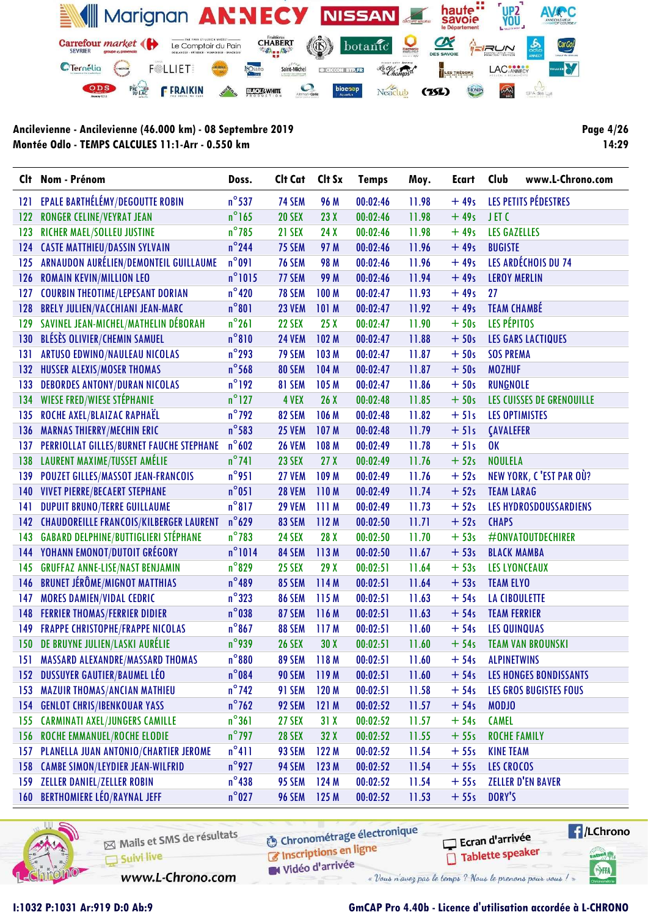

**Page 4/26** 14:29

|             | Clt Nom - Prénom                            | Doss.            | Clt Cat       | Clt Sx          | <b>Temps</b> | Moy.  | <b>Ecart</b> | Club                  | www.L-Chrono.com              |
|-------------|---------------------------------------------|------------------|---------------|-----------------|--------------|-------|--------------|-----------------------|-------------------------------|
| 121         | EPALE BARTHÉLÉMY/DEGOUTTE ROBIN             | $n^{\circ}$ 537  | 74 SEM        | 96 M            | 00:02:46     | 11.98 | $+49s$       |                       | LES PETITS PÉDESTRES          |
| 122         | <b>RONGER CELINE/VEYRAT JEAN</b>            | $n^{\circ}$ 165  | <b>20 SEX</b> | 23X             | 00:02:46     | 11.98 | $+49s$       | JET <sub>C</sub>      |                               |
| 123         | RICHER MAEL/SOLLEU JUSTINE                  | $n^{\circ}$ 785  | 21 SEX        | 24 X            | 00:02:46     | 11.98 | $+49s$       | <b>LES GAZELLES</b>   |                               |
| 124         | <b>CASTE MATTHIEU/DASSIN SYLVAIN</b>        | $n^{\circ}$ 244  | 75 SEM        | 97 M            | 00:02:46     | 11.96 | $+49s$       | <b>BUGISTE</b>        |                               |
| 125         | ARNAUDON AURÉLIEN/DEMONTEIL GUILLAUME       | $n^{\circ}091$   | <b>76 SEM</b> | <b>98 M</b>     | 00:02:46     | 11.96 | $+49s$       |                       | LES ARDÉCHOIS DU 74           |
| 126         | <b>ROMAIN KEVIN/MILLION LEO</b>             | $n^{\circ}$ 1015 | 77 SEM        | 99 M            | 00:02:46     | 11.94 | $+49s$       | <b>LEROY MERLIN</b>   |                               |
| 127         | <b>COURBIN THEOTIME/LEPESANT DORIAN</b>     | $n^{\circ}$ 420  | <b>78 SEM</b> | 100 M           | 00:02:47     | 11.93 | $+49s$       | 27                    |                               |
| 128         | <b>BRELY JULIEN/VACCHIANI JEAN-MARC</b>     | $n^{\circ}801$   | <b>23 VEM</b> | 101 M           | 00:02:47     | 11.92 | $+49s$       | <b>TEAM CHAMBÉ</b>    |                               |
| 129         | SAVINEL JEAN-MICHEL/MATHELIN DÉBORAH        | $n^{\circ}261$   | <b>22 SEX</b> | 25X             | 00:02:47     | 11.90 | $+50s$       | LES PÉPITOS           |                               |
| 130         | BLÉSÈS OLIVIER/CHEMIN SAMUEL                | $n^{\circ}810$   | <b>24 VEM</b> | 102 M           | 00:02:47     | 11.88 | $+50s$       |                       | <b>LES GARS LACTIQUES</b>     |
| 131         | <b>ARTUSO EDWINO/NAULEAU NICOLAS</b>        | $n^{\circ}$ 293  | <b>79 SEM</b> | 103 M           | 00:02:47     | 11.87 | $+50s$       | <b>SOS PREMA</b>      |                               |
| 132         | <b>HUSSER ALEXIS/MOSER THOMAS</b>           | $n^{\circ}$ 568  | 80 SEM        | 104 M           | 00:02:47     | 11.87 | $+50s$       | <b>MOZHUF</b>         |                               |
| 133         | <b>DEBORDES ANTONY/DURAN NICOLAS</b>        | $n^{\circ}192$   | 81 SEM        | 105 M           | 00:02:47     | 11.86 | $+50s$       | <b>RUNGNOLE</b>       |                               |
| 134         | <b>WIESE FRED/WIESE STÉPHANIE</b>           | $n^{\circ}$ 127  | 4 VEX         | 26X             | 00:02:48     | 11.85 | $+50s$       |                       | LES CUISSES DE GRENOUILLE     |
| 135         | ROCHE AXEL/BLAIZAC RAPHAËL                  | $n^{\circ}$ 792  | 82 SEM        | 106 M           | 00:02:48     | 11.82 | $+51s$       | <b>LES OPTIMISTES</b> |                               |
| 136         | <b>MARNAS THIERRY/MECHIN ERIC</b>           | $n^{\circ}$ 583  | <b>25 VEM</b> | 107 M           | 00:02:48     | 11.79 | $+51s$       | <b>CAVALEFER</b>      |                               |
| 137         | PERRIOLLAT GILLES/BURNET FAUCHE STEPHANE    | $n^{\circ}602$   | <b>26 VEM</b> | 108 M           | 00:02:49     | 11.78 | $+51s$       | 0K                    |                               |
| 138         | LAURENT MAXIME/TUSSET AMÉLIE                | $n^{\circ}$ 741  | <b>23 SEX</b> | 27 <sub>X</sub> | 00:02:49     | 11.76 | $+52s$       | <b>NOULELA</b>        |                               |
| 139         | <b>POUZET GILLES/MASSOT JEAN-FRANCOIS</b>   | $n^{\circ}$ 951  | <b>27 VEM</b> | 109 M           | 00:02:49     | 11.76 | $+52s$       |                       | NEW YORK, C'EST PAR OÙ?       |
| 140         | <b>VIVET PIERRE/BECAERT STEPHANE</b>        | $n^{\circ}051$   | <b>28 VEM</b> | 110M            | 00:02:49     | 11.74 | $+52s$       | <b>TEAM LARAG</b>     |                               |
| 141         | <b>DUPUIT BRUNO/TERRE GUILLAUME</b>         | $n^{\circ}817$   | <b>29 VEM</b> | 111M            | 00:02:49     | 11.73 | $+52s$       |                       | LES HYDROSDOUSSARDIENS        |
|             | 142 CHAUDOREILLE FRANCOIS/KILBERGER LAURENT | $n^{\circ}629$   | 83 SEM        | 112 M           | 00:02:50     | 11.71 | $+52s$       | <b>CHAPS</b>          |                               |
| 143         | <b>GABARD DELPHINE/BUTTIGLIERI STÉPHANE</b> | $n^{\circ}$ 783  | <b>24 SEX</b> | 28 X            | 00:02:50     | 11.70 | $+53s$       |                       | #ONVATOUTDECHIRER             |
|             | <b>144 YOHANN EMONOT/DUTOIT GRÉGORY</b>     | $n^{\circ}1014$  | 84 SEM        | 113M            | 00:02:50     | 11.67 | $+53s$       | <b>BLACK MAMBA</b>    |                               |
| 145         | <b>GRUFFAZ ANNE-LISE/NAST BENJAMIN</b>      | $n^{\circ}$ 829  | <b>25 SEX</b> | 29X             | 00:02:51     | 11.64 | $+53s$       |                       | <b>LES LYONCEAUX</b>          |
| 146         | <b>BRUNET JÉRÔME/MIGNOT MATTHIAS</b>        | $n^{\circ}489$   | 85 SEM        | 114M            | 00:02:51     | 11.64 | $+53s$       | <b>TEAM ELYO</b>      |                               |
| 147         | <b>MORES DAMIEN/VIDAL CEDRIC</b>            | $n^{\circ}323$   | 86 SEM        | 115 M           | 00:02:51     | 11.63 | $+54s$       | <b>LA CIBOULETTE</b>  |                               |
| 148         | <b>FERRIER THOMAS/FERRIER DIDIER</b>        | $n^{\circ}$ 038  | <b>87 SEM</b> | 116 M           | 00:02:51     | 11.63 | $+54s$       | <b>TEAM FERRIER</b>   |                               |
| 149         | <b>FRAPPE CHRISTOPHE/FRAPPE NICOLAS</b>     | $n^{\circ}867$   | 88 SEM        | 117 M           | 00:02:51     | 11.60 | $+54s$       | <b>LES QUINQUAS</b>   |                               |
|             | 150 DE BRUYNE JULIEN/LASKI AURÉLIE          | $n^{\circ}$ 939  | <b>26 SEX</b> | 30X             | 00:02:51     | 11.60 | $+54s$       |                       | <b>TEAM VAN BROUNSKI</b>      |
| <u>151.</u> | MASSARD ALEXANDRE/MASSARD THOMAS            | $n^{\circ}880$   | <b>89 SEM</b> | 118M            | 00:02:51     | 11.60 | $+54s$       | <b>ALPINETWINS</b>    |                               |
|             | 152 DUSSUYER GAUTIER/BAUMEL LÉO             | $n^{\circ}084$   | <b>90 SEM</b> | 119 M           | 00:02:51     | 11.60 | $+54s$       |                       | <b>LES HONGES BONDISSANTS</b> |
| 153         | <b>MAZUIR THOMAS/ANCIAN MATHIEU</b>         | $n^{\circ}$ 742  | 91 SEM        | 120 M           | 00:02:51     | 11.58 | $+54s$       |                       | <b>LES GROS BUGISTES FOUS</b> |
| 154         | <b>GENLOT CHRIS/IBENKOUAR YASS</b>          | $n^{\circ}$ 762  | 92 SEM        | 121 M           | 00:02:52     | 11.57 | $+54s$       | <b>MODJO</b>          |                               |
| 155         | <b>CARMINATI AXEL/JUNGERS CAMILLE</b>       | $n^{\circ}361$   | <b>27 SEX</b> | 31X             | 00:02:52     | 11.57 | $+54s$       | <b>CAMEL</b>          |                               |
| 156         | <b>ROCHE EMMANUEL/ROCHE ELODIE</b>          | $n^{\circ}$ 797  | <b>28 SEX</b> | 32 X            | 00:02:52     | 11.55 | $+55s$       | <b>ROCHE FAMILY</b>   |                               |
| 157         | PLANELLA JUAN ANTONIO/CHARTIER JEROME       | $n^{\circ}411$   | 93 SEM        | 122 M           | 00:02:52     | 11.54 | $+55s$       | <b>KINE TEAM</b>      |                               |
| 158         | <b>CAMBE SIMON/LEYDIER JEAN-WILFRID</b>     | $n^{\circ}$ 927  | 94 SEM        | 123 M           | 00:02:52     | 11.54 | $+55s$       | <b>LES CROCOS</b>     |                               |
| 159         | <b>ZELLER DANIEL/ZELLER ROBIN</b>           | $n^{\circ}$ 438  | 95 SEM        | 124 M           | 00:02:52     | 11.54 | $+55s$       |                       | <b>ZELLER D'EN BAVER</b>      |
|             | 160 BERTHOMIERE LÉO/RAYNAL JEFF             | $n^{\circ}$ 027  | <b>96 SEM</b> | 125 M           | 00:02:52     | 11.53 | $+55s$       | DORY'S                |                               |



Mails et SMS de résultats Suivi live

**6** Chronométrage électronique

 $\sqrt{1}$ /LChrono Ecran d'arrivée Tablette speaker cation<sub>()</sub>

SHA

www.L-Chrono.com

Inscriptions en ligne Vidéo d'arrivée « Vous n'avez pas le temps ? Nous le prenons pour vous !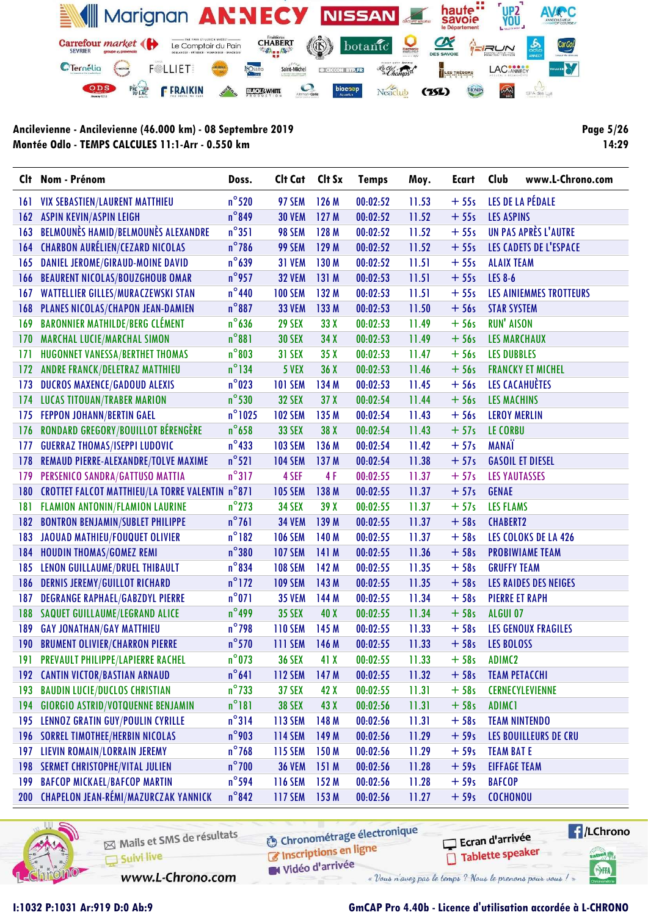

Page 5/26 14:29

|     | Clt Nom - Prénom                                | Doss.            | Clt Cat        | Clt Sx          | <b>Temps</b> | Moy.  | Ecart  | Club                  | www.L-Chrono.com           |
|-----|-------------------------------------------------|------------------|----------------|-----------------|--------------|-------|--------|-----------------------|----------------------------|
| 161 | <b>VIX SEBASTIEN/LAURENT MATTHIEU</b>           | $n^{\circ}$ 520  | 97 SEM         | 126 M           | 00:02:52     | 11.53 | $+55s$ |                       | LES DE LA PÉDALE           |
| 162 | <b>ASPIN KEVIN/ASPIN LEIGH</b>                  | $n^{\circ}849$   | <b>30 VEM</b>  | 127 M           | 00:02:52     | 11.52 | $+55s$ | <b>LES ASPINS</b>     |                            |
| 163 | BELMOUNÈS HAMID/BELMOUNÈS ALEXANDRE             | $n^{\circ}351$   | 98 SEM         | 128 M           | 00:02:52     | 11.52 | $+55s$ |                       | UN PAS APRÈS L'AUTRE       |
| 164 | <b>CHARBON AURÉLIEN/CEZARD NICOLAS</b>          | $n^{\circ}$ 786  | 99 SEM         | 129 M           | 00:02:52     | 11.52 | $+55s$ |                       | LES CADETS DE L'ESPACE     |
| 165 | DANIEL JEROME/GIRAUD-MOINE DAVID                | $n^{\circ}639$   | <b>31 VEM</b>  | 130 M           | 00:02:52     | 11.51 | $+55s$ | <b>ALAIX TEAM</b>     |                            |
| 166 | <b>BEAURENT NICOLAS/BOUZGHOUB OMAR</b>          | $n^{\circ}$ 957  | <b>32 VEM</b>  | 131 M           | 00:02:53     | 11.51 | $+55s$ | <b>LES 8-6</b>        |                            |
| 167 | <b>WATTELLIER GILLES/MURACZEWSKI STAN</b>       | $n^{\circ}440$   | <b>100 SEM</b> | 132 M           | 00:02:53     | 11.51 | $+55s$ |                       | LES AINIEMMES TROTTEURS    |
| 168 | PLANES NICOLAS/CHAPON JEAN-DAMIEN               | $n^{\circ}887$   | <b>33 VEM</b>  | 133 M           | 00:02:53     | 11.50 | $+56s$ | <b>STAR SYSTEM</b>    |                            |
| 169 | <b>BARONNIER MATHILDE/BERG CLÉMENT</b>          | $n^{\circ}$ 636  | <b>29 SEX</b>  | 33 X            | 00:02:53     | 11.49 | $+56s$ | <b>RUN' AISON</b>     |                            |
| 170 | <b>MARCHAL LUCIE/MARCHAL SIMON</b>              | $n^{\circ}881$   | <b>30 SEX</b>  | 34 X            | 00:02:53     | 11.49 | $+56s$ | <b>LES MARCHAUX</b>   |                            |
| 171 | HUGONNET VANESSA/BERTHET THOMAS                 | $n^{\circ}803$   | <b>31 SEX</b>  | 35X             | 00:02:53     | 11.47 | $+56s$ | <b>LES DUBBLES</b>    |                            |
| 172 | <b>ANDRE FRANCK/DELETRAZ MATTHIEU</b>           | $n^{\circ}$ 134  | 5 VEX          | 36 X            | 00:02:53     | 11.46 | $+56s$ |                       | <b>FRANCKY ET MICHEL</b>   |
| 173 | DUCROS MAXENCE/GADOUD ALEXIS                    | $n^{\circ}$ 023  | <b>101 SEM</b> | 134 M           | 00:02:53     | 11.45 | $+56s$ |                       | LES CACAHUÈTES             |
| 174 | <b>LUCAS TITOUAN/TRABER MARION</b>              | $n^{\circ}$ 530  | <b>32 SEX</b>  | 37 <sub>X</sub> | 00:02:54     | 11.44 | $+56s$ | <b>LES MACHINS</b>    |                            |
| 175 | <b>FEPPON JOHANN/BERTIN GAEL</b>                | $n^{\circ}$ 1025 | <b>102 SEM</b> | 135 M           | 00:02:54     | 11.43 | $+56s$ | <b>LEROY MERLIN</b>   |                            |
| 176 | RONDARD GREGORY/BOUILLOT BÉRENGÈRE              | $n^{\circ}$ 658  | <b>33 SEX</b>  | 38 X            | 00:02:54     | 11.43 | $+57s$ | LE CORBU              |                            |
| 177 | <b>GUERRAZ THOMAS/ISEPPI LUDOVIC</b>            | $n^{\circ}$ 433  | <b>103 SEM</b> | 136 M           | 00:02:54     | 11.42 | $+57s$ | <b>MANAT</b>          |                            |
| 178 | REMAUD PIERRE-ALEXANDRE/TOLVE MAXIME            | $n^{\circ}521$   | <b>104 SEM</b> | 137 M           | 00:02:54     | 11.38 | $+57s$ |                       | <b>GASOIL ET DIESEL</b>    |
| 179 | PERSENICO SANDRA/GATTUSO MATTIA                 | $n^{\circ}317$   | 4 SEF          | 4F              | 00:02:55     | 11.37 | $+57s$ | <b>LES YAUTASSES</b>  |                            |
| 180 | CROTTET FALCOT MATTHIEU/LA TORRE VALENTIN n°871 |                  | <b>105 SEM</b> | 138 M           | 00:02:55     | 11.37 | $+57s$ | <b>GENAE</b>          |                            |
| 181 | FLAMION ANTONIN/FLAMION LAURINE                 | $n^{\circ}$ 273  | <b>34 SEX</b>  | 39X             | 00:02:55     | 11.37 | $+57s$ | <b>LES FLAMS</b>      |                            |
| 182 | <b>BONTRON BENJAMIN/SUBLET PHILIPPE</b>         | $n^{\circ}761$   | <b>34 VEM</b>  | 139 M           | 00:02:55     | 11.37 | $+58s$ | <b>CHABERT2</b>       |                            |
| 183 | JAOUAD MATHIEU/FOUQUET OLIVIER                  | $n^{\circ}182$   | <b>106 SEM</b> | 140 M           | 00:02:55     | 11.37 | $+58s$ |                       | LES COLOKS DE LA 426       |
| 184 | <b>HOUDIN THOMAS/GOMEZ REMI</b>                 | $n^{\circ}380$   | <b>107 SEM</b> | 141 M           | 00:02:55     | 11.36 | $+58s$ |                       | <b>PROBIWIAME TEAM</b>     |
| 185 | LENON GUILLAUME/DRUEL THIBAULT                  | $n^{\circ}$ 834  | <b>108 SEM</b> | 142 M           | 00:02:55     | 11.35 | $+58s$ | <b>GRUFFY TEAM</b>    |                            |
| 186 | <b>DERNIS JEREMY/GUILLOT RICHARD</b>            | $n^{\circ}$ 172  | <b>109 SEM</b> | 143 M           | 00:02:55     | 11.35 | $+58s$ |                       | LES RAIDES DES NEIGES      |
| 187 | <b>DEGRANGE RAPHAEL/GABZDYL PIERRE</b>          | $n^{\circ}071$   | <b>35 VEM</b>  | 144 M           | 00:02:55     | 11.34 | $+58s$ | <b>PIERRE ET RAPH</b> |                            |
| 188 | SAQUET GUILLAUME/LEGRAND ALICE                  | $n^{\circ}$ 499  | <b>35 SEX</b>  | 40 X            | 00:02:55     | 11.34 | $+58s$ | ALGUI 07              |                            |
| 189 | <b>GAY JONATHAN/GAY MATTHIEU</b>                | $n^{\circ}$ 798  | <b>110 SEM</b> | 145 M           | 00:02:55     | 11.33 | $+58s$ |                       | <b>LES GENOUX FRAGILES</b> |
| 190 | <b>BRUMENT OLIVIER/CHARRON PIERRE</b>           | $n^{\circ}$ 570  | <b>111 SEM</b> | 146 M           | 00:02:55     | 11.33 | $+58s$ | <b>LES BOLOSS</b>     |                            |
|     | 191 PREVAULT PHILIPPE/LAPIERRE RACHEL           | $n^{\circ}$ 073  | <b>36 SEX</b>  | 41 X            | 00:02:55     | 11.33 | $+58s$ | ADIMC <sub>2</sub>    |                            |
|     | 192 CANTIN VICTOR/BASTIAN ARNAUD                | $n^{\circ}641$   | <b>112 SEM</b> | 147 M           | 00:02:55     | 11.32 | $+58s$ |                       | <b>TEAM PETACCHI</b>       |
| 193 | <b>BAUDIN LUCIE/DUCLOS CHRISTIAN</b>            | $n^{\circ}$ 733  | <b>37 SEX</b>  | 42 X            | 00:02:55     | 11.31 | $+58s$ |                       | <b>CERNECYLEVIENNE</b>     |
| 194 | <b>GIORGIO ASTRID/VOTQUENNE BENJAMIN</b>        | $n^{\circ}181$   | <b>38 SEX</b>  | 43 X            | 00:02:56     | 11.31 | $+58s$ | <b>ADIMC1</b>         |                            |
| 195 | LENNOZ GRATIN GUY/POULIN CYRILLE                | $n^{\circ}314$   | 113 SEM        | 148 M           | 00:02:56     | 11.31 | $+58s$ |                       | <b>TEAM NINTENDO</b>       |
| 196 | <b>SORREL TIMOTHEE/HERBIN NICOLAS</b>           | $n^{\circ}$ 903  | <b>114 SEM</b> | 149 M           | 00:02:56     | 11.29 | $+59s$ |                       | LES BOUILLEURS DE CRU      |
| 197 | LIEVIN ROMAIN/LORRAIN JEREMY                    | $n^{\circ}$ 768  | <b>115 SEM</b> | 150 M           | 00:02:56     | 11.29 | $+59s$ | <b>TEAM BAT E</b>     |                            |
| 198 | <b>SERMET CHRISTOPHE/VITAL JULIEN</b>           | $n^{\circ}$ 700  | <b>36 VEM</b>  | 151M            | 00:02:56     | 11.28 | $+59s$ | <b>EIFFAGE TEAM</b>   |                            |
| 199 | <b>BAFCOP MICKAEL/BAFCOP MARTIN</b>             | $n^{\circ}$ 594  | <b>116 SEM</b> | 152 M           | 00:02:56     | 11.28 | $+59s$ | <b>BAFCOP</b>         |                            |
|     | 200 CHAPELON JEAN-RÉMI/MAZURCZAK YANNICK        | $n^{\circ}842$   | <b>117 SEM</b> | 153 M           | 00:02:56     | 11.27 | $+59s$ | <b>COCHONOU</b>       |                            |



Mails et SMS de résultats Suivi live

www.L-Chrono.com

**6** Chronométrage électronique

 $\sqrt{1}$ /LChrono Ecran d'arrivée Tablette speaker tabel<sub>()</sub>

SHA

C Inscriptions en ligne

W Vidéo d'arrivée « Vous n'avez pas le temps ? Nous le prenons pour vous !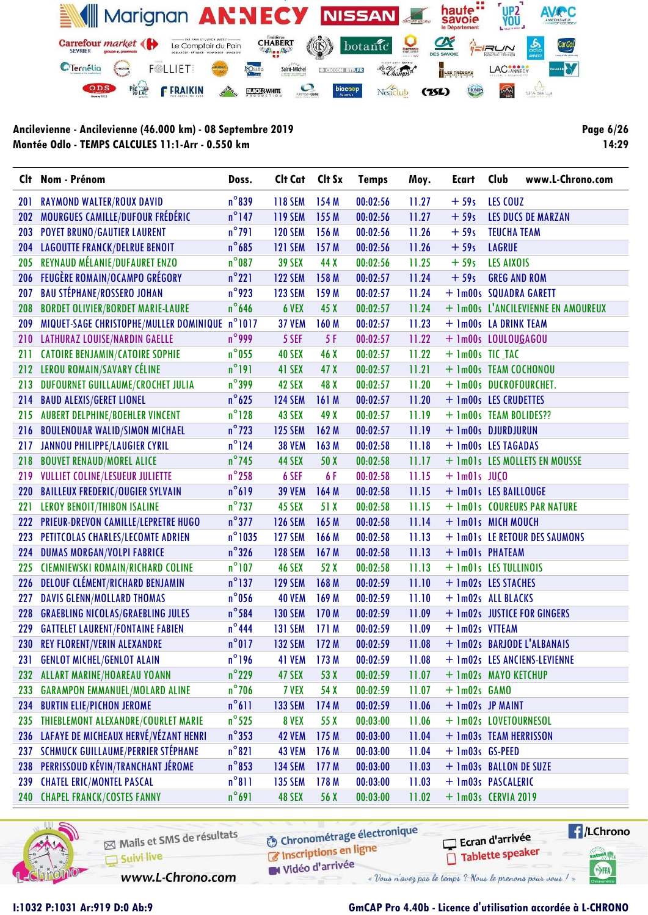

Page 6/26 14:29

| Clt | Nom - Prénom                                   | Doss.            | Cit Cat Cit Sx |                  | <b>Temps</b> | Moy.  | Ecart                  | Club                | www.L-Chrono.com                   |
|-----|------------------------------------------------|------------------|----------------|------------------|--------------|-------|------------------------|---------------------|------------------------------------|
| 201 | RAYMOND WALTER/ROUX DAVID                      | $n^{\circ}839$   | <b>118 SEM</b> | 154 M            | 00:02:56     | 11.27 | $+59s$                 | LES COUZ            |                                    |
| 202 | MOURGUES CAMILLE/DUFOUR FRÉDÉRIC               | $n^{\circ}$ 147  | <b>119 SEM</b> | 155 M            | 00:02:56     | 11.27 | $+59s$                 |                     | LES DUCS DE MARZAN                 |
| 203 | <b>POYET BRUNO/GAUTIER LAURENT</b>             | $n^{\circ}$ 791  | <b>120 SEM</b> | 156 M            | 00:02:56     | 11.26 | $+59s$                 | <b>TEUCHA TEAM</b>  |                                    |
| 204 | <b>LAGOUTTE FRANCK/DELRUE BENOIT</b>           | $n^{\circ}$ 685  | <b>121 SEM</b> | 157 M            | 00:02:56     | 11.26 | $+59s$                 | <b>LAGRUE</b>       |                                    |
| 205 | REYNAUD MÉLANIE/DUFAURET ENZO                  | $n^{\circ}$ 087  | <b>39 SEX</b>  | 44 X             | 00:02:56     | 11.25 | $+59s$                 | <b>LES AIXOIS</b>   |                                    |
| 206 | <b>FEUGÈRE ROMAIN/OCAMPO GRÉGORY</b>           | $n^{\circ}221$   | <b>122 SEM</b> | 158 M            | 00:02:57     | 11.24 | $+59s$                 | <b>GREG AND ROM</b> |                                    |
| 207 | <b>BAU STÉPHANE/ROSSERO JOHAN</b>              | $n^{\circ}$ 923  | <b>123 SEM</b> | 159 M            | 00:02:57     | 11.24 | + 1m00s SQUADRA GARETT |                     |                                    |
| 208 | <b>BORDET OLIVIER/BORDET MARIE-LAURE</b>       | $n^{\circ}$ 646  | 6 VEX          | 45 X             | 00:02:57     | 11.24 |                        |                     | + 1m00s L'ANCILEVIENNE EN AMOUREUX |
| 209 | MIQUET-SAGE CHRISTOPHE/MULLER DOMINIQUE n°1017 |                  | <b>37 VEM</b>  | 160 M            | 00:02:57     | 11.23 | + 1m00s LA DRINK TEAM  |                     |                                    |
| 210 | LATHURAZ LOUISE/NARDIN GAELLE                  | $n^{\circ}$ 999  | 5 SEF          | 5F               | 00:02:57     | 11.22 | + 1m00s LOULOUGAGOU    |                     |                                    |
| 211 | <b>CATOIRE BENJAMIN/CATOIRE SOPHIE</b>         | $n^{\circ}$ 055  | <b>40 SEX</b>  | 46 X             | 00:02:57     | 11.22 | $+$ 1m00s TIC_TAC      |                     |                                    |
| 212 | LEROU ROMAIN/SAVARY CÉLINE                     | $n^{\circ}$ 191  | 41 SEX         | 47 X             | 00:02:57     | 11.21 | + 1m00s TEAM COCHONOU  |                     |                                    |
| 213 | DUFOURNET GUILLAUME/CROCHET JULIA              | $n^{\circ}$ 399  | 42 SEX         | 48 X             | 00:02:57     | 11.20 | + 1m00s DUCROFOURCHET. |                     |                                    |
| 214 | <b>BAUD ALEXIS/GERET LIONEL</b>                | $n^{\circ}$ 625  | <b>124 SEM</b> | 161 M            | 00:02:57     | 11.20 | + 1m00s LES CRUDETTES  |                     |                                    |
| 215 | <b>AUBERT DELPHINE/BOEHLER VINCENT</b>         | $n^{\circ}$ 128  | 43 SEX         | 49 X             | 00:02:57     | 11.19 | + 1m00s TEAM BOLIDES?? |                     |                                    |
| 216 | <b>BOULENOUAR WALID/SIMON MICHAEL</b>          | $n^{\circ}$ 723  | <b>125 SEM</b> | 162 M            | 00:02:57     | 11.19 | + 1m00s DJURDJURUN     |                     |                                    |
| 217 | <b>JANNOU PHILIPPE/LAUGIER CYRIL</b>           | $n^{\circ}$ 124  | <b>38 VEM</b>  | 163 M            | 00:02:58     | 11.18 | + 1m00s LES TAGADAS    |                     |                                    |
| 218 | <b>BOUVET RENAUD/MOREL ALICE</b>               | $n^{\circ}$ 745  | 44 SEX         | 50 X             | 00:02:58     | 11.17 |                        |                     | + 1m01s LES MOLLETS EN MOUSSE      |
| 219 | <b>VULLIET COLINE/LESUEUR JULIETTE</b>         | $n^{\circ}$ 258  | 6 SEF          | 6 F              | 00:02:58     | 11.15 | $+$ 1m01s JUCO         |                     |                                    |
| 220 | <b>BAILLEUX FREDERIC/OUGIER SYLVAIN</b>        | $n^{\circ}619$   | <b>39 VEM</b>  | 164 M            | 00:02:58     | 11.15 | + 1m01s LES BAILLOUGE  |                     |                                    |
| 221 | <b>LEROY BENOIT/THIBON ISALINE</b>             | $n^{\circ}$ 737  | 45 SEX         | 51 X             | 00:02:58     | 11.15 |                        |                     | + 1m01s COUREURS PAR NATURE        |
| 222 | PRIEUR-DREVON CAMILLE/LEPRETRE HUGO            | $n^{\circ}377$   | <b>126 SEM</b> | 165 M            | 00:02:58     | 11.14 | + 1m01s MICH MOUCH     |                     |                                    |
| 223 | PETITCOLAS CHARLES/LECOMTE ADRIEN              | $n^{\circ}$ 1035 | <b>127 SEM</b> | 166 M            | 00:02:58     | 11.13 |                        |                     | + 1m01s LE RETOUR DES SAUMONS      |
| 224 | <b>DUMAS MORGAN/VOLPI FABRICE</b>              | $n^{\circ}326$   | <b>128 SEM</b> | 167 <sub>M</sub> | 00:02:58     | 11.13 | + 1m01s PHATEAM        |                     |                                    |
| 225 | <b>CIEMNIEWSKI ROMAIN/RICHARD COLINE</b>       | $n^{\circ}$ 107  | <b>46 SEX</b>  | 52 X             | 00:02:58     | 11.13 | + 1m01s LES TULLINOIS  |                     |                                    |
| 226 | <b>DELOUF CLÉMENT/RICHARD BENJAMIN</b>         | $n^{\circ}$ 137  | <b>129 SEM</b> | 168 M            | 00:02:59     | 11.10 | + 1m02s LES STACHES    |                     |                                    |
| 227 | <b>DAVIS GLENN/MOLLARD THOMAS</b>              | $n^{\circ}$ 056  | <b>40 VEM</b>  | 169 M            | 00:02:59     | 11.10 | + 1m02s ALL BLACKS     |                     |                                    |
| 228 | <b>GRAEBLING NICOLAS/GRAEBLING JULES</b>       | $n^{\circ}$ 584  | <b>130 SEM</b> | 170 M            | 00:02:59     | 11.09 |                        |                     | + 1m02s JUSTICE FOR GINGERS        |
| 229 | <b>GATTELET LAURENT/FONTAINE FABIEN</b>        | $n^{\circ}$ 444  | <b>131 SEM</b> | 171M             | 00:02:59     | 11.09 | + 1m02s VTTEAM         |                     |                                    |
| 230 | <b>REY FLORENT/VERIN ALEXANDRE</b>             | $n^{\circ}017$   | <b>132 SEM</b> | 172M             | 00:02:59     | 11.08 |                        |                     | + 1m02s BARJODE L'ALBANAIS         |
| 231 | <b>GENLOT MICHEL/GENLOT ALAIN</b>              | $n^{\circ}$ 196  | 41 VEM 173 M   |                  | 00:02:59     | 11.08 |                        |                     | + 1m02s LES ANCIENS-LEVIENNE       |
| 232 | ALLART MARINE/HOAREAU YOANN                    | $n^{\circ}$ 229  | 47 SEX         | 53 X             | 00:02:59     | 11.07 | + 1m02s MAYO KETCHUP   |                     |                                    |
| 233 | <b>GARAMPON EMMANUEL/MOLARD ALINE</b>          | $n^{\circ}$ 706  | 7 VEX          | 54 X             | 00:02:59     | 11.07 | $+$ 1m02s $GAMO$       |                     |                                    |
| 234 | <b>BURTIN ELIE/PICHON JEROME</b>               | $n^{\circ}611$   | <b>133 SEM</b> | 174 M            | 00:02:59     | 11.06 | + 1m02s JP MAINT       |                     |                                    |
| 235 | THIEBLEMONT ALEXANDRE/COURLET MARIE            | $n^{\circ}$ 525  | 8 VEX          | 55 X             | 00:03:00     | 11.06 | + 1m02s LOVETOURNESOL  |                     |                                    |
| 236 | LAFAYE DE MICHEAUX HERVÉ/VÉZANT HENRI          | $n^{\circ}353$   | <b>42 VEM</b>  | 175M             | 00:03:00     | 11.04 | + 1m03s TEAM HERRISSON |                     |                                    |
| 237 | <b>SCHMUCK GUILLAUME/PERRIER STÉPHANE</b>      | $n^{\circ}821$   | 43 VEM         | 176 M            | 00:03:00     | 11.04 | + 1m03s GS-PEED        |                     |                                    |
| 238 | PERRISSOUD KÉVIN/TRANCHANT JÉROME              | $n^{\circ}$ 853  | <b>134 SEM</b> | 177 M            | 00:03:00     | 11.03 | + 1m03s BALLON DE SUZE |                     |                                    |
| 239 | <b>CHATEL ERIC/MONTEL PASCAL</b>               | $n^{\circ}811$   | <b>135 SEM</b> | 178 M            | 00:03:00     | 11.03 | + 1m03s PASCALERIC     |                     |                                    |
|     | 240 CHAPEL FRANCK/COSTES FANNY                 | $n^{\circ}691$   | 48 SEX         | 56 X             | 00:03:00     | 11.02 | + 1m03s CERVIA 2019    |                     |                                    |



Mails et SMS de résultats Suivi live

**6** Chronométrage électronique

Vidéo d'arrivée « Vous n'avez pas le temps ? Nous le prenons pour vous !

www.L-Chrono.com

Inscriptions en ligne

Ecran d'arrivée Tablette speaker

 $\sqrt{1}$ /LChrono cation<sub>()</sub> SHA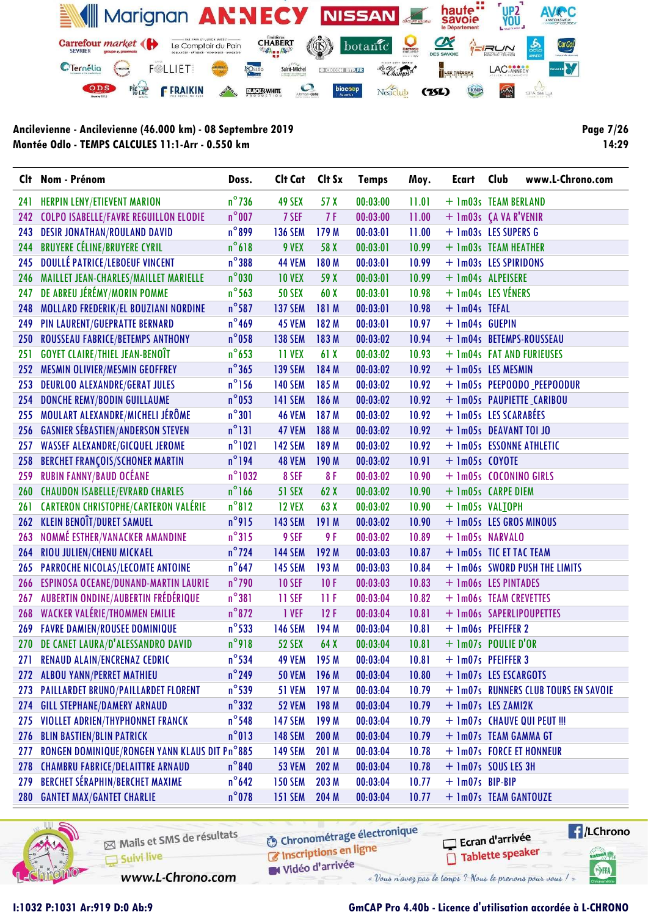

**Page 7/26** 14:29

|            | Clt Nom - Prénom                              | Doss.            | Clt Cat        | Clt Sx | <b>Temps</b> | Moy.  | <b>Ecart</b>     | Club<br>www.L-Chrono.com             |
|------------|-----------------------------------------------|------------------|----------------|--------|--------------|-------|------------------|--------------------------------------|
| 241        | <b>HERPIN LENY/ETIEVENT MARION</b>            | $n^{\circ}$ 736  | 49 SEX         | 57 X   | 00:03:00     | 11.01 |                  | + 1m03s TEAM BERLAND                 |
| 242        | <b>COLPO ISABELLE/FAVRE REGUILLON ELODIE</b>  | $n^{\circ}$ 007  | 7 SEF          | 7 F    | 00:03:00     | 11.00 |                  | + 1m03s (A VA R'VENIR                |
| 243        | <b>DESIR JONATHAN/ROULAND DAVID</b>           | $n^{\circ}$ 899  | <b>136 SEM</b> | 179 M  | 00:03:01     | 11.00 |                  | + 1m03s LES SUPERS G                 |
| 244        | <b>BRUYERE CÉLINE/BRUYERE CYRIL</b>           | $n^{\circ}618$   | 9 VEX          | 58 X   | 00:03:01     | 10.99 |                  | + 1m03s TEAM HEATHER                 |
| 245        | <b>DOULLÉ PATRICE/LEBOEUF VINCENT</b>         | $n^{\circ}$ 388  | <b>44 VEM</b>  | 180M   | 00:03:01     | 10.99 |                  | + 1m03s LES SPIRIDONS                |
| 246        | MAILLET JEAN-CHARLES/MAILLET MARIELLE         | $n^{\circ}$ 030  | <b>10 VEX</b>  | 59 X   | 00:03:01     | 10.99 |                  | + Im04s ALPEISERE                    |
| 247        | DE ABREU JÉRÉMY/MORIN POMME                   | $n^{\circ}$ 563  | <b>50 SEX</b>  | 60 X   | 00:03:01     | 10.98 |                  | + 1m04s LES VÉNERS                   |
| 248        | MOLLARD FREDERIK/EL BOUZIANI NORDINE          | $n^{\circ}$ 587  | <b>137 SEM</b> | 181 M  | 00:03:01     | 10.98 | + 1m04s TEFAL    |                                      |
| 249        | PIN LAURENT/GUEPRATTE BERNARD                 | $n^{\circ}$ 469  | 45 VEM         | 182 M  | 00:03:01     | 10.97 | + 1m04s GUEPIN   |                                      |
| 250        | ROUSSEAU FABRICE/BETEMPS ANTHONY              | $n^{\circ}$ 058  | <b>138 SEM</b> | 183 M  | 00:03:02     | 10.94 |                  | + 1m04s BETEMPS-ROUSSEAU             |
| 251        | <b>GOYET CLAIRE/THIEL JEAN-BENOIT</b>         | $n^{\circ}$ 653  | 11 VEX         | 61X    | 00:03:02     | 10.93 |                  | + 1m04s FAT AND FURIEUSES            |
| 252        | <b>MESMIN OLIVIER/MESMIN GEOFFREY</b>         | $n^{\circ}365$   | <b>139 SEM</b> | 184 M  | 00:03:02     | 10.92 |                  | + 1m05s LES MESMIN                   |
| 253        | <b>DEURLOO ALEXANDRE/GERAT JULES</b>          | $n^{\circ}$ 156  | <b>140 SEM</b> | 185 M  | 00:03:02     | 10.92 |                  | + 1m05s PEEPOODO PEEPOODUR           |
| 254        | <b>DONCHE REMY/BODIN GUILLAUME</b>            | $n^{\circ}$ 053  | <b>141 SEM</b> | 186 M  | 00:03:02     | 10.92 |                  | + 1m05s PAUPIETTE CARIBOU            |
| 255        | MOULART ALEXANDRE/MICHELI JÉRÔME              | $n^{\circ}301$   | <b>46 VEM</b>  | 187 M  | 00:03:02     | 10.92 |                  | + 1m05s LES SCARABÉES                |
| 256        | <b>GASNIER SÉBASTIEN/ANDERSON STEVEN</b>      | $n^{\circ}$ 131  | <b>47 VEM</b>  | 188 M  | 00:03:02     | 10.92 |                  | + 1m05s DEAVANT TOI JO               |
| 257        | <b>WASSEF ALEXANDRE/GICQUEL JEROME</b>        | $n^{\circ}1021$  | <b>142 SEM</b> | 189 M  | 00:03:02     | 10.92 |                  | + 1m05s ESSONNE ATHLETIC             |
| 258        | <b>BERCHET FRANÇOIS/SCHONER MARTIN</b>        | $n^{\circ}$ 194  | <b>48 VEM</b>  | 190 M  | 00:03:02     | 10.91 | $+$ 1m05s COYOTE |                                      |
| 259        | <b>RUBIN FANNY/BAUD OCÉANE</b>                | $n^{\circ}$ 1032 | 8 SEF          | 8F     | 00:03:02     | 10.90 |                  | + 1m05s COCONINO GIRLS               |
|            | 260 CHAUDON ISABELLE/EVRARD CHARLES           | $n^{\circ}$ 166  | <b>51 SEX</b>  | 62 X   | 00:03:02     | 10.90 |                  | + 1m05s CARPE DIEM                   |
| 261        | <b>CARTERON CHRISTOPHE/CARTERON VALÉRIE</b>   | $n^{\circ}812$   | <b>12 VEX</b>  | 63 X   | 00:03:02     | 10.90 |                  | + 1m05s VALIOPH                      |
| 262        | <b>KLEIN BENOÎT/DURET SAMUEL</b>              | $n^{\circ}$ 915  | <b>143 SEM</b> | 191 M  | 00:03:02     | 10.90 |                  | + 1m05s LES GROS MINOUS              |
| 263        | NOMMÉ ESTHER/VANACKER AMANDINE                | $n^{\circ}315$   | 9 SEF          | 9 F    | 00:03:02     | 10.89 |                  | + 1m05s NARVALO                      |
| 264        | RIOU JULIEN/CHENU MICKAEL                     | $n^{\circ}$ 724  | <b>144 SEM</b> | 192 M  | 00:03:03     | 10.87 |                  | + 1m05s TIC ET TAC TEAM              |
| 265        | PARROCHE NICOLAS/LECOMTE ANTOINE              | $n^{\circ}$ 647  | <b>145 SEM</b> | 193 M  | 00:03:03     | 10.84 |                  | + 1m06s SWORD PUSH THE LIMITS        |
| 266        | ESPINOSA OCEANE/DUNAND-MARTIN LAURIE          | $n^{\circ}$ 790  | <b>10 SEF</b>  | 10F    | 00:03:03     | 10.83 |                  | + 1m06s LES PINTADES                 |
| 267        | AUBERTIN ONDINE/AUBERTIN FRÉDÉRIQUE           | $n^{\circ}381$   | 11 SEF         | 11F    | 00:03:04     | 10.82 |                  | + 1m06s TEAM CREVETTES               |
| 268        | WACKER VALÉRIE/THOMMEN EMILIE                 | $n^{\circ}872$   | 1 VEF          | 12F    | 00:03:04     | 10.81 |                  | + 1m06s SAPERLIPOUPETTES             |
| 269        | <b>FAVRE DAMIEN/ROUSEE DOMINIQUE</b>          | $n^{\circ}$ 533  | <b>146 SEM</b> | 194 M  | 00:03:04     | 10.81 |                  | + 1m06s PFEIFFER 2                   |
|            | 270 DE CANET LAURA/D'ALESSANDRO DAVID         | $n^{\circ}918$   | <b>52 SEX</b>  | 64 X   | 00:03:04     | 10.81 |                  | + 1m07s POULIE D'OR                  |
|            | 271 RENAUD ALAIN/ENCRENAZ CEDRIC              | $n^{\circ}$ 534  | 49 VEM 195 M   |        | 00:03:04     |       |                  | $10.81 + 1m07s$ PFEIFFER 3           |
| 272        | <b>ALBOU YANN/PERRET MATHIEU</b>              | $n^{\circ}$ 249  | <b>50 VEM</b>  | 196 M  | 00:03:04     | 10.80 |                  | + 1m07s LES ESCARGOTS                |
| 273        | <b>PAILLARDET BRUNO/PAILLARDET FLORENT</b>    | $n^{\circ}$ 539  | <b>51 VEM</b>  | 197 M  | 00:03:04     | 10.79 |                  | + 1m07s RUNNERS CLUB TOURS EN SAVOIE |
| 274        | <b>GILL STEPHANE/DAMERY ARNAUD</b>            | $n^{\circ}$ 332  | <b>52 VEM</b>  | 198 M  | 00:03:04     | 10.79 |                  | + 1m07s LES ZAMI2K                   |
| 275        | VIOLLET ADRIEN/THYPHONNET FRANCK              | $n^{\circ}$ 548  | <b>147 SEM</b> | 199 M  | 00:03:04     | 10.79 |                  | + 1m07s CHAUVE QUI PEUT !!!          |
| 276        | <b>BLIN BASTIEN/BLIN PATRICK</b>              | $n^{\circ}013$   | <b>148 SEM</b> | 200 M  | 00:03:04     | 10.79 |                  | + 1m07s TEAM GAMMA GT                |
| 277        | RONGEN DOMINIQUE/RONGEN YANN KLAUS DIT Pn°885 |                  | <b>149 SEM</b> | 201 M  | 00:03:04     | 10.78 |                  | + 1m07s FORCE ET HONNEUR             |
| 278        | <b>CHAMBRU FABRICE/DELAITTRE ARNAUD</b>       | $n^{\circ}840$   | <b>53 VEM</b>  | 202 M  | 00:03:04     | 10.78 |                  | $+$ 1m07s SOUS LES 3H                |
| 279        | <b>BERCHET SÉRAPHIN/BERCHET MAXIME</b>        | $n^{\circ}$ 642  | <b>150 SEM</b> | 203 M  | 00:03:04     | 10.77 | + 1m07s BIP-BIP  |                                      |
| <b>280</b> | <b>GANTET MAX/GANTET CHARLIE</b>              | $n^{\circ}$ 078  | <b>151 SEM</b> | 204 M  | 00:03:04     | 10.77 |                  | + 1m07s TEAM GANTOUZE                |



Mails et SMS de résultats Suivi live

**6** Chronométrage électronique

www.L-Chrono.com

Inscriptions en ligne Vidéo d'arrivée

Tablette speaker « Vous n'avez pas le temps ? Nous le prenons pour vous !



SHA

I:1032 P:1031 Ar:919 D:0 Ab:9

# GmCAP Pro 4.40b - Licence d'utilisation accordée à L-CHRONO

Ecran d'arrivée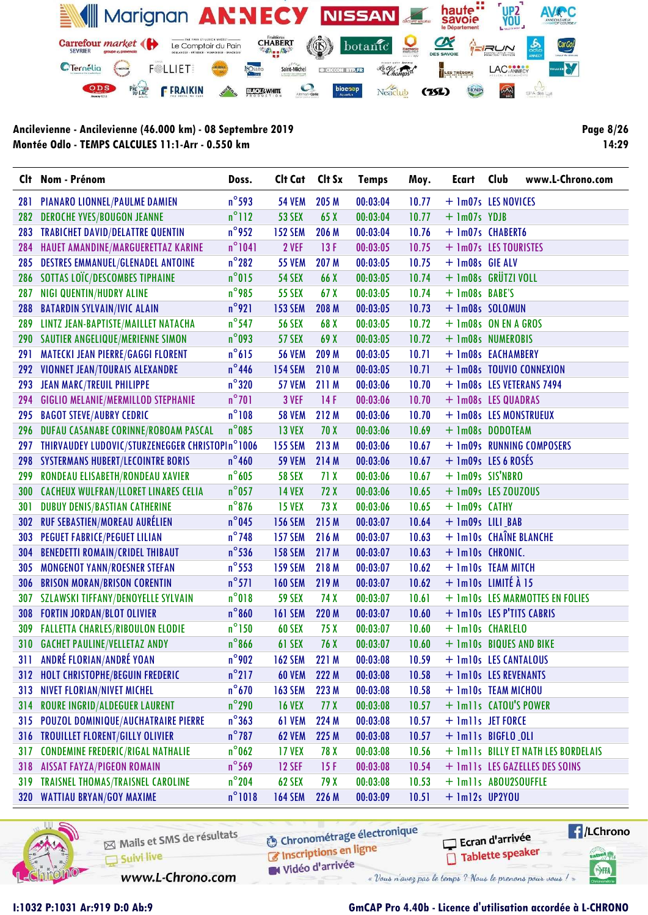

**Page 8/26** 14:29

|     | Clt Nom - Prénom                                | Doss.           | Cit Cat Cit Sx      |                 | <b>Temps</b> | Moy.  | Ecart                     | Club | www.L-Chrono.com                    |
|-----|-------------------------------------------------|-----------------|---------------------|-----------------|--------------|-------|---------------------------|------|-------------------------------------|
| 281 | PIANARO LIONNEL/PAULME DAMIEN                   | $n^{\circ}$ 593 | <b>54 VEM</b>       | 205 M           | 00:03:04     | 10.77 | + 1m07s LES NOVICES       |      |                                     |
| 282 | <b>DEROCHE YVES/BOUGON JEANNE</b>               | $n^{\circ}112$  | <b>53 SEX</b>       | 65 X            | 00:03:04     | 10.77 | + 1m07s YDJB              |      |                                     |
| 283 | <b>TRABICHET DAVID/DELATTRE QUENTIN</b>         | $n^{\circ}$ 952 | <b>152 SEM</b>      | 206 M           | 00:03:04     | 10.76 | + 1m07s CHABERT6          |      |                                     |
| 284 | HAUET AMANDINE/MARGUERETTAZ KARINE              | $n^{\circ}1041$ | 2 VEF               | 13F             | 00:03:05     | 10.75 | + 1m07s LES TOURISTES     |      |                                     |
| 285 | <b>DESTRES EMMANUEL/GLENADEL ANTOINE</b>        | $n^{\circ}282$  | <b>55 VEM</b>       | 207 M           | 00:03:05     | 10.75 | + 1m08s GIE ALV           |      |                                     |
| 286 | SOTTAS LOÏC/DESCOMBES TIPHAINE                  | $n^{\circ}$ 015 | <b>54 SEX</b>       | 66 X            | 00:03:05     | 10.74 | + 1m08s GRÜTZI VOLL       |      |                                     |
| 287 | NIGI QUENTIN/HUDRY ALINE                        | $n^{\circ}$ 985 | <b>55 SEX</b>       | 67X             | 00:03:05     | 10.74 | + 1m08s BABE'S            |      |                                     |
| 288 | <b>BATARDIN SYLVAIN/IVIC ALAIN</b>              | $n^{\circ}$ 921 | <b>153 SEM</b>      | 208 M           | 00:03:05     | 10.73 | + 1m08s SOLOMUN           |      |                                     |
| 289 | LINTZ JEAN-BAPTISTE/MAILLET NATACHA             | $n^{\circ}$ 547 | <b>56 SEX</b>       | 68 X            | 00:03:05     | 10.72 | + 1m08s ON EN A GROS      |      |                                     |
|     | 290 SAUTIER ANGELIQUE/MERIENNE SIMON            | $n^{\circ}$ 093 | <b>57 SEX</b>       | 69 X            | 00:03:05     | 10.72 | + 1m08s NUMEROBIS         |      |                                     |
| 291 | <b>MATECKI JEAN PIERRE/GAGGI FLORENT</b>        | $n^{\circ}615$  | <b>56 VEM</b>       | 209 M           | 00:03:05     | 10.71 | + 1m08s EACHAMBERY        |      |                                     |
| 292 | <b>VIONNET JEAN/TOURAIS ALEXANDRE</b>           | $n^{\circ}$ 446 | <b>154 SEM</b>      | 210M            | 00:03:05     | 10.71 |                           |      | + 1m08s TOUVIO CONNEXION            |
| 293 | <b>JEAN MARC/TREUIL PHILIPPE</b>                | $n^{\circ}$ 320 | <b>57 VEM</b>       | 211 M           | 00:03:06     | 10.70 |                           |      | + 1m08s LES VETERANS 7494           |
| 294 | <b>GIGLIO MELANIE/MERMILLOD STEPHANIE</b>       | $n^{\circ}$ 701 | 3 VEF               | 14F             | 00:03:06     | 10.70 | + 1m08s LES QUADRAS       |      |                                     |
| 295 | <b>BAGOT STEVE/AUBRY CEDRIC</b>                 | $n^{\circ}108$  | <b>58 VEM</b>       | 212 M           | 00:03:06     | 10.70 | + 1m08s LES MONSTRUEUX    |      |                                     |
| 296 | DUFAU CASANABE CORINNE/ROBOAM PASCAL            | $n^{\circ}$ 085 | <b>13 VEX</b>       | 70 X            | 00:03:06     | 10.69 | + 1m08s DODOTEAM          |      |                                     |
| 297 | THIRVAUDEY LUDOVIC/STURZENEGGER CHRISTOPIn°1006 |                 | <b>155 SEM</b>      | 213 M           | 00:03:06     | 10.67 |                           |      | + 1m09s RUNNING COMPOSERS           |
| 298 | <b>SYSTERMANS HUBERT/LECOINTRE BORIS</b>        | $n^{\circ}$ 460 | <b>59 VEM</b>       | 214 M           | 00:03:06     | 10.67 | $+$ 1m09s LES 6 ROSÉS     |      |                                     |
| 299 | RONDEAU ELISABETH/RONDEAU XAVIER                | $n^{\circ}$ 605 | <b>58 SEX</b>       | 71X             | 00:03:06     | 10.67 | + 1m09s SIS'NBRO          |      |                                     |
| 300 | <b>CACHEUX WULFRAN/LLORET LINARES CELIA</b>     | $n^{\circ}$ 057 | <b>14 VEX</b>       | 72X             | 00:03:06     | 10.65 | + 1m09s LES ZOUZOUS       |      |                                     |
| 301 | <b>DUBUY DENIS/BASTIAN CATHERINE</b>            | $n^{\circ}876$  | <b>15 VEX</b>       | 73 X            | 00:03:06     | 10.65 | + 1m09s CATHY             |      |                                     |
| 302 | <b>RUF SEBASTIEN/MOREAU AURÉLIEN</b>            | $n^{\circ}$ 045 | <b>156 SEM</b>      | 215 M           | 00:03:07     | 10.64 | + 1m09s LILI_BAB          |      |                                     |
| 303 | PEGUET FABRICE/PEGUET LILIAN                    | $n^{\circ}$ 748 | <b>157 SEM</b>      | 216 M           | 00:03:07     | 10.63 | + 1m10s CHAÎNE BLANCHE    |      |                                     |
| 304 | <b>BENEDETTI ROMAIN/CRIDEL THIBAUT</b>          | $n^{\circ}$ 536 | <b>158 SEM</b>      | 217 M           | 00:03:07     | 10.63 | + Im10s CHRONIC.          |      |                                     |
| 305 | <b>MONGENOT YANN/ROESNER STEFAN</b>             | $n^{\circ}$ 553 | <b>159 SEM</b>      | 218 M           | 00:03:07     | 10.62 | + 1m10s TEAM MITCH        |      |                                     |
| 306 | <b>BRISON MORAN/BRISON CORENTIN</b>             | $n^{\circ}571$  | <b>160 SEM</b>      | 219 M           | 00:03:07     | 10.62 | + 1m10s LIMITÉ À 15       |      |                                     |
| 307 | <b>SZLAWSKI TIFFANY/DENOYELLE SYLVAIN</b>       | $n^{\circ}018$  | <b>59 SEX</b>       | 74 X            | 00:03:07     | 10.61 |                           |      | + 1m10s LES MARMOTTES EN FOLIES     |
| 308 | <b>FORTIN JORDAN/BLOT OLIVIER</b>               | $n^{\circ}860$  | <b>161 SEM</b>      | 220 M           | 00:03:07     | 10.60 | + 1m10s LES P'TITS CABRIS |      |                                     |
| 309 | <b>FALLETTA CHARLES/RIBOULON ELODIE</b>         | $n^{\circ}$ 150 | <b>60 SEX</b>       | 75 X            | 00:03:07     | 10.60 | + 1m10s CHARLELO          |      |                                     |
|     | 310 GACHET PAULINE/VELLETAZ ANDY                | $n^{\circ}$ 866 | 61 SEX              | 76 X            | 00:03:07     | 10.60 | + 1m10s BIQUES AND BIKE   |      |                                     |
|     | 311 ANDRÉ FLORIAN/ANDRÉ YOAN                    |                 | n°902 162 SEM 221 M |                 | 00:03:08     | 10.59 | + 1m10s LES CANTALOUS     |      |                                     |
|     | 312 HOLT CHRISTOPHE/BEGUIN FREDERIC             | $n^{\circ}$ 217 | <b>60 VEM</b>       | 222 M           | 00:03:08     | 10.58 | + 1m10s LES REVENANTS     |      |                                     |
| 313 | <b>NIVET FLORIAN/NIVET MICHEL</b>               | $n^{\circ}$ 670 | <b>163 SEM</b>      | 223 M           | 00:03:08     | 10.58 | + 1m10s TEAM MICHOU       |      |                                     |
| 314 | <b>ROURE INGRID/ALDEGUER LAURENT</b>            | $n^{\circ}$ 290 | <b>16 VEX</b>       | 77 <sub>X</sub> | 00:03:08     | 10.57 | + 1m11s CATOU'S POWER     |      |                                     |
| 315 | POUZOL DOMINIQUE/AUCHATRAIRE PIERRE             | $n^{\circ}363$  | 61 VEM              | 224 M           | 00:03:08     | 10.57 | + 1m11s JET FORCE         |      |                                     |
| 316 | <b>TROUILLET FLORENT/GILLY OLIVIER</b>          | $n^{\circ}$ 787 | <b>62 VEM</b>       | 225 M           | 00:03:08     | 10.57 | + Imlls BIGFLO_OLI        |      |                                     |
| 317 | <b>CONDEMINE FREDERIC/RIGAL NATHALIE</b>        | $n^{\circ}$ 062 | <b>17 VEX</b>       | 78 X            | 00:03:08     | 10.56 |                           |      | + 1m11s BILLY ET NATH LES BORDELAIS |
| 318 | <b>AISSAT FAYZA/PIGEON ROMAIN</b>               | $n^{\circ}$ 569 | <b>12 SEF</b>       | 15F             | 00:03:08     | 10.54 |                           |      | + 1m11s LES GAZELLES DES SOINS      |
| 319 | <b>TRAISNEL THOMAS/TRAISNEL CAROLINE</b>        | $n^{\circ}$ 204 | 62 SEX              | 79 X            | 00:03:08     | 10.53 | + Imlls ABOU2SOUFFLE      |      |                                     |
|     | 320 WATTIAU BRYAN/GOY MAXIME                    | $n^{\circ}1018$ | <b>164 SEM</b>      | 226 M           | 00:03:09     | 10.51 | $+$ 1m12s UP2YOU          |      |                                     |



Mails et SMS de résultats Suivi live

**6** Chronométrage électronique

www.L-Chrono.com

Inscriptions en ligne Vidéo d'arrivée

Tablette speaker « Vous n'avez pas le temps ? Nous le prenons pour vous !

 $\sqrt{1}$ /LChrono cation<sub>()</sub>

SHA

Ecran d'arrivée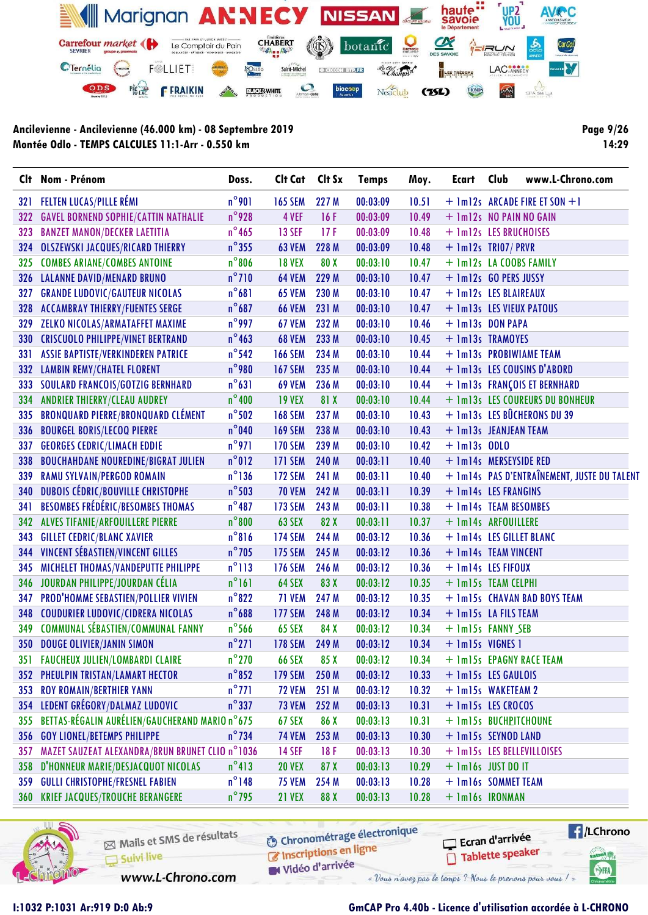

**Page 9/26** 14:29

| FELTEN LUCAS/PILLE RÉMI<br>321<br><b>GAVEL BORNEND SOPHIE/CATTIN NATHALIE</b><br>322<br><b>BANZET MANON/DECKER LAETITIA</b><br>323<br><b>OLSZEWSKI JACQUES/RICARD THIERRY</b><br>324<br><b>COMBES ARIANE/COMBES ANTOINE</b><br>325 | $n^{\circ}$ 901<br>$n^{\circ}$ 928<br>$n^{\circ}$ 465<br>$n^{\circ}$ 355<br>$n^{\circ}806$ | <b>165 SEM</b><br>4 VEF<br><b>13 SEF</b><br><b>63 VEM</b> | 227 M<br>16F<br>17F | 00:03:09<br>00:03:09 | 10.51<br>10.49 | + 1m12s NO PAIN NO GAIN  | + 1m12s ARCADE FIRE ET SON +1               |
|------------------------------------------------------------------------------------------------------------------------------------------------------------------------------------------------------------------------------------|--------------------------------------------------------------------------------------------|-----------------------------------------------------------|---------------------|----------------------|----------------|--------------------------|---------------------------------------------|
|                                                                                                                                                                                                                                    |                                                                                            |                                                           |                     |                      |                |                          |                                             |
|                                                                                                                                                                                                                                    |                                                                                            |                                                           |                     |                      |                |                          |                                             |
|                                                                                                                                                                                                                                    |                                                                                            |                                                           |                     | 00:03:09             | 10.48          | + 1m12s LES BRUCHOISES   |                                             |
|                                                                                                                                                                                                                                    |                                                                                            |                                                           | 228 M               | 00:03:09             | 10.48          | $+$ 1m12s TRI07/PRVR     |                                             |
|                                                                                                                                                                                                                                    |                                                                                            | <b>18 VEX</b>                                             | 80 X                | 00:03:10             | 10.47          | + 1m12s LA COOBS FAMILY  |                                             |
| <b>LALANNE DAVID/MENARD BRUNO</b><br>326                                                                                                                                                                                           | $n^{\circ}$ 710                                                                            | <b>64 VEM</b>                                             | 229 M               | 00:03:10             | 10.47          | + 1m12s GO PERS JUSSY    |                                             |
| <b>GRANDE LUDOVIC/GAUTEUR NICOLAS</b><br>327                                                                                                                                                                                       | $n^{\circ}681$                                                                             | <b>65 VEM</b>                                             | 230 M               | 00:03:10             | 10.47          | + 1m12s LES BLAIREAUX    |                                             |
| <b>ACCAMBRAY THIERRY/FUENTES SERGE</b><br>328                                                                                                                                                                                      | $n^{\circ}687$                                                                             | <b>66 VEM</b>                                             | 231 M               | 00:03:10             | 10.47          | + 1m13s LES VIEUX PATOUS |                                             |
| ZELKO NICOLAS/ARMATAFFET MAXIME<br>329                                                                                                                                                                                             | $n^{\circ}$ 997                                                                            | <b>67 VEM</b>                                             | 232 M               | 00:03:10             | 10.46          | + 1m13s DON PAPA         |                                             |
| 330<br><b>CRISCUOLO PHILIPPE/VINET BERTRAND</b>                                                                                                                                                                                    | $n^{\circ}$ 463                                                                            | <b>68 VEM</b>                                             | 233 M               | 00:03:10             | 10.45          | + 1m13s TRAMOYES         |                                             |
| ASSIE BAPTISTE/VERKINDEREN PATRICE<br>331                                                                                                                                                                                          | $n^{\circ}$ 542                                                                            | <b>166 SEM</b>                                            | 234 M               | 00:03:10             | 10.44          | + 1m13s PROBIWIAME TEAM  |                                             |
| 332<br><b>LAMBIN REMY/CHATEL FLORENT</b>                                                                                                                                                                                           | $n^{\circ}$ 980                                                                            | <b>167 SEM</b>                                            | 235 M               | 00:03:10             | 10.44          |                          | + 1m13s LES COUSINS D'ABORD                 |
| <b>SOULARD FRANCOIS/GOTZIG BERNHARD</b><br>333                                                                                                                                                                                     | $n^{\circ}631$                                                                             | <b>69 VEM</b>                                             | 236 M               | 00:03:10             | 10.44          |                          | + 1m13s FRANÇOIS ET BERNHARD                |
| <b>ANDRIER THIERRY/CLEAU AUDREY</b><br>334                                                                                                                                                                                         | $n^{\circ}400$                                                                             | <b>19 VEX</b>                                             | 81 X                | 00:03:10             | 10.44          |                          | + 1m13s LES COUREURS DU BONHEUR             |
| <b>BRONQUARD PIERRE/BRONQUARD CLÉMENT</b><br>335                                                                                                                                                                                   | $n^{\circ}$ 502                                                                            | <b>168 SEM</b>                                            | 237 M               | 00:03:10             | 10.43          |                          | + 1m13s LES BÛCHERONS DU 39                 |
| <b>BOURGEL BORIS/LECOQ PIERRE</b><br>336                                                                                                                                                                                           | $n^{\circ}$ 040                                                                            | <b>169 SEM</b>                                            | 238 M               | 00:03:10             | 10.43          | + 1m13s JEANJEAN TEAM    |                                             |
| <b>GEORGES CEDRIC/LIMACH EDDIE</b><br>337                                                                                                                                                                                          | $n^{\circ}$ 971                                                                            | <b>170 SEM</b>                                            | 239 M               | 00:03:10             | 10.42          | $+$ 1m13s ODLO           |                                             |
| <b>BOUCHAHDANE NOUREDINE/BIGRAT JULIEN</b><br>338                                                                                                                                                                                  | $n^{\circ}012$                                                                             | <b>171 SEM</b>                                            | 240 M               | 00:03:11             | 10.40          | + 1m14s MERSEYSIDE RED   |                                             |
| RAMU SYLVAIN/PERGOD ROMAIN<br>339                                                                                                                                                                                                  | $n^{\circ}$ 136                                                                            | <b>172 SEM</b>                                            | 241 M               | 00:03:11             | 10.40          |                          | + 1m14s PAS D'ENTRAÎNEMENT, JUSTE DU TALENT |
| DUBOIS CÉDRIC/BOUVILLE CHRISTOPHE<br>340                                                                                                                                                                                           | $n^{\circ}$ 503                                                                            | <b>70 VEM</b>                                             | 242 M               | 00:03:11             | 10.39          | + 1m14s LES FRANGINS     |                                             |
| <b>BESOMBES FRÉDÉRIC/BESOMBES THOMAS</b><br>341                                                                                                                                                                                    | $n^{\circ}487$                                                                             | <b>173 SEM</b>                                            | 243 M               | 00:03:11             | 10.38          | + 1m14s TEAM BESOMBES    |                                             |
| <b>ALVES TIFANIE/ARFOUILLERE PIERRE</b><br>342                                                                                                                                                                                     | $n^{\circ}800$                                                                             | <b>63 SEX</b>                                             | 82 X                | 00:03:11             | 10.37          | + 1m14s ARFOUILLERE      |                                             |
| <b>GILLET CEDRIC/BLANC XAVIER</b><br>343                                                                                                                                                                                           | $n^{\circ}816$                                                                             | <b>174 SEM</b>                                            | 244 M               | 00:03:12             | 10.36          | + 1m14s LES GILLET BLANC |                                             |
| <b>VINCENT SÉBASTIEN/VINCENT GILLES</b><br>344                                                                                                                                                                                     | $n^{\circ}$ 705                                                                            | <b>175 SEM</b>                                            | 245 M               | 00:03:12             | 10.36          | + 1m14s TEAM VINCENT     |                                             |
| MICHELET THOMAS/VANDEPUTTE PHILIPPE<br>345                                                                                                                                                                                         | $n^{\circ}$ 113                                                                            | <b>176 SEM</b>                                            | 246 M               | 00:03:12             | 10.36          | + 1m14s LES FIFOUX       |                                             |
| JOURDAN PHILIPPE/JOURDAN CÉLIA<br>346                                                                                                                                                                                              | $n^{\circ}161$                                                                             | 64 SEX                                                    | 83 X                | 00:03:12             | 10.35          | + 1m15s TEAM CELPHI      |                                             |
| PROD'HOMME SEBASTIEN/POLLIER VIVIEN<br>347                                                                                                                                                                                         | $n^{\circ}822$                                                                             | 71 VEM                                                    | 247 M               | 00:03:12             | 10.35          |                          | + 1m15s CHAVAN BAD BOYS TEAM                |
| <b>COUDURIER LUDOVIC/CIDRERA NICOLAS</b><br>348                                                                                                                                                                                    | $n^{\circ}688$                                                                             | <b>177 SEM</b>                                            | 248 M               | 00:03:12             | 10.34          | + 1m15s LA FILS TEAM     |                                             |
| <b>COMMUNAL SÉBASTIEN/COMMUNAL FANNY</b><br>349                                                                                                                                                                                    | $n^{\circ}$ 566                                                                            | <b>65 SEX</b>                                             | 84 X                | 00:03:12             | 10.34          | + 1m15s FANNY SEB        |                                             |
| 350 DOUGE OLIVIER/JANIN SIMON                                                                                                                                                                                                      | $n^{\circ}271$                                                                             | <b>178 SEM</b>                                            | 249 M               | 00:03:12             | 10.34          | + 1m15s VIGNES 1         |                                             |
| 351 FAUCHEUX JULIEN/LOMBARDI CLAIRE                                                                                                                                                                                                | $n^{\circ}$ 270                                                                            | 66 SEX 85 X                                               |                     | 00:03:12             | 10.34          | + 1m15s EPAGNY RACE TEAM |                                             |
| PHEULPIN TRISTAN/LAMART HECTOR<br>352                                                                                                                                                                                              | $n^{\circ}852$                                                                             | <b>179 SEM</b>                                            | 250 M               | 00:03:12             | 10.33          | + 1m15s LES GAULOIS      |                                             |
| <b>ROY ROMAIN/BERTHIER YANN</b><br>353                                                                                                                                                                                             | $n^{\circ}$ 771                                                                            | <b>72 VEM</b>                                             | 251 M               | 00:03:12             | 10.32          | + 1m15s WAKETEAM 2       |                                             |
| LEDENT GRÉGORY/DALMAZ LUDOVIC<br>354                                                                                                                                                                                               | $n^{\circ}$ 337                                                                            | <b>73 VEM</b>                                             | 252 M               | 00:03:13             | 10.31          | + 1m15s LES CROCOS       |                                             |
| BETTAS-RÉGALIN AURÉLIEN/GAUCHERAND MARIO n°675<br>355                                                                                                                                                                              |                                                                                            | 67 SEX                                                    | 86 X                | 00:03:13             | 10.31          | + 1m15s BUCHPITCHOUNE    |                                             |
| <b>GOY LIONEL/BETEMPS PHILIPPE</b><br>356                                                                                                                                                                                          | $n^{\circ}$ 734                                                                            | <b>74 VEM</b>                                             | 253 M               | 00:03:13             | 10.30          | + 1m15s SEYNOD LAND      |                                             |
| MAZET SAUZEAT ALEXANDRA/BRUN BRUNET CLIO n°1036<br>357                                                                                                                                                                             |                                                                                            | <b>14 SEF</b>                                             | 18 F                | 00:03:13             | 10.30          |                          | + 1m15s LES BELLEVILLOISES                  |
| D'HONNEUR MARIE/DESJACQUOT NICOLAS<br>358                                                                                                                                                                                          | $n^{\circ}413$                                                                             | <b>20 VEX</b>                                             | 87 X                | 00:03:13             | 10.29          | $+$ $lm16s$ JUST DO IT   |                                             |
| <b>GULLI CHRISTOPHE/FRESNEL FABIEN</b><br>359                                                                                                                                                                                      | $n^{\circ}$ 148                                                                            | <b>75 VEM</b>                                             | 254 M               | 00:03:13             | 10.28          | + 1m16s SOMMET TEAM      |                                             |
| <b>360 KRIEF JACQUES/TROUCHE BERANGERE</b>                                                                                                                                                                                         | $n^{\circ}$ 795                                                                            | <b>21 VEX</b>                                             | 88 X                | 00:03:13             | 10.28          | + 1m16s IRONMAN          |                                             |



Mails et SMS de résultats Suivi live

www.L-Chrono.com

**6** Chronométrage électronique Inscriptions en ligne

 $\sqrt{1}$ /LChrono Ecran d'arrivée Tablette speaker cation<sub>()</sub>

SHA

Vidéo d'arrivée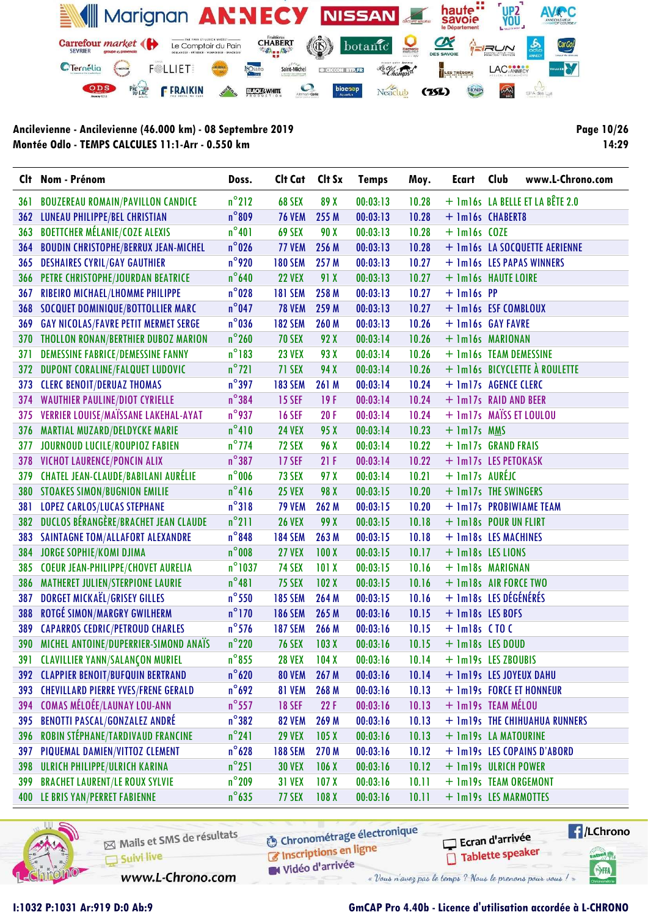

Page 10/26 14:29

|      | Clt Nom - Prénom                             | Doss.            | Clt Cat        | Clt Sx           | <b>Temps</b> | Moy.  | Ecart                | Club<br>www.L-Chrono.com        |
|------|----------------------------------------------|------------------|----------------|------------------|--------------|-------|----------------------|---------------------------------|
| 36 I | <b>BOUZEREAU ROMAIN/PAVILLON CANDICE</b>     | $n^{\circ}$ 212  | 68 SEX         | 89 X             | 00:03:13     | 10.28 |                      | + 1m16s LA BELLE ET LA BÊTE 2.0 |
| 362  | LUNEAU PHILIPPE/BEL CHRISTIAN                | $n^{\circ}809$   | <b>76 VEM</b>  | 255 M            | 00:03:13     | 10.28 |                      | + 1m16s CHABERT8                |
| 363  | <b>BOETTCHER MÉLANIE/COZE ALEXIS</b>         | $n^{\circ}401$   | 69 SEX         | 90 X             | 00:03:13     | 10.28 | $+$ 1m16s COZE       |                                 |
| 364  | <b>BOUDIN CHRISTOPHE/BERRUX JEAN-MICHEL</b>  | $n^{\circ}$ 026  | 77 VEM         | 256 M            | 00:03:13     | 10.28 |                      | + 1m16s LA SOCQUETTE AERIENNE   |
| 365  | <b>DESHAIRES CYRIL/GAY GAUTHIER</b>          | $n^{\circ}$ 920  | <b>180 SEM</b> | 257 M            | 00:03:13     | 10.27 |                      | + 1m16s LES PAPAS WINNERS       |
| 366  | PETRE CHRISTOPHE/JOURDAN BEATRICE            | $n^{\circ}$ 640  | <b>22 VEX</b>  | 91 X             | 00:03:13     | 10.27 |                      | + 1m16s HAUTE LOIRE             |
| 367  | RIBEIRO MICHAEL/LHOMME PHILIPPE              | $n^{\circ}028$   | <b>181 SEM</b> | 258 M            | 00:03:13     | 10.27 | $+$ 1m16s PP         |                                 |
| 368  | SOCQUET DOMINIQUE/BOTTOLLIER MARC            | $n^{\circ}$ 047  | <b>78 VEM</b>  | 259 M            | 00:03:13     | 10.27 |                      | + 1m16s ESF COMBLOUX            |
| 369  | <b>GAY NICOLAS/FAVRE PETIT MERMET SERGE</b>  | $n^{\circ}$ 036  | <b>182 SEM</b> | 260 M            | 00:03:13     | 10.26 |                      | + 1m16s GAY FAVRE               |
| 370  | <b>THOLLON RONAN/BERTHIER DUBOZ MARION</b>   | $n^{\circ}$ 260  | <b>70 SEX</b>  | 92 X             | 00:03:14     | 10.26 |                      | + 1m16s MARIONAN                |
| 371  | <b>DEMESSINE FABRICE/DEMESSINE FANNY</b>     | $n^{\circ}$ 183  | <b>23 VEX</b>  | 93 X             | 00:03:14     | 10.26 |                      | + 1m16s TEAM DEMESSINE          |
| 372  | <b>DUPONT CORALINE/FALQUET LUDOVIC</b>       | $n^{\circ}$ 721  | 71 SEX         | 94 X             | 00:03:14     | 10.26 |                      | + 1m16s BICYCLETTE À ROULETTE   |
| 373  | <b>CLERC BENOIT/DERUAZ THOMAS</b>            | $n^{\circ}$ 397  | <b>183 SEM</b> | 261 M            | 00:03:14     | 10.24 |                      | + 1m17s AGENCE CLERC            |
| 374  | <b>WAUTHIER PAULINE/DIOT CYRIELLE</b>        | $n^{\circ}384$   | <b>15 SEF</b>  | 19F              | 00:03:14     | 10.24 |                      | + 1m17s RAID AND BEER           |
| 375  | VERRIER LOUISE/MAÏSSANE LAKEHAL-AYAT         | $n^{\circ}$ 937  | <b>16 SEF</b>  | 20F              | 00:03:14     | 10.24 |                      | + 1m17s MAÏSS ET LOULOU         |
| 376  | <b>MARTIAL MUZARD/DELDYCKE MARIE</b>         | $n^{\circ}410$   | <b>24 VEX</b>  | 95 X             | 00:03:14     | 10.23 | + 1m17s MMS          |                                 |
| 377  | JOURNOUD LUCILE/ROUPIOZ FABIEN               | $n^{\circ}$ 774  | <b>72 SEX</b>  | 96 X             | 00:03:14     | 10.22 |                      | + 1m17s GRAND FRAIS             |
| 378  | VICHOT LAURENCE/PONCIN ALIX                  | $n^{\circ}387$   | <b>17 SEF</b>  | 21F              | 00:03:14     | 10.22 |                      | + 1m17s LES PETOKASK            |
| 379  | <b>CHATEL JEAN-CLAUDE/BABILANI AURÉLIE</b>   | $n^{\circ}$ 006  | 73 SEX         | 97 X             | 00:03:14     | 10.21 | + 1m17s AURÉJC       |                                 |
| 380  | <b>STOAKES SIMON/BUGNION EMILIE</b>          | $n^{\circ}416$   | <b>25 VEX</b>  | 98 X             | 00:03:15     | 10.20 |                      | + 1m17s THE SWINGERS            |
| 381  | <b>LOPEZ CARLOS/LUCAS STEPHANE</b>           | $n^{\circ}318$   | <b>79 VEM</b>  | 262 M            | 00:03:15     | 10.20 |                      | + 1m17s PROBIWIAME TEAM         |
| 382  | <b>DUCLOS BÉRANGÈRE/BRACHET JEAN CLAUDE</b>  | $n^{\circ}$ 211  | <b>26 VEX</b>  | 99 X             | 00:03:15     | 10.18 |                      | + 1m18s POUR UN FLIRT           |
| 383  | <b>SAINTAGNE TOM/ALLAFORT ALEXANDRE</b>      | $n^{\circ}$ 848  | <b>184 SEM</b> | 263 M            | 00:03:15     | 10.18 |                      | + 1m18s LES MACHINES            |
| 384  | <b>JORGE SOPHIE/KOMI DJIMA</b>               | $n^{\circ}$ 008  | <b>27 VEX</b>  | 100X             | 00:03:15     | 10.17 |                      | + 1m18s LES LIONS               |
| 385  | <b>COEUR JEAN-PHILIPPE/CHOVET AURELIA</b>    | $n^{\circ}$ 1037 | <b>74 SEX</b>  | 101X             | 00:03:15     | 10.16 |                      | + 1m18s MARIGNAN                |
| 386  | <b>MATHERET JULIEN/STERPIONE LAURIE</b>      | $n^{\circ}481$   | <b>75 SEX</b>  | 102X             | 00:03:15     | 10.16 |                      | + 1m18s AIR FORCE TWO           |
| 387  | DORGET MICKAEL/GRISEY GILLES                 | $n^{\circ}$ 550  | <b>185 SEM</b> | 264 M            | 00:03:15     | 10.16 |                      | + 1m18s LES DÉGÉNÉRÉS           |
| 388  | <b>ROTGÉ SIMON/MARGRY GWILHERM</b>           | $n^{\circ}$ 170  | <b>186 SEM</b> | 265 M            | 00:03:16     | 10.15 | + 1m18s LES BOFS     |                                 |
| 389  | <b>CAPARROS CEDRIC/PETROUD CHARLES</b>       | $n^{\circ}$ 576  | <b>187 SEM</b> | 266 M            | 00:03:16     | 10.15 | $+$ 1m18s $C$ TO $C$ |                                 |
| 390  | <b>MICHEL ANTOINE/DUPERRIER-SIMOND ANAÏS</b> | $n^{\circ}$ 220  | <b>76 SEX</b>  | 103X             | 00:03:16     | 10.15 |                      | + 1m18s LES DOUD                |
|      | 391 CLAVILLIER YANN/SALANÇON MURIEL          | $n^{\circ}$ 855  | <b>28 VEX</b>  | 104X             | 00:03:16     | 10.14 |                      | + 1m19s LES ZBOUBIS             |
|      | 392 CLAPPIER BENOIT/BUFQUIN BERTRAND         | $n^{\circ}$ 620  | <b>80 VEM</b>  | 267 M            | 00:03:16     | 10.14 |                      | + 1m19s LES JOYEUX DAHU         |
|      | 393 CHEVILLARD PIERRE YVES/FRENE GERALD      | $n^{\circ}$ 692  | 81 VEM         | 268 M            | 00:03:16     | 10.13 |                      | + 1m19s FORCE ET HONNEUR        |
| 394  | COMAS MÉLOÉE/LAUNAY LOU-ANN                  | $n^{\circ}$ 557  | <b>18 SEF</b>  | 22F              | 00:03:16     | 10.13 |                      | + 1m19s TEAM MÉLOU              |
| 395  | <b>BENOTTI PASCAL/GONZALEZ ANDRÉ</b>         | $n^{\circ}382$   | <b>82 VEM</b>  | 269 M            | 00:03:16     | 10.13 |                      | + 1m19s THE CHIHUAHUA RUNNERS   |
| 396  | <b>ROBIN STÉPHANE/TARDIVAUD FRANCINE</b>     | $n^{\circ}241$   | <b>29 VEX</b>  | 105 <sub>X</sub> | 00:03:16     | 10.13 |                      | + 1m19s LA MATOURINE            |
| 397  | PIQUEMAL DAMIEN/VITTOZ CLEMENT               | $n^{\circ}$ 628  | <b>188 SEM</b> | 270 M            | 00:03:16     | 10.12 |                      | + 1m19s LES COPAINS D'ABORD     |
| 398  | <b>ULRICH PHILIPPE/ULRICH KARINA</b>         | $n^{\circ}251$   | <b>30 VEX</b>  | 106X             | 00:03:16     | 10.12 |                      | + 1m19s ULRICH POWER            |
| 399  | <b>BRACHET LAURENT/LE ROUX SYLVIE</b>        | $n^{\circ}$ 209  | <b>31 VEX</b>  | 107 <sub>X</sub> | 00:03:16     | 10.11 |                      | + 1m19s TEAM ORGEMONT           |
|      | 400 LE BRIS YAN/PERRET FABIENNE              | $n^{\circ}$ 635  | 77 SEX         | 108 <sub>X</sub> | 00:03:16     | 10.11 |                      | + 1m19s LES MARMOTTES           |



Mails et SMS de résultats Suivi live

**6** Chronométrage électronique Inscriptions en ligne

 $\sqrt{1}$ /LChrono Ecran d'arrivée Tablette speaker sabel <sub>(2)</sub>

SHA

Vidéo d'arrivée

www.L-Chrono.com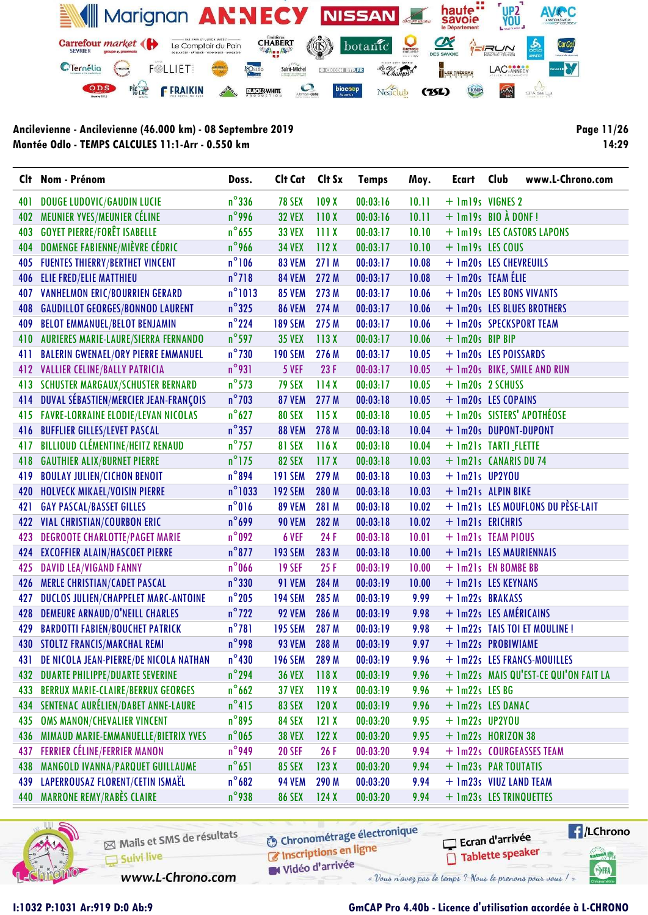

Page 11/26 14:29

|     | Clt Nom - Prénom                            | Doss.            | Clt Cat        | Clt Sx | <b>Temps</b> | Moy.  | Ecart                         | Club | www.L-Chrono.com                      |
|-----|---------------------------------------------|------------------|----------------|--------|--------------|-------|-------------------------------|------|---------------------------------------|
| 401 | <b>DOUGE LUDOVIC/GAUDIN LUCIE</b>           | $n^{\circ}$ 336  | <b>78 SEX</b>  | 109X   | 00:03:16     | 10.11 | + 1m19s VIGNES 2              |      |                                       |
| 402 | MEUNIER YVES/MEUNIER CÉLINE                 | $n^{\circ}$ 996  | <b>32 VEX</b>  | 110X   | 00:03:16     | 10.11 | $+$ 1m19s BIO $\lambda$ DONF! |      |                                       |
| 403 | <b>GOYET PIERRE/FORÊT ISABELLE</b>          | $n^{\circ}$ 655  | <b>33 VEX</b>  | 111X   | 00:03:17     | 10.10 |                               |      | + 1m19s LES CASTORS LAPONS            |
| 404 | DOMENGE FABIENNE/MIÈVRE CÉDRIC              | $n^{\circ}$ 966  | <b>34 VEX</b>  | 112X   | 00:03:17     | 10.10 | + 1m19s LES COUS              |      |                                       |
| 405 | <b>FUENTES THIERRY/BERTHET VINCENT</b>      | $n^{\circ}106$   | <b>83 VEM</b>  | 271 M  | 00:03:17     | 10.08 | + 1m20s LES CHEVREUILS        |      |                                       |
| 406 | ELIE FRED/ELIE MATTHIEU                     | $n^{\circ}$ 718  | <b>84 VEM</b>  | 272 M  | 00:03:17     | 10.08 | + 1m20s TEAM ÉLIE             |      |                                       |
| 407 | <b>VANHELMON ERIC/BOURRIEN GERARD</b>       | $n^{\circ}$ 1013 | <b>85 VEM</b>  | 273 M  | 00:03:17     | 10.06 | + 1m20s LES BONS VIVANTS      |      |                                       |
| 408 | <b>GAUDILLOT GEORGES/BONNOD LAURENT</b>     | $n^{\circ}325$   | <b>86 VEM</b>  | 274 M  | 00:03:17     | 10.06 |                               |      | + 1m20s LES BLUES BROTHERS            |
| 409 | <b>BELOT EMMANUEL/BELOT BENJAMIN</b>        | $n^{\circ}$ 224  | <b>189 SEM</b> | 275 M  | 00:03:17     | 10.06 |                               |      | + 1m20s SPECKSPORT TEAM               |
| 410 | <b>AURIERES MARIE-LAURE/SIERRA FERNANDO</b> | $n^{\circ}$ 597  | <b>35 VEX</b>  | 113X   | 00:03:17     | 10.06 | + 1m20s BIP BIP               |      |                                       |
| 411 | <b>BALERIN GWENAEL/ORY PIERRE EMMANUEL</b>  | $n^{\circ}$ 730  | <b>190 SEM</b> | 276 M  | 00:03:17     | 10.05 | + 1m20s LES POISSARDS         |      |                                       |
| 412 | <b>VALLIER CELINE/BALLY PATRICIA</b>        | $n^{\circ}$ 931  | 5 VEF          | 23F    | 00:03:17     | 10.05 |                               |      | + 1m20s BIKE, SMILE AND RUN           |
| 413 | <b>SCHUSTER MARGAUX/SCHUSTER BERNARD</b>    | $n^{\circ}$ 573  | <b>79 SEX</b>  | 114X   | 00:03:17     | 10.05 | + 1m20s 2 SCHUSS              |      |                                       |
| 414 | DUVAL SÉBASTIEN/MERCIER JEAN-FRANÇOIS       | $n^{\circ}$ 703  | <b>87 VEM</b>  | 277 M  | 00:03:18     | 10.05 | + 1m20s LES COPAINS           |      |                                       |
| 415 | <b>FAVRE-LORRAINE ELODIE/LEVAN NICOLAS</b>  | $n^{\circ}$ 627  | <b>80 SEX</b>  | 115X   | 00:03:18     | 10.05 |                               |      | + 1m20s SISTERS' APOTHÉOSE            |
| 416 | <b>BUFFLIER GILLES/LEVET PASCAL</b>         | $n^{\circ}357$   | <b>88 VEM</b>  | 278 M  | 00:03:18     | 10.04 | + 1m20s DUPONT-DUPONT         |      |                                       |
| 417 | <b>BILLIOUD CLÉMENTINE/HEITZ RENAUD</b>     | $n^{\circ}$ 757  | <b>81 SEX</b>  | 116X   | 00:03:18     | 10.04 | + 1m21s TARTI FLETTE          |      |                                       |
| 418 | <b>GAUTHIER ALIX/BURNET PIERRE</b>          | $n^{\circ}$ 175  | <b>82 SEX</b>  | 117X   | 00:03:18     | 10.03 | + 1m21s CANARIS DU 74         |      |                                       |
| 419 | <b>BOULAY JULIEN/CICHON BENOIT</b>          | $n^{\circ}894$   | <b>191 SEM</b> | 279 M  | 00:03:18     | 10.03 | $+$ 1m21s UP2YOU              |      |                                       |
| 420 | HOLVECK MIKAEL/VOISIN PIERRE                | $n^{\circ}$ 1033 | <b>192 SEM</b> | 280 M  | 00:03:18     | 10.03 | + 1m21s ALPIN BIKE            |      |                                       |
| 421 | <b>GAY PASCAL/BASSET GILLES</b>             | $n^{\circ}016$   | <b>89 VEM</b>  | 281 M  | 00:03:18     | 10.02 |                               |      | + 1m21s LES MOUFLONS DU PÈSE-LAIT     |
| 422 | <b>VIAL CHRISTIAN/COURBON ERIC</b>          | $n^{\circ}$ 699  | <b>90 VEM</b>  | 282 M  | 00:03:18     | 10.02 | + 1m21s ERICHRIS              |      |                                       |
| 423 | <b>DEGROOTE CHARLOTTE/PAGET MARIE</b>       | $n^{\circ}092$   | 6 VEF          | 24 F   | 00:03:18     | 10.01 | + 1m21s TEAM PIOUS            |      |                                       |
| 424 | <b>EXCOFFIER ALAIN/HASCOET PIERRE</b>       | $n^{\circ}$ 877  | <b>193 SEM</b> | 283 M  | 00:03:18     | 10.00 | + 1m21s LES MAURIENNAIS       |      |                                       |
| 425 | <b>DAVID LEA/VIGAND FANNY</b>               | $n^{\circ}$ 066  | <b>19 SEF</b>  | 25F    | 00:03:19     | 10.00 | + 1m21s EN BOMBE BB           |      |                                       |
| 426 | <b>MERLE CHRISTIAN/CADET PASCAL</b>         | $n^{\circ}$ 330  | <b>91 VEM</b>  | 284 M  | 00:03:19     | 10.00 | + 1m21s LES KEYNANS           |      |                                       |
| 427 | DUCLOS JULIEN/CHAPPELET MARC-ANTOINE        | $n^{\circ}$ 205  | <b>194 SEM</b> | 285 M  | 00:03:19     | 9.99  | + 1m22s BRAKASS               |      |                                       |
| 428 | DEMEURE ARNAUD/O'NEILL CHARLES              | $n^{\circ}$ 722  | <b>92 VEM</b>  | 286 M  | 00:03:19     | 9.98  | + 1m22s LES AMÉRICAINS        |      |                                       |
| 429 | <b>BARDOTTI FABIEN/BOUCHET PATRICK</b>      | $n^{\circ}781$   | <b>195 SEM</b> | 287 M  | 00:03:19     | 9.98  |                               |      | + 1m22s TAIS TOI ET MOULINE !         |
| 430 | <b>STOLTZ FRANCIS/MARCHAL REMI</b>          | $n^{\circ}$ 998  | <b>93 VEM</b>  | 288 M  | 00:03:19     | 9.97  | + 1m22s PROBIWIAME            |      |                                       |
| 431 | DE NICOLA JEAN-PIERRE/DE NICOLA NATHAN      | $n^{\circ}430$   | <b>196 SEM</b> | 289 M  | 00:03:19     | 9.96  |                               |      | + 1m22s LES FRANCS-MOUILLES           |
| 432 | <b>DUARTE PHILIPPE/DUARTE SEVERINE</b>      | $n^{\circ}$ 294  | <b>36 VEX</b>  | 118X   | 00:03:19     | 9.96  |                               |      | + 1m22s MAIS QU'EST-CE QUI'ON FAIT LA |
| 433 | <b>BERRUX MARIE-CLAIRE/BERRUX GEORGES</b>   | $n^{\circ}$ 662  | <b>37 VEX</b>  | 119X   | 00:03:19     | 9.96  | $+$ 1m22s LES BG              |      |                                       |
| 434 | SENTENAC AURÉLIEN/DABET ANNE-LAURE          | $n^{\circ}415$   | <b>83 SEX</b>  | 120X   | 00:03:19     | 9.96  | + 1m22s LES DANAC             |      |                                       |
| 435 | <b>OMS MANON/CHEVALIER VINCENT</b>          | $n^{\circ}$ 895  | <b>84 SEX</b>  | 121X   | 00:03:20     | 9.95  | $+$ 1m22s UP2YOU              |      |                                       |
| 436 | MIMAUD MARIE-EMMANUELLE/BIETRIX YVES        | $n^{\circ}$ 065  | <b>38 VEX</b>  | 122X   | 00:03:20     | 9.95  | + 1m22s HORIZON 38            |      |                                       |
| 437 | <b>FERRIER CÉLINE/FERRIER MANON</b>         | $n^{\circ}$ 949  | <b>20 SEF</b>  | 26 F   | 00:03:20     | 9.94  |                               |      | + 1m22s COURGEASSES TEAM              |
| 438 | MANGOLD IVANNA/PARQUET GUILLAUME            | $n^{\circ}651$   | <b>85 SEX</b>  | 123X   | 00:03:20     | 9.94  | + 1m23s PAR TOUTATIS          |      |                                       |
|     | 439 LAPERROUSAZ FLORENT/CETIN ISMAËL        | $n^{\circ}682$   | <b>94 VEM</b>  | 290 M  | 00:03:20     | 9.94  | + 1m23s VIUZ LAND TEAM        |      |                                       |
|     | 440 MARRONE REMY/RABÈS CLAIRE               | $n^{\circ}$ 938  | <b>86 SEX</b>  | 124X   | 00:03:20     | 9.94  | + 1m23s LES TRINQUETTES       |      |                                       |



Mails et SMS de résultats Suivi live

**6** Chronométrage électronique Inscriptions en ligne

 $\sqrt{1}$ /LChrono Ecran d'arrivée Tablette speaker

cation<sub>()</sub>

SHA

Vidéo d'arrivée

www.L-Chrono.com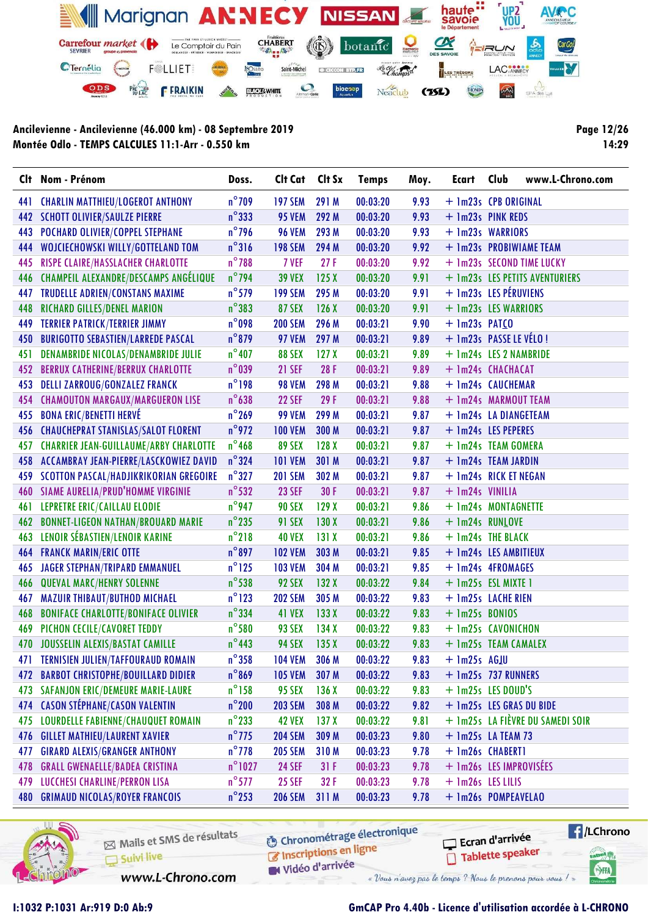

Page 12/26 14:29

|     | Clt Nom - Prénom                              | Doss.            | Cit Cat Cit Sx |                  | <b>Temps</b> | Moy. | Ecart                    | Club | www.L-Chrono.com                 |
|-----|-----------------------------------------------|------------------|----------------|------------------|--------------|------|--------------------------|------|----------------------------------|
| 441 | <b>CHARLIN MATTHIEU/LOGEROT ANTHONY</b>       | $n^{\circ}$ 709  | <b>197 SEM</b> | 291 M            | 00:03:20     | 9.93 | + 1m23s CPB ORIGINAL     |      |                                  |
| 442 | <b>SCHOTT OLIVIER/SAULZE PIERRE</b>           | $n^{\circ}$ 333  | <b>95 VEM</b>  | 292 M            | 00:03:20     | 9.93 | + 1m23s PINK REDS        |      |                                  |
| 443 | POCHARD OLIVIER/COPPEL STEPHANE               | $n^{\circ}$ 796  | <b>96 VEM</b>  | 293 M            | 00:03:20     | 9.93 | + 1m23s WARRIORS         |      |                                  |
| 444 | WOJCIECHOWSKI WILLY/GOTTELAND TOM             | $n^{\circ}316$   | <b>198 SEM</b> | 294 M            | 00:03:20     | 9.92 |                          |      | + 1m23s PROBIWIAME TEAM          |
| 445 | RISPE CLAIRE/HASSLACHER CHARLOTTE             | $n^{\circ}$ 788  | 7 VEF          | 27F              | 00:03:20     | 9.92 |                          |      | + 1m23s SECOND TIME LUCKY        |
| 446 | CHAMPEIL ALEXANDRE/DESCAMPS ANGÉLIQUE         | $n^{\circ}$ 794  | <b>39 VEX</b>  | 125X             | 00:03:20     | 9.91 |                          |      | + 1m23s LES PETITS AVENTURIERS   |
| 447 | <b>TRUDELLE ADRIEN/CONSTANS MAXIME</b>        | $n^{\circ}$ 579  | <b>199 SEM</b> | 295 M            | 00:03:20     | 9.91 | + 1m23s LES PÉRUVIENS    |      |                                  |
| 448 | RICHARD GILLES/DENEL MARION                   | $n^{\circ}383$   | <b>87 SEX</b>  | 126X             | 00:03:20     | 9.91 | + 1m23s LES WARRIORS     |      |                                  |
| 449 | <b>TERRIER PATRICK/TERRIER JIMMY</b>          | $n^{\circ}098$   | <b>200 SEM</b> | 296 M            | 00:03:21     | 9.90 | $+$ 1m23s PATCO          |      |                                  |
| 450 | <b>BURIGOTTO SEBASTIEN/LARREDE PASCAL</b>     | $n^{\circ}$ 879  | <b>97 VEM</b>  | 297 M            | 00:03:21     | 9.89 | + 1m23s PASSE LE VÉLO !  |      |                                  |
| 451 | <b>DENAMBRIDE NICOLAS/DENAMBRIDE JULIE</b>    | $n^{\circ}$ 407  | <b>88 SEX</b>  | 127X             | 00:03:21     | 9.89 | + 1m24s LES 2 NAMBRIDE   |      |                                  |
| 452 | <b>BERRUX CATHERINE/BERRUX CHARLOTTE</b>      | $n^{\circ}$ 039  | <b>21 SEF</b>  | 28F              | 00:03:21     | 9.89 | + 1m24s CHACHACAT        |      |                                  |
| 453 | <b>DELLI ZARROUG/GONZALEZ FRANCK</b>          | $n^{\circ}$ 198  | <b>98 VEM</b>  | 298 M            | 00:03:21     | 9.88 | + 1m24s CAUCHEMAR        |      |                                  |
| 454 | <b>CHAMOUTON MARGAUX/MARGUERON LISE</b>       | $n^{\circ}638$   | <b>22 SEF</b>  | 29F              | 00:03:21     | 9.88 | + 1m24s MARMOUT TEAM     |      |                                  |
| 455 | <b>BONA ERIC/BENETTI HERVÉ</b>                | $n^{\circ}$ 269  | <b>99 VEM</b>  | 299 M            | 00:03:21     | 9.87 | + 1m24s LA DIANGETEAM    |      |                                  |
| 456 | <b>CHAUCHEPRAT STANISLAS/SALOT FLORENT</b>    | $n^{\circ}$ 972  | <b>100 VEM</b> | 300 M            | 00:03:21     | 9.87 | + 1m24s LES PEPERES      |      |                                  |
| 457 | <b>CHARRIER JEAN-GUILLAUME/ARBY CHARLOTTE</b> | $n^{\circ}$ 468  | 89 SEX         | 128X             | 00:03:21     | 9.87 | + 1m24s TEAM GOMERA      |      |                                  |
| 458 | ACCAMBRAY JEAN-PIERRE/LASCKOWIEZ DAVID        | $n^{\circ}$ 324  | <b>101 VEM</b> | 301 M            | 00:03:21     | 9.87 | + 1m24s TEAM JARDIN      |      |                                  |
| 459 | SCOTTON PASCAL/HADJIKRIKORIAN GREGOIRE        | $n^{\circ}327$   | <b>201 SEM</b> | 302 M            | 00:03:21     | 9.87 | + 1m24s RICK ET NEGAN    |      |                                  |
| 460 | SIAME AURELIA/PRUD'HOMME VIRGINIE             | $n^{\circ}$ 532  | <b>23 SEF</b>  | 30 F             | 00:03:21     | 9.87 | + 1m24s VINILIA          |      |                                  |
| 461 | LEPRETRE ERIC/CAILLAU ELODIE                  | $n^{\circ}$ 947  | <b>90 SEX</b>  | 129X             | 00:03:21     | 9.86 | + 1m24s MONTAGNETTE      |      |                                  |
|     | 462 BONNET-LIGEON NATHAN/BROUARD MARIE        | $n^{\circ}$ 235  | <b>91 SEX</b>  | 130X             | 00:03:21     | 9.86 | + 1m24s RUNLOVE          |      |                                  |
| 463 | LENOIR SÉBASTIEN/LENOIR KARINE                | $n^{\circ}$ 218  | <b>40 VEX</b>  | 131X             | 00:03:21     | 9.86 | + 1m24s THE BLACK        |      |                                  |
| 464 | <b>FRANCK MARIN/ERIC OTTE</b>                 | $n^{\circ}897$   | <b>102 VEM</b> | 303 M            | 00:03:21     | 9.85 | + 1m24s LES AMBITIEUX    |      |                                  |
| 465 | <b>JAGER STEPHAN/TRIPARD EMMANUEL</b>         | $n^{\circ}$ 125  | <b>103 VEM</b> | 304 M            | 00:03:21     | 9.85 | + 1m24s 4FROMAGES        |      |                                  |
| 466 | <b>QUEVAL MARC/HENRY SOLENNE</b>              | $n^{\circ}$ 538  | 92 SEX         | 132X             | 00:03:22     | 9.84 | + 1m25s ESL MIXTE 1      |      |                                  |
| 467 | <b>MAZUIR THIBAUT/BUTHOD MICHAEL</b>          | $n^{\circ}$ 123  | <b>202 SEM</b> | 305 M            | 00:03:22     | 9.83 | + 1m25s LACHE RIEN       |      |                                  |
| 468 | <b>BONIFACE CHARLOTTE/BONIFACE OLIVIER</b>    | $n^{\circ}$ 334  | <b>41 VEX</b>  | 133X             | 00:03:22     | 9.83 | $+$ 1m25s BONIOS         |      |                                  |
| 469 | PICHON CECILE/CAVORET TEDDY                   | $n^{\circ}$ 580  | <b>93 SEX</b>  | 134X             | 00:03:22     | 9.83 | + 1m25s CAVONICHON       |      |                                  |
|     | 470 JOUSSELIN ALEXIS/BASTAT CAMILLE           | $n^{\circ}$ 443  | <b>94 SEX</b>  | 135X             | 00:03:22     | 9.83 | + 1m25s TEAM CAMALEX     |      |                                  |
| 471 | <b>TERNISIEN JULIEN/TAFFOURAUD ROMAIN</b>     | $n^{\circ}$ 358  | <b>104 VEM</b> | 306 M            | 00:03:22     | 9.83 | $+$ 1m25s AGJU           |      |                                  |
| 472 | <b>BARBOT CHRISTOPHE/BOUILLARD DIDIER</b>     | $n^{\circ}869$   | <b>105 VEM</b> | 307 M            | 00:03:22     | 9.83 | + 1m25s 737 RUNNERS      |      |                                  |
| 473 | <b>SAFANJON ERIC/DEMEURE MARIE-LAURE</b>      | $n^{\circ}$ 158  | <b>95 SEX</b>  | 136X             | 00:03:22     | 9.83 | $+$ 1m25s LES DOUD'S     |      |                                  |
| 474 | <b>CASON STÉPHANE/CASON VALENTIN</b>          | $n^{\circ}$ 200  | <b>203 SEM</b> | 308 M            | 00:03:22     | 9.82 | + 1m25s LES GRAS DU BIDE |      |                                  |
| 475 | <b>LOURDELLE FABIENNE/CHAUQUET ROMAIN</b>     | $n^{\circ}$ 233  | <b>42 VEX</b>  | 137 <sub>X</sub> | 00:03:22     | 9.81 |                          |      | + 1m25s LA FIÈVRE DU SAMEDI SOIR |
| 476 | <b>GILLET MATHIEU/LAURENT XAVIER</b>          | $n^{\circ}$ 775  | <b>204 SEM</b> | 309 M            | 00:03:23     | 9.80 | $+$ 1m25s LA TEAM 73     |      |                                  |
| 477 | <b>GIRARD ALEXIS/GRANGER ANTHONY</b>          | $n^{\circ}$ 778  | <b>205 SEM</b> | 310 M            | 00:03:23     | 9.78 | + 1m26s CHABERT1         |      |                                  |
| 478 | <b>GRALL GWENAELLE/BADEA CRISTINA</b>         | $n^{\circ}$ 1027 | <b>24 SEF</b>  | 31F              | 00:03:23     | 9.78 | + 1m26s LES IMPROVISÉES  |      |                                  |
| 479 | LUCCHESI CHARLINE/PERRON LISA                 | $n^{\circ}$ 577  | <b>25 SEF</b>  | 32F              | 00:03:23     | 9.78 | + 1m26s LES LILIS        |      |                                  |
| 480 | <b>GRIMAUD NICOLAS/ROYER FRANCOIS</b>         | $n^{\circ}$ 253  | <b>206 SEM</b> | 311 M            | 00:03:23     | 9.78 | + 1m26s POMPEAVELAO      |      |                                  |



Mails et SMS de résultats Suivi live

**6** Chronométrage électronique C Inscriptions en ligne

W Vidéo d'arrivée

Ecran d'arrivée Tablette speaker



www.L-Chrono.com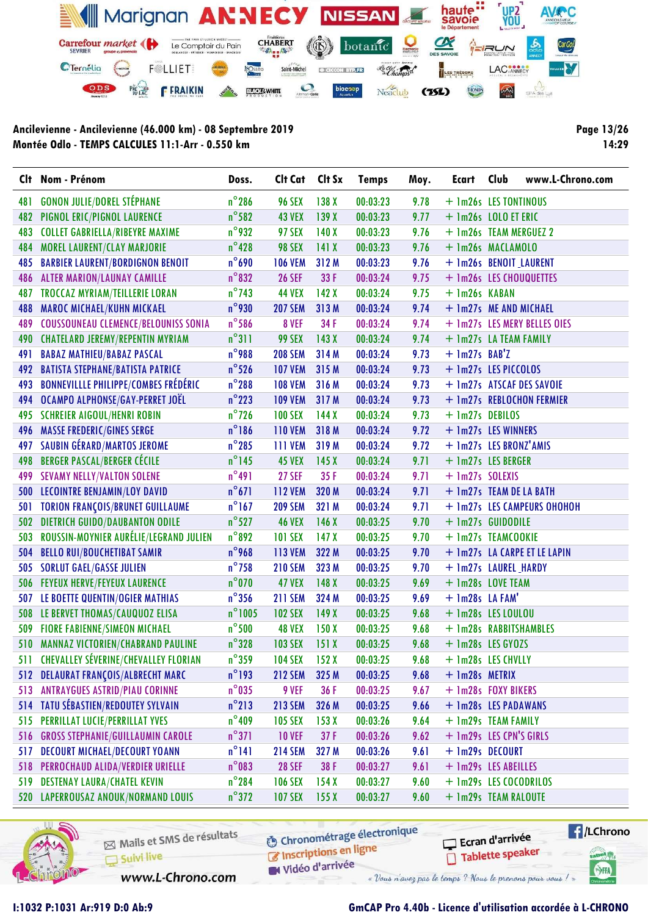

Page 13/26 14:29

|     | Clt Nom - Prénom                            | Doss.            | Clt Cat             | Clt Sx           | <b>Temps</b> | Moy. | Ecart                     | Club | www.L-Chrono.com             |
|-----|---------------------------------------------|------------------|---------------------|------------------|--------------|------|---------------------------|------|------------------------------|
| 481 | <b>GONON JULIE/DOREL STÉPHANE</b>           | $n^{\circ}$ 286  | <b>96 SEX</b>       | 138 X            | 00:03:23     | 9.78 | + 1m26s LES TONTINOUS     |      |                              |
| 482 | PIGNOL ERIC/PIGNOL LAURENCE                 | $n^{\circ}$ 582  | <b>43 VEX</b>       | 139X             | 00:03:23     | 9.77 | + 1m26s LOLO ET ERIC      |      |                              |
| 483 | <b>COLLET GABRIELLA/RIBEYRE MAXIME</b>      | $n^{\circ}$ 932  | <b>97 SEX</b>       | 140X             | 00:03:23     | 9.76 | + 1m26s TEAM MERGUEZ 2    |      |                              |
| 484 | MOREL LAURENT/CLAY MARJORIE                 | $n^{\circ}$ 428  | <b>98 SEX</b>       | 141X             | 00:03:23     | 9.76 | + 1m26s MACLAMOLO         |      |                              |
| 485 | <b>BARBIER LAURENT/BORDIGNON BENOIT</b>     | $n^{\circ}$ 690  | <b>106 VEM</b>      | 312 M            | 00:03:23     | 9.76 | + 1m26s BENOIT_LAURENT    |      |                              |
| 486 | <b>ALTER MARION/LAUNAY CAMILLE</b>          | $n^{\circ}832$   | <b>26 SEF</b>       | 33 F             | 00:03:24     | 9.75 | + 1m26s LES CHOUQUETTES   |      |                              |
| 487 | TROCCAZ MYRIAM/TEILLERIE LORAN              | $n^{\circ}$ 743  | <b>44 VEX</b>       | 142X             | 00:03:24     | 9.75 | + 1m26s KABAN             |      |                              |
| 488 | <b>MAROC MICHAEL/KUHN MICKAEL</b>           | $n^{\circ}$ 930  | <b>207 SEM</b>      | 313M             | 00:03:24     | 9.74 | + 1m27s ME AND MICHAEL    |      |                              |
| 489 | <b>COUSSOUNEAU CLEMENCE/BELOUNISS SONIA</b> | $n^{\circ}$ 586  | 8 VEF               | 34 F             | 00:03:24     | 9.74 |                           |      | + 1m27s LES MERY BELLES OIES |
| 490 | <b>CHATELARD JEREMY/REPENTIN MYRIAM</b>     | $n^{\circ}311$   | 99 SEX              | 143X             | 00:03:24     | 9.74 | + 1m27s LA TEAM FAMILY    |      |                              |
| 491 | <b>BABAZ MATHIEU/BABAZ PASCAL</b>           | $n^{\circ}$ 988  | <b>208 SEM</b>      | 314 M            | 00:03:24     | 9.73 | $+$ 1m27s BAB'Z           |      |                              |
| 492 | <b>BATISTA STEPHANE/BATISTA PATRICE</b>     | $n^{\circ}$ 526  | <b>107 VEM</b>      | 315 M            | 00:03:24     | 9.73 | + 1m27s LES PICCOLOS      |      |                              |
| 493 | <b>BONNEVILLLE PHILIPPE/COMBES FRÉDÉRIC</b> | $n^{\circ}$ 288  | <b>108 VEM</b>      | 316 M            | 00:03:24     | 9.73 |                           |      | + 1m27s ATSCAF DES SAVOIE    |
| 494 | OCAMPO ALPHONSE/GAY-PERRET JOËL             | $n^{\circ}$ 223  | <b>109 VEM</b>      | 317 M            | 00:03:24     | 9.73 |                           |      | + 1m27s REBLOCHON FERMIER    |
| 495 | <b>SCHREIER AIGOUL/HENRI ROBIN</b>          | $n^{\circ}$ 726  | <b>100 SEX</b>      | 144X             | 00:03:24     | 9.73 | + 1m27s DEBILOS           |      |                              |
| 496 | <b>MASSE FREDERIC/GINES SERGE</b>           | $n^{\circ}$ 186  | <b>110 VEM</b>      | 318 M            | 00:03:24     | 9.72 | + 1m27s LES WINNERS       |      |                              |
| 497 | SAUBIN GÉRARD/MARTOS JEROME                 | $n^{\circ}$ 285  | 111 VEM             | 319 M            | 00:03:24     | 9.72 | + 1m27s LES BRONZ'AMIS    |      |                              |
| 498 | <b>BERGER PASCAL/BERGER CÉCILE</b>          | $n^{\circ}$ 145  | <b>45 VEX</b>       | 145X             | 00:03:24     | 9.71 | + 1m27s LES BERGER        |      |                              |
| 499 | <b>SEVAMY NELLY/VALTON SOLENE</b>           | $n^{\circ}491$   | <b>27 SEF</b>       | 35F              | 00:03:24     | 9.71 | + 1m27s SOLEXIS           |      |                              |
|     | 500 LECOINTRE BENJAMIN/LOY DAVID            | $n^{\circ}671$   | <b>112 VEM</b>      | 320 M            | 00:03:24     | 9.71 | + 1m27s TEAM DE LA BATH   |      |                              |
| 501 | <b>TORION FRANÇOIS/BRUNET GUILLAUME</b>     | $n^{\circ}$ 167  | <b>209 SEM</b>      | 321 M            | 00:03:24     | 9.71 |                           |      | + 1m27s LES CAMPEURS OHOHOH  |
| 502 | <b>DIETRICH GUIDO/DAUBANTON ODILE</b>       | $n^{\circ}$ 527  | <b>46 VEX</b>       | 146X             | 00:03:25     | 9.70 | + 1m27s GUIDODILE         |      |                              |
| 503 | ROUSSIN-MOYNIER AURÉLIE/LEGRAND JULIEN      | $n^{\circ}892$   | <b>101 SEX</b>      | 147 <sub>X</sub> | 00:03:25     | 9.70 | + 1m27s TEAMCOOKIE        |      |                              |
| 504 | <b>BELLO RUI/BOUCHETIBAT SAMIR</b>          | $n^{\circ}$ 968  | <b>113 VEM</b>      | 322 M            | 00:03:25     | 9.70 |                           |      | + 1m27s LA CARPE ET LE LAPIN |
| 505 | <b>SORLUT GAEL/GASSE JULIEN</b>             | $n^{\circ}$ 758  | <b>210 SEM</b>      | 323 M            | 00:03:25     | 9.70 | + 1m27s LAUREL HARDY      |      |                              |
| 506 | <b>FEYEUX HERVE/FEYEUX LAURENCE</b>         | $n^{\circ}$ 070  | <b>47 VEX</b>       | 148X             | 00:03:25     | 9.69 | + 1m28s LOVE TEAM         |      |                              |
| 507 | LE BOETTE QUENTIN/OGIER MATHIAS             | $n^{\circ}$ 356  | <b>211 SEM</b>      | 324 M            | 00:03:25     | 9.69 | + 1m28s LA FAM'           |      |                              |
| 508 | LE BERVET THOMAS/CAUQUOZ ELISA              | $n^{\circ}$ 1005 | <b>102 SEX</b>      | 149X             | 00:03:25     | 9.68 | + 1m28s LES LOULOU        |      |                              |
| 509 | <b>FIORE FABIENNE/SIMEON MICHAEL</b>        | $n^{\circ}$ 500  | <b>48 VEX</b>       | 150X             | 00:03:25     | 9.68 | + 1m28s RABBITSHAMBLES    |      |                              |
| 510 | <b>MANNAZ VICTORIEN/CHABRAND PAULINE</b>    | $n^{\circ}328$   | <b>103 SEX</b>      | 151X             | 00:03:25     | 9.68 | + 1m28s LES GY0ZS         |      |                              |
|     | 511 CHEVALLEY SÉVERINE/CHEVALLEY FLORIAN    |                  | n°359 104 SEX 152 X |                  | 00:03:25     |      | $9.68 + 1m28s$ LES CHVLLY |      |                              |
| 512 | <b>DELAURAT FRANÇOIS/ALBRECHT MARC</b>      | $n^{\circ}$ 193  | <b>212 SEM</b>      | 325 M            | 00:03:25     | 9.68 | + 1m28s METRIX            |      |                              |
| 513 | <b>ANTRAYGUES ASTRID/PIAU CORINNE</b>       | $n^{\circ}$ 035  | 9 VEF               | 36 F             | 00:03:25     | 9.67 | + 1m28s FOXY BIKERS       |      |                              |
| 514 | TATU SÉBASTIEN/REDOUTEY SYLVAIN             | $n^{\circ}$ 213  | <b>213 SEM</b>      | 326 M            | 00:03:25     | 9.66 | + 1m28s LES PADAWANS      |      |                              |
| 515 | PERRILLAT LUCIE/PERRILLAT YVES              | $n^{\circ}$ 409  | <b>105 SEX</b>      | 153X             | 00:03:26     | 9.64 | + 1m29s TEAM FAMILY       |      |                              |
| 516 | <b>GROSS STEPHANIE/GUILLAUMIN CAROLE</b>    | $n^{\circ}371$   | <b>10 VEF</b>       | 37F              | 00:03:26     | 9.62 | + 1m29s LES CPN'S GIRLS   |      |                              |
| 517 | <b>DECOURT MICHAEL/DECOURT YOANN</b>        | $n^{\circ}$ 141  | <b>214 SEM</b>      | 327 M            | 00:03:26     | 9.61 | + 1m29s DECOURT           |      |                              |
| 518 | PERROCHAUD ALIDA/VERDIER URIELLE            | $n^{\circ}$ 083  | <b>28 SEF</b>       | 38F              | 00:03:27     | 9.61 | + 1m29s LES ABEILLES      |      |                              |
| 519 | <b>DESTENAY LAURA/CHATEL KEVIN</b>          | $n^{\circ}$ 284  | <b>106 SEX</b>      | 154X             | 00:03:27     | 9.60 | + 1m29s LES COCODRILOS    |      |                              |
|     | 520 LAPERROUSAZ ANOUK/NORMAND LOUIS         | $n^{\circ}372$   | <b>107 SEX</b>      | 155X             | 00:03:27     | 9.60 | + 1m29s TEAM RALOUTE      |      |                              |



Mails et SMS de résultats Suivi live

**6** Chronométrage électronique Inscriptions en ligne

www.L-Chrono.com

Vidéo d'arrivée

Tablette speaker « Vous n'avez pas le temps ? Nous le prenons pour vous !

 $\sqrt{1}$ /LChrono cation<sub>()</sub>

SHA

Ecran d'arrivée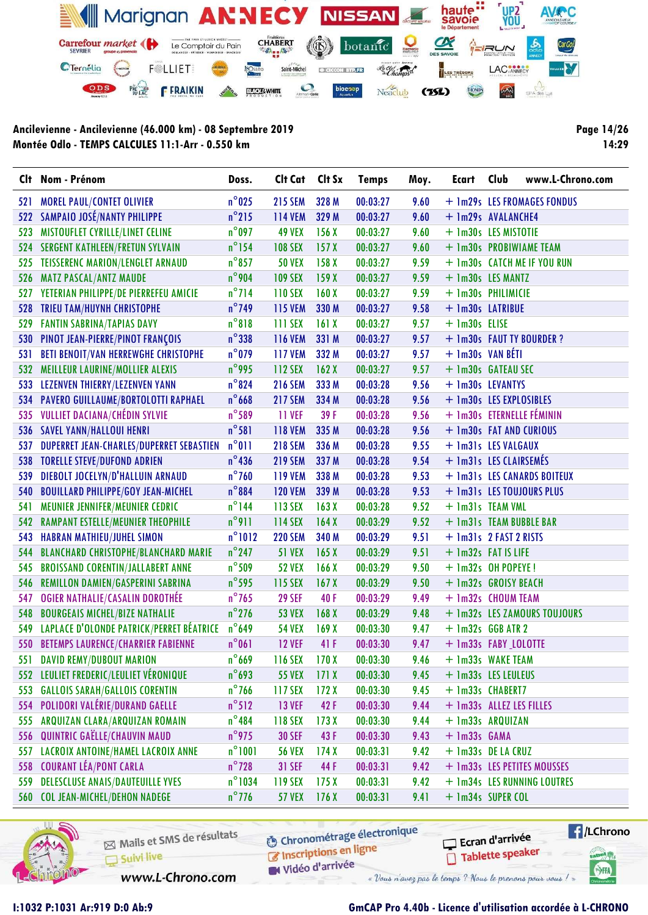

Page 14/26 14:29

|     | Clt Nom - Prénom                            | Doss.            | Clt Cat        | Clt Sx           | <b>Temps</b> | Moy. | <b>Ecart</b>             | Club | www.L-Chrono.com             |
|-----|---------------------------------------------|------------------|----------------|------------------|--------------|------|--------------------------|------|------------------------------|
| 521 | <b>MOREL PAUL/CONTET OLIVIER</b>            | $n^{\circ}$ 025  | <b>215 SEM</b> | 328 M            | 00:03:27     | 9.60 |                          |      | + 1m29s LES FROMAGES FONDUS  |
| 522 | <b>SAMPAIO JOSÉ/NANTY PHILIPPE</b>          | $n^{\circ}$ 215  | <b>114 VEM</b> | 329 M            | 00:03:27     | 9.60 | + 1m29s AVALANCHE4       |      |                              |
| 523 | MISTOUFLET CYRILLE/LINET CELINE             | $n^{\circ}$ 097  | <b>49 VEX</b>  | 156X             | 00:03:27     | 9.60 | + 1m30s LES MISTOTIE     |      |                              |
| 524 | <b>SERGENT KATHLEEN/FRETUN SYLVAIN</b>      | $n^{\circ}$ 154  | <b>108 SEX</b> | 157X             | 00:03:27     | 9.60 |                          |      | + 1m30s PROBIWIAME TEAM      |
| 525 | <b>TEISSERENC MARION/LENGLET ARNAUD</b>     | $n^{\circ}$ 857  | <b>50 VEX</b>  | 158X             | 00:03:27     | 9.59 |                          |      | + 1m30s CATCH ME IF YOU RUN  |
| 526 | <b>MATZ PASCAL/ANTZ MAUDE</b>               | $n^{\circ}$ 904  | <b>109 SEX</b> | 159X             | 00:03:27     | 9.59 | + 1m30s LES MANTZ        |      |                              |
| 527 | YETERIAN PHILIPPE/DE PIERREFEU AMICIE       | $n^{\circ}$ 714  | <b>110 SEX</b> | 160X             | 00:03:27     | 9.59 | + 1m30s PHILIMICIE       |      |                              |
| 528 | <b>TRIEU TAM/HUYNH CHRISTOPHE</b>           | $n^{\circ}$ 749  | <b>115 VEM</b> | 330 M            | 00:03:27     | 9.58 | + 1m30s LATRIBUE         |      |                              |
| 529 | <b>FANTIN SABRINA/TAPIAS DAVY</b>           | $n^{\circ}818$   | 111 SEX        | 161X             | 00:03:27     | 9.57 | + 1m30s ELISE            |      |                              |
| 530 | PINOT JEAN-PIERRE/PINOT FRANÇOIS            | $n^{\circ}$ 338  | <b>116 VEM</b> | 331 M            | 00:03:27     | 9.57 |                          |      | + 1m30s FAUT TY BOURDER ?    |
| 531 | <b>BETI BENOIT/VAN HERREWGHE CHRISTOPHE</b> | $n^{\circ}$ 079  | <b>117 VEM</b> | 332 M            | 00:03:27     | 9.57 | $+$ 1m30s VAN BÉTI       |      |                              |
| 532 | MEILLEUR LAURINE/MOLLIER ALEXIS             | $n^{\circ}$ 995  | 112 SEX        | 162X             | 00:03:27     | 9.57 | + 1m30s GATEAU SEC       |      |                              |
| 533 | LEZENVEN THIERRY/LEZENVEN YANN              | $n^{\circ}824$   | <b>216 SEM</b> | 333 M            | 00:03:28     | 9.56 | + 1m30s LEVANTYS         |      |                              |
| 534 | PAVERO GUILLAUME/BORTOLOTTI RAPHAEL         | $n^{\circ}$ 668  | <b>217 SEM</b> | 334 M            | 00:03:28     | 9.56 | + 1m30s LES EXPLOSIBLES  |      |                              |
| 535 | <b>VULLIET DACIANA/CHÉDIN SYLVIE</b>        | $n^{\circ}$ 589  | <b>11 VEF</b>  | 39 F             | 00:03:28     | 9.56 |                          |      | + 1m30s ETERNELLE FÉMININ    |
| 536 | <b>SAVEL YANN/HALLOUI HENRI</b>             | $n^{\circ}$ 581  | <b>118 VEM</b> | 335 M            | 00:03:28     | 9.56 | + 1m30s FAT AND CURIOUS  |      |                              |
| 537 | DUPERRET JEAN-CHARLES/DUPERRET SEBASTIEN    | $n^{\circ}011$   | <b>218 SEM</b> | 336 M            | 00:03:28     | 9.55 | + 1m31s LES VALGAUX      |      |                              |
| 538 | <b>TORELLE STEVE/DUFOND ADRIEN</b>          | $n^{\circ}$ 436  | <b>219 SEM</b> | 337 M            | 00:03:28     | 9.54 | + 1m31s LES CLAIRSEMÉS   |      |                              |
| 539 | DIEBOLT JOCELYN/D'HALLUIN ARNAUD            | $n^{\circ}$ 760  | <b>119 VEM</b> | 338 M            | 00:03:28     | 9.53 |                          |      | + 1m31s LES CANARDS BOITEUX  |
| 540 | <b>BOUILLARD PHILIPPE/GOY JEAN-MICHEL</b>   | $n^{\circ}884$   | <b>120 VEM</b> | 339 M            | 00:03:28     | 9.53 |                          |      | + 1m31s LES TOUJOURS PLUS    |
| 541 | MEUNIER JENNIFER/MEUNIER CEDRIC             | $n^{\circ}$ 144  | 113 SEX        | 163X             | 00:03:28     | 9.52 | + 1m31s TEAM VML         |      |                              |
| 542 | <b>RAMPANT ESTELLE/MEUNIER THEOPHILE</b>    | $n^{\circ}911$   | 114 SEX        | 164X             | 00:03:29     | 9.52 | + 1m31s TEAM BUBBLE BAR  |      |                              |
| 543 | <b>HABRAN MATHIEU/JUHEL SIMON</b>           | $n^{\circ}1012$  | <b>220 SEM</b> | 340 M            | 00:03:29     | 9.51 | + 1m31s 2 FAST 2 RISTS   |      |                              |
| 544 | <b>BLANCHARD CHRISTOPHE/BLANCHARD MARIE</b> | $n^{\circ}$ 247  | <b>51 VEX</b>  | 165X             | 00:03:29     | 9.51 | + 1m32s FAT IS LIFE      |      |                              |
| 545 | <b>BROISSAND CORENTIN/JALLABERT ANNE</b>    | $n^{\circ}$ 509  | <b>52 VEX</b>  | 166X             | 00:03:29     | 9.50 | $+$ 1m32s OH POPEYE!     |      |                              |
| 546 | REMILLON DAMIEN/GASPERINI SABRINA           | $n^{\circ}$ 595  | 115 SEX        | 167 <sub>X</sub> | 00:03:29     | 9.50 | + 1m32s GROISY BEACH     |      |                              |
| 547 | <b>OGIER NATHALIE/CASALIN DOROTHÉE</b>      | $n^{\circ}$ 765  | <b>29 SEF</b>  | 40F              | 00:03:29     | 9.49 | + 1m32s CHOUM TEAM       |      |                              |
| 548 | <b>BOURGEAIS MICHEL/BIZE NATHALIE</b>       | $n^{\circ}$ 276  | <b>53 VEX</b>  | 168 <sub>X</sub> | 00:03:29     | 9.48 |                          |      | + 1m32s LES ZAMOURS TOUJOURS |
| 549 | LAPLACE D'OLONDE PATRICK/PERRET BÉATRICE    | $n^{\circ}$ 649  | <b>54 VEX</b>  | 169X             | 00:03:30     | 9.47 | $+$ 1m32s GGB ATR 2      |      |                              |
| 550 | <b>BETEMPS LAURENCE/CHARRIER FABIENNE</b>   | $n^{\circ}061$   | <b>12 VEF</b>  | 41 F             | 00:03:30     | 9.47 | + 1m33s FABY LOLOTTE     |      |                              |
| 551 | <b>DAVID REMY/DUBOUT MARION</b>             | $n^{\circ}$ 669  | <b>116 SEX</b> | 170X             | 00:03:30     | 9.46 | + 1m33s WAKE TEAM        |      |                              |
|     | 552 LEULIET FREDERIC/LEULIET VÉRONIQUE      | $n^{\circ}$ 693  | <b>55 VEX</b>  | 171X             | 00:03:30     | 9.45 | + 1m33s LES LEULEUS      |      |                              |
| 553 | <b>GALLOIS SARAH/GALLOIS CORENTIN</b>       | $n^{\circ}$ 766  | 117 SEX        | 172X             | 00:03:30     | 9.45 | + 1m33s CHABERT7         |      |                              |
| 554 | POLIDORI VALÉRIE/DURAND GAELLE              | $n^{\circ}512$   | <b>13 VEF</b>  | 42F              | 00:03:30     | 9.44 | + 1m33s ALLEZ LES FILLES |      |                              |
| 555 | ARQUIZAN CLARA/ARQUIZAN ROMAIN              | $n^{\circ}$ 484  | 118 SEX        | 173X             | 00:03:30     | 9.44 | + 1m33s ARQUIZAN         |      |                              |
| 556 | QUINTRIC GAËLLE/CHAUVIN MAUD                | $n^{\circ}$ 975  | <b>30 SEF</b>  | 43F              | 00:03:30     | 9.43 | $+$ 1m33s $GAMA$         |      |                              |
| 557 | LACROIX ANTOINE/HAMEL LACROIX ANNE          | $n^{\circ}1001$  | <b>56 VEX</b>  | 174X             | 00:03:31     | 9.42 | + 1m33s DE LA CRUZ       |      |                              |
| 558 | <b>COURANT LÉA/PONT CARLA</b>               | $n^{\circ}$ 728  | <b>31 SEF</b>  | 44 F             | 00:03:31     | 9.42 |                          |      | + 1m33s LES PETITES MOUSSES  |
| 559 | <b>DELESCLUSE ANAIS/DAUTEUILLE YVES</b>     | $n^{\circ}$ 1034 | 119 SEX        | 175X             | 00:03:31     | 9.42 |                          |      | + 1m34s LES RUNNING LOUTRES  |
|     | 560 COL JEAN-MICHEL/DEHON NADEGE            | $n^{\circ}$ 776  | <b>57 VEX</b>  | 176X             | 00:03:31     | 9.41 | + 1m34s SUPER COL        |      |                              |



Mails et SMS de résultats Suivi live

www.L-Chrono.com

**6** Chronométrage électronique C Inscriptions en ligne

W Vidéo d'arrivée

Ecran d'arrivée Tablette speaker

 $\sqrt{1}$ /LChrono tabel<sub>()</sub>

SHA

### I:1032 P:1031 Ar:919 D:0 Ab:9 GmCAP Pro 4.40b - Licence d'utilisation accordée à L-CHRONO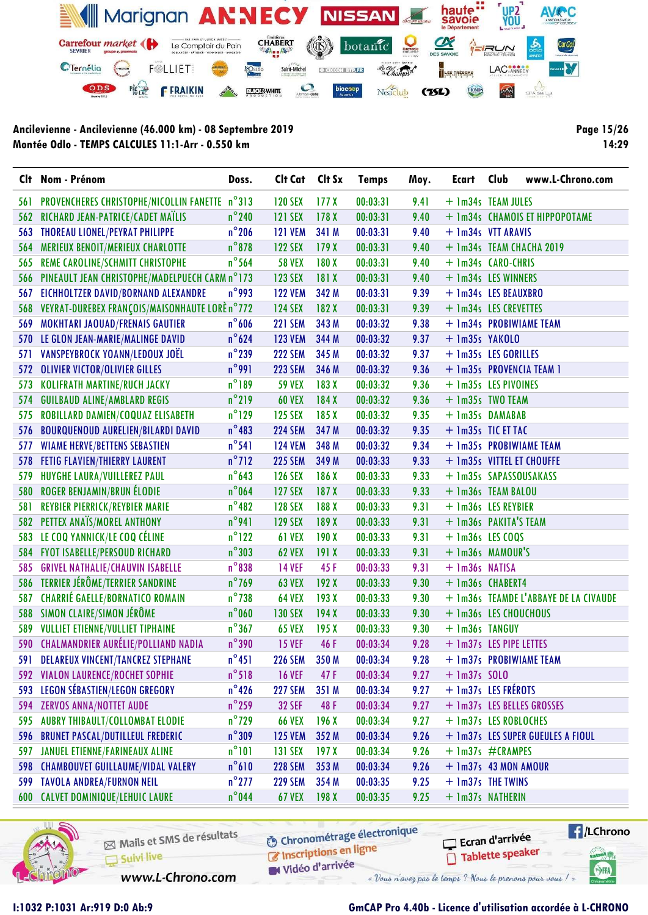

Page 15/26 14:29

|      | Clt Nom - Prénom                               | Doss.           | Clt Cat        | Clt Sx           | <b>Temps</b> | Moy. | Ecart                   | Club | www.L-Chrono.com                      |
|------|------------------------------------------------|-----------------|----------------|------------------|--------------|------|-------------------------|------|---------------------------------------|
| 56 I | PROVENCHERES CHRISTOPHE/NICOLLIN FANETTE n°313 |                 | <b>120 SEX</b> | 177 <sub>X</sub> | 00:03:31     | 9.41 | + 1m34s TEAM JULES      |      |                                       |
| 562  | RICHARD JEAN-PATRICE/CADET MAÏLIS              | $n^{\circ}$ 240 | <b>121 SEX</b> | 178X             | 00:03:31     | 9.40 |                         |      | + 1m34s CHAMOIS ET HIPPOPOTAME        |
| 563  | THOREAU LIONEL/PEYRAT PHILIPPE                 | $n^{\circ}$ 206 | <b>121 VEM</b> | 341 M            | 00:03:31     | 9.40 | + 1m34s VTT ARAVIS      |      |                                       |
| 564  | <b>MERIEUX BENOIT/MERIEUX CHARLOTTE</b>        | $n^{\circ}$ 878 | <b>122 SEX</b> | 179X             | 00:03:31     | 9.40 |                         |      | + 1m34s TEAM CHACHA 2019              |
| 565  | REME CAROLINE/SCHMITT CHRISTOPHE               | $n^{\circ}$ 564 | <b>58 VEX</b>  | 180X             | 00:03:31     | 9.40 | + 1m34s CARO-CHRIS      |      |                                       |
| 566  | PINEAULT JEAN CHRISTOPHE/MADELPUECH CARM n°173 |                 | <b>123 SEX</b> | 181 X            | 00:03:31     | 9.40 | + 1m34s LES WINNERS     |      |                                       |
| 567  | <b>EICHHOLTZER DAVID/BORNAND ALEXANDRE</b>     | $n^{\circ}$ 993 | <b>122 VEM</b> | 342 M            | 00:03:31     | 9.39 | + 1m34s LES BEAUXBRO    |      |                                       |
| 568  | VEYRAT-DUREBEX FRANÇOIS/MAISONHAUTE LORÈ n°772 |                 | <b>124 SEX</b> | 182X             | 00:03:31     | 9.39 | + 1m34s LES CREVETTES   |      |                                       |
| 569  | <b>MOKHTARI JAOUAD/FRENAIS GAUTIER</b>         | $n^{\circ}$ 606 | <b>221 SEM</b> | 343 M            | 00:03:32     | 9.38 |                         |      | + 1m34s PROBIWIAME TEAM               |
| 570  | LE GLON JEAN-MARIE/MALINGE DAVID               | $n^{\circ}624$  | <b>123 VEM</b> | 344 M            | 00:03:32     | 9.37 | + 1m35s YAKOLO          |      |                                       |
| 571  | VANSPEYBROCK YOANN/LEDOUX JOËL                 | $n^{\circ}$ 239 | <b>222 SEM</b> | 345 M            | 00:03:32     | 9.37 | + 1m35s LES GORILLES    |      |                                       |
| 572  | <b>OLIVIER VICTOR/OLIVIER GILLES</b>           | $n^{\circ}$ 991 | <b>223 SEM</b> | 346 M            | 00:03:32     | 9.36 |                         |      | + 1m35s PROVENCIA TEAM 1              |
| 573  | <b>KOLIFRATH MARTINE/RUCH JACKY</b>            | $n^{\circ}189$  | <b>59 VEX</b>  | 183 X            | 00:03:32     | 9.36 | + 1m35s LES PIVOINES    |      |                                       |
| 574  | <b>GUILBAUD ALINE/AMBLARD REGIS</b>            | $n^{\circ}$ 219 | <b>60 VEX</b>  | 184X             | 00:03:32     | 9.36 | + 1m35s TWO TEAM        |      |                                       |
| 575  | ROBILLARD DAMIEN/COQUAZ ELISABETH              | $n^{\circ}$ 129 | <b>125 SEX</b> | 185X             | 00:03:32     | 9.35 | + 1m35s DAMABAB         |      |                                       |
| 576  | <b>BOURQUENOUD AURELIEN/BILARDI DAVID</b>      | $n^{\circ}483$  | <b>224 SEM</b> | 347 M            | 00:03:32     | 9.35 | + 1m35s TIC ET TAC      |      |                                       |
| 577  | <b>WIAME HERVE/BETTENS SEBASTIEN</b>           | $n^{\circ}$ 541 | <b>124 VEM</b> | 348 M            | 00:03:32     | 9.34 |                         |      | + 1m35s PROBIWIAME TEAM               |
| 578  | <b>FETIG FLAVIEN/THIERRY LAURENT</b>           | $n^{\circ}$ 712 | <b>225 SEM</b> | 349 M            | 00:03:33     | 9.33 |                         |      | + 1m35s VITTEL ET CHOUFFE             |
| 579  | HUYGHE LAURA/VUILLEREZ PAUL                    | $n^{\circ}$ 643 | <b>126 SEX</b> | 186 X            | 00:03:33     | 9.33 | + 1m35s SAPASSOUSAKASS  |      |                                       |
| 580  | <b>ROGER BENJAMIN/BRUN ÉLODIE</b>              | $n^{\circ}$ 064 | <b>127 SEX</b> | 187X             | 00:03:33     | 9.33 | + 1m36s TEAM BALOU      |      |                                       |
| 581  | <b>REYBIER PIERRICK/REYBIER MARIE</b>          | $n^{\circ}482$  | <b>128 SEX</b> | 188 X            | 00:03:33     | 9.31 | + 1m36s LES REYBIER     |      |                                       |
|      | 582 PETTEX ANAÏS/MOREL ANTHONY                 | $n^{\circ}$ 941 | <b>129 SEX</b> | 189 X            | 00:03:33     | 9.31 | + 1m36s PAKITA'S TEAM   |      |                                       |
| 583  | LE COQ YANNICK/LE COQ CÉLINE                   | $n^{\circ}$ 122 | 61 VEX         | 190X             | 00:03:33     | 9.31 | $+$ 1m36s LES COQS      |      |                                       |
|      | 584 FYOT ISABELLE/PERSOUD RICHARD              | $n^{\circ}303$  | <b>62 VEX</b>  | 191X             | 00:03:33     | 9.31 | + 1m36s MAMOUR'S        |      |                                       |
| 585  | <b>GRIVEL NATHALIE/CHAUVIN ISABELLE</b>        | $n^{\circ}838$  | <b>14 VEF</b>  | 45F              | 00:03:33     | 9.31 | + 1m36s NATISA          |      |                                       |
| 586  | TERRIER JÉRÔME/TERRIER SANDRINE                | $n^{\circ}$ 769 | <b>63 VEX</b>  | 192X             | 00:03:33     | 9.30 | + 1m36s CHABERT4        |      |                                       |
| 587  | <b>CHARRIÉ GAELLE/BORNATICO ROMAIN</b>         | $n^{\circ}$ 738 | <b>64 VEX</b>  | 193X             | 00:03:33     | 9.30 |                         |      | + 1m36s TEAMDE L'ABBAYE DE LA CIVAUDE |
|      | 588 SIMON CLAIRE/SIMON JÉRÔME                  | $n^{\circ}$ 060 | <b>130 SEX</b> | 194X             | 00:03:33     | 9.30 | + 1m36s LES CHOUCHOUS   |      |                                       |
| 589  | <b>VULLIET ETIENNE/VULLIET TIPHAINE</b>        | $n^{\circ}367$  | <b>65 VEX</b>  | 195X             | 00:03:33     | 9.30 | + 1m36s TANGUY          |      |                                       |
|      | 590 CHALMANDRIER AURÉLIE/POLLIAND NADIA        | $n^{\circ}390$  | <b>15 VEF</b>  | 46 F             | 00:03:34     | 9.28 | + 1m37s LES PIPE LETTES |      |                                       |
|      | <b>DELAREUX VINCENT/TANCREZ STEPHANE</b>       | $n^{\circ}451$  | <b>226 SEM</b> | 350 M            | 00:03:34     | 9.28 |                         |      | + 1m37s PROBIWIAME TEAM               |
| 592  | <b>VIALON LAURENCE/ROCHET SOPHIE</b>           | $n^{\circ}518$  | <b>16 VEF</b>  | 47 F             | 00:03:34     | 9.27 | $+$ 1m37s SOLO          |      |                                       |
| 593  | LEGON SÉBASTIEN/LEGON GREGORY                  | $n^{\circ}$ 426 | <b>227 SEM</b> | 351 M            | 00:03:34     | 9.27 | + 1m37s LES FRÉROTS     |      |                                       |
| 594  | <b>ZERVOS ANNA/NOTTET AUDE</b>                 | $n^{\circ}$ 259 | <b>32 SEF</b>  | 48 F             | 00:03:34     | 9.27 |                         |      | + 1m37s LES BELLES GROSSES            |
| 595  | <b>AUBRY THIBAULT/COLLOMBAT ELODIE</b>         | $n^{\circ}$ 729 | <b>66 VEX</b>  | 196X             | 00:03:34     | 9.27 | + 1m37s LES ROBLOCHES   |      |                                       |
| 596  | <b>BRUNET PASCAL/DUTILLEUL FREDERIC</b>        | $n^{\circ}$ 309 | <b>125 VEM</b> | 352 M            | 00:03:34     | 9.26 |                         |      | + 1m37s LES SUPER GUEULES A FIOUL     |
| 597  | <b>JANUEL ETIENNE/FARINEAUX ALINE</b>          | $n^{\circ}101$  | <b>131 SEX</b> | 197X             | 00:03:34     | 9.26 | + 1m37s #CRAMPES        |      |                                       |
| 598  | <b>CHAMBOUVET GUILLAUME/VIDAL VALERY</b>       | $n^{\circ}610$  | <b>228 SEM</b> | 353 M            | 00:03:34     | 9.26 | + 1m37s 43 MON AMOUR    |      |                                       |
| 599  | <b>TAVOLA ANDREA/FURNON NEIL</b>               | $n^{\circ}$ 277 | <b>229 SEM</b> | 354 M            | 00:03:35     | 9.25 | + 1m37s THE TWINS       |      |                                       |
|      | <b>600 CALVET DOMINIQUE/LEHUIC LAURE</b>       | $n^{\circ}$ 044 | <b>67 VEX</b>  | 198X             | 00:03:35     | 9.25 | + 1m37s NATHERIN        |      |                                       |



Mails et SMS de résultats Suivi live

**6** Chronométrage électronique

 $\sqrt{1}$ /LChrono Ecran d'arrivée Tablette speaker

cation<sub>()</sub>

SHA

Inscriptions en ligne Vidéo d'arrivée

www.L-Chrono.com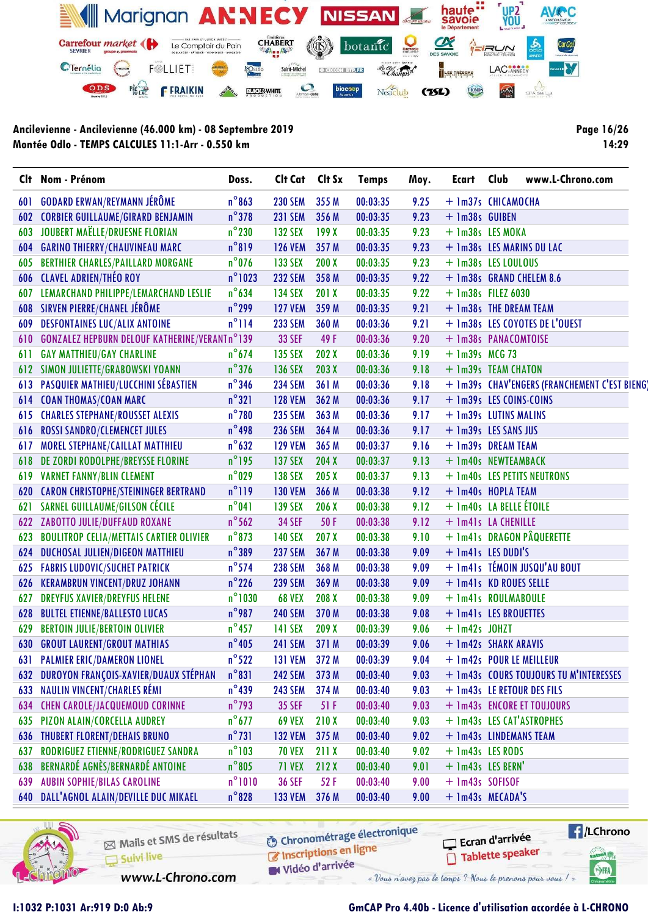

Page 16/26 14:29

| Clt | Nom - Prénom                                         | Doss.            | Clt Cat Clt Sx |       | <b>Temps</b> | Moy. | Ecart                    | Club | www.L-Chrono.com                             |
|-----|------------------------------------------------------|------------------|----------------|-------|--------------|------|--------------------------|------|----------------------------------------------|
| 601 | <b>GODARD ERWAN/REYMANN JÉRÔME</b>                   | $n^{\circ}863$   | <b>230 SEM</b> | 355 M | 00:03:35     | 9.25 | + 1m37s CHICAMOCHA       |      |                                              |
| 602 | <b>CORBIER GUILLAUME/GIRARD BENJAMIN</b>             | $n^{\circ}378$   | <b>231 SEM</b> | 356 M | 00:03:35     | 9.23 | + 1m38s GUIBEN           |      |                                              |
| 603 | JOUBERT MAËLLE/DRUESNE FLORIAN                       | $n^{\circ}$ 230  | <b>132 SEX</b> | 199X  | 00:03:35     | 9.23 | + 1m38s LES MOKA         |      |                                              |
| 604 | <b>GARINO THIERRY/CHAUVINEAU MARC</b>                | $n^{\circ}819$   | <b>126 VEM</b> | 357 M | 00:03:35     | 9.23 |                          |      | + 1m38s LES MARINS DU LAC                    |
| 605 | <b>BERTHIER CHARLES/PAILLARD MORGANE</b>             | $n^{\circ}$ 076  | 133 SEX        | 200X  | 00:03:35     | 9.23 | + 1m38s LES LOULOUS      |      |                                              |
| 606 | <b>CLAVEL ADRIEN/THÉO ROY</b>                        | $n^{\circ}$ 1023 | <b>232 SEM</b> | 358 M | 00:03:35     | 9.22 |                          |      | + 1m38s GRAND CHELEM 8.6                     |
| 607 | LEMARCHAND PHILIPPE/LEMARCHAND LESLIE                | $n^{\circ}$ 634  | <b>134 SEX</b> | 201 X | 00:03:35     | 9.22 | $+$ 1m38s FILEZ 6030     |      |                                              |
| 608 | SIRVEN PIERRE/CHANEL JÉRÔME                          | $n^{\circ}$ 299  | <b>127 VEM</b> | 359 M | 00:03:35     | 9.21 | + 1m38s THE DREAM TEAM   |      |                                              |
| 609 | <b>DESFONTAINES LUC/ALIX ANTOINE</b>                 | $n^{\circ}$ 114  | <b>233 SEM</b> | 360 M | 00:03:36     | 9.21 |                          |      | + 1m38s LES COYOTES DE L'OUEST               |
| 610 | <b>GONZALEZ HEPBURN DELOUF KATHERINE/VERANTn°139</b> |                  | <b>33 SEF</b>  | 49 F  | 00:03:36     | 9.20 | + 1m38s PANACOMTOISE     |      |                                              |
| 611 | <b>GAY MATTHIEU/GAY CHARLINE</b>                     | $n^{\circ}$ 674  | 135 SEX        | 202X  | 00:03:36     | 9.19 | $+$ 1m39s MCG 73         |      |                                              |
| 612 | SIMON JULIETTE/GRABOWSKI YOANN                       | $n^{\circ}$ 376  | <b>136 SEX</b> | 203X  | 00:03:36     | 9.18 | + 1m39s TEAM CHATON      |      |                                              |
| 613 | <b>PASQUIER MATHIEU/LUCCHINI SÉBASTIEN</b>           | $n^{\circ}346$   | <b>234 SEM</b> | 361 M | 00:03:36     | 9.18 |                          |      | + 1m39s CHAV'ENGERS (FRANCHEMENT C'EST BIENO |
| 614 | <b>COAN THOMAS/COAN MARC</b>                         | $n^{\circ}321$   | <b>128 VEM</b> | 362 M | 00:03:36     | 9.17 | + 1m39s LES COINS-COINS  |      |                                              |
| 615 | <b>CHARLES STEPHANE/ROUSSET ALEXIS</b>               | $n^{\circ}$ 780  | <b>235 SEM</b> | 363 M | 00:03:36     | 9.17 | + 1m39s LUTINS MALINS    |      |                                              |
| 616 | <b>ROSSI SANDRO/CLEMENCET JULES</b>                  | $n^{\circ}$ 498  | <b>236 SEM</b> | 364 M | 00:03:36     | 9.17 | + 1m39s LES SANS JUS     |      |                                              |
| 617 | MOREL STEPHANE/CAILLAT MATTHIEU                      | $n^{\circ}$ 632  | <b>129 VEM</b> | 365 M | 00:03:37     | 9.16 | + 1m39s DREAM TEAM       |      |                                              |
| 618 | DE ZORDI RODOLPHE/BREYSSE FLORINE                    | $n^{\circ}$ 195  | <b>137 SEX</b> | 204X  | 00:03:37     | 9.13 | + 1m40s NEWTEAMBACK      |      |                                              |
| 619 | <b>VARNET FANNY/BLIN CLEMENT</b>                     | $n^{\circ}$ 029  | <b>138 SEX</b> | 205 X | 00:03:37     | 9.13 |                          |      | + 1m40s LES PETITS NEUTRONS                  |
| 620 | <b>CARON CHRISTOPHE/STEININGER BERTRAND</b>          | $n^{\circ}119$   | <b>130 VEM</b> | 366 M | 00:03:38     | 9.12 | + 1m40s HOPLA TEAM       |      |                                              |
| 621 | SARNEL GUILLAUME/GILSON CÉCILE                       | $n^{\circ}041$   | <b>139 SEX</b> | 206 X | 00:03:38     | 9.12 | + 1m40s LA BELLE ÉTOILE  |      |                                              |
| 622 | ZABOTTO JULIE/DUFFAUD ROXANE                         | $n^{\circ}$ 562  | <b>34 SEF</b>  | 50 F  | 00:03:38     | 9.12 | + 1m41s LA CHENILLE      |      |                                              |
| 623 | <b>BOULITROP CELIA/METTAIS CARTIER OLIVIER</b>       | $n^{\circ}$ 873  | <b>140 SEX</b> | 207 X | 00:03:38     | 9.10 |                          |      | + 1m41s DRAGON PÂQUERETTE                    |
| 624 | DUCHOSAL JULIEN/DIGEON MATTHIEU                      | $n^{\circ}389$   | <b>237 SEM</b> | 367 M | 00:03:38     | 9.09 | + 1m41s LES DUDI'S       |      |                                              |
| 625 | <b>FABRIS LUDOVIC/SUCHET PATRICK</b>                 | $n^{\circ}$ 574  | <b>238 SEM</b> | 368 M | 00:03:38     | 9.09 |                          |      | + 1m41s TÉMOIN JUSQU'AU BOUT                 |
| 626 | <b>KERAMBRUN VINCENT/DRUZ JOHANN</b>                 | $n^{\circ}$ 226  | <b>239 SEM</b> | 369 M | 00:03:38     | 9.09 | + 1m41s KD ROUES SELLE   |      |                                              |
| 627 | <b>DREYFUS XAVIER/DREYFUS HELENE</b>                 | $n^{\circ}$ 1030 | <b>68 VEX</b>  | 208 X | 00:03:38     | 9.09 | + 1m41s ROULMABOULE      |      |                                              |
| 628 | <b>BULTEL ETIENNE/BALLESTO LUCAS</b>                 | $n^{\circ}$ 987  | <b>240 SEM</b> | 370 M | 00:03:38     | 9.08 | + 1m41s LES BROUETTES    |      |                                              |
| 629 | <b>BERTOIN JULIE/BERTOIN OLIVIER</b>                 | $n^{\circ}$ 457  | <b>141 SEX</b> | 209X  | 00:03:39     | 9.06 | $+$ 1m42s JOHZT          |      |                                              |
| 630 | <b>GROUT LAURENT/GROUT MATHIAS</b>                   | $n^{\circ}$ 405  | <b>241 SEM</b> | 371 M | 00:03:39     | 9.06 | + 1m42s SHARK ARAVIS     |      |                                              |
|     | <b>631 PALMIER ERIC/DAMERON LIONEL</b>               | $n^{\circ}522$   | 131 VEM 372 M  |       | 00:03:39     | 9.04 | + 1m42s POUR LE MEILLEUR |      |                                              |
| 632 | DUROYON FRANÇOIS-XAVIER/DUAUX STÉPHAN                | $n^{\circ}831$   | <b>242 SEM</b> | 373 M | 00:03:40     | 9.03 |                          |      | + 1m43s COURS TOUJOURS TU M'INTERESSES       |
| 633 | <b>NAULIN VINCENT/CHARLES RÉMI</b>                   | $n^{\circ}439$   | <b>243 SEM</b> | 374 M | 00:03:40     | 9.03 |                          |      | + 1m43s LE RETOUR DES FILS                   |
| 634 | <b>CHEN CAROLE/JACQUEMOUD CORINNE</b>                | $n^{\circ}$ 793  | <b>35 SEF</b>  | 51 F  | 00:03:40     | 9.03 |                          |      | + 1m43s ENCORE ET TOUJOURS                   |
| 635 | PIZON ALAIN/CORCELLA AUDREY                          | $n^{\circ}$ 677  | <b>69 VEX</b>  | 210X  | 00:03:40     | 9.03 |                          |      | + 1m43s LES CAT'ASTROPHES                    |
| 636 | <b>THUBERT FLORENT/DEHAIS BRUNO</b>                  | $n^{\circ}731$   | <b>132 VEM</b> | 375 M | 00:03:40     | 9.02 | + 1m43s LINDEMANS TEAM   |      |                                              |
| 637 | RODRIGUEZ ETIENNE/RODRIGUEZ SANDRA                   | $n^{\circ}103$   | <b>70 VEX</b>  | 211 X | 00:03:40     | 9.02 | + 1m43s LES RODS         |      |                                              |
| 638 | BERNARDÉ AGNÈS/BERNARDÉ ANTOINE                      | $n^{\circ}805$   | <b>71 VEX</b>  | 212X  | 00:03:40     | 9.01 | + 1m43s LES BERN'        |      |                                              |
| 639 | <b>AUBIN SOPHIE/BILAS CAROLINE</b>                   | $n^{\circ}1010$  | <b>36 SEF</b>  | 52F   | 00:03:40     | 9.00 | + 1m43s SOFISOF          |      |                                              |
| 640 | DALL'AGNOL ALAIN/DEVILLE DUC MIKAEL                  | $n^{\circ}$ 828  | <b>133 VEM</b> | 376 M | 00:03:40     | 9.00 | + 1m43s MECADA'S         |      |                                              |
|     |                                                      |                  |                |       |              |      |                          |      |                                              |



Mails et SMS de résultats Suivi live

**6** Chronométrage électronique

 $\sqrt{1}$ /LChrono Ecran d'arrivée Tablette speaker

cation<sub>()</sub>

SHA

www.L-Chrono.com

Inscriptions en ligne

Vidéo d'arrivée « Vous n'avez pas le temps ? Nous le prenons pour vous !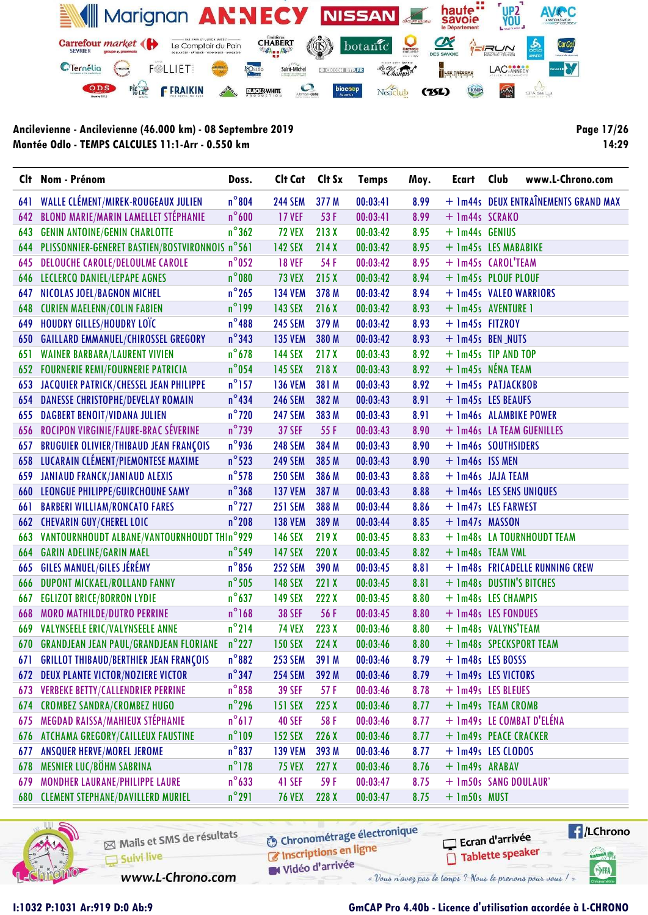

Page 17/26 14:29

|     | Clt Nom - Prénom                                    | Doss.           | Clt Cat             | Clt Sx | <b>Temps</b> | Moy. | Ecart                    | Club | www.L-Chrono.com                     |
|-----|-----------------------------------------------------|-----------------|---------------------|--------|--------------|------|--------------------------|------|--------------------------------------|
| 641 | WALLE CLÉMENT/MIREK-ROUGEAUX JULIEN                 | $n^{\circ}804$  | <b>244 SEM</b>      | 377 M  | 00:03:41     | 8.99 |                          |      | + 1m44s DEUX ENTRAÎNEMENTS GRAND MAX |
| 642 | <b>BLOND MARIE/MARIN LAMELLET STÉPHANIE</b>         | $n^{\circ}$ 600 | <b>17 VEF</b>       | 53F    | 00:03:41     | 8.99 | + 1m44s SCRAKO           |      |                                      |
| 643 | <b>GENIN ANTOINE/GENIN CHARLOTTE</b>                | $n^{\circ}362$  | <b>72 VEX</b>       | 213X   | 00:03:42     | 8.95 | + 1m44s GENIUS           |      |                                      |
| 644 | PLISSONNIER-GENERET BASTIEN/BOSTVIRONNOIS n°561     |                 | <b>142 SEX</b>      | 214X   | 00:03:42     | 8.95 | + 1m45s LES MABABIKE     |      |                                      |
| 645 | <b>DELOUCHE CAROLE/DELOULME CAROLE</b>              | $n^{\circ}$ 052 | <b>18 VEF</b>       | 54 F   | 00:03:42     | 8.95 | + 1m45s CAROL'TEAM       |      |                                      |
| 646 | LECLERCQ DANIEL/LEPAPE AGNES                        | $n^{\circ}080$  | <b>73 VEX</b>       | 215X   | 00:03:42     | 8.94 | + 1m45s PLOUF PLOUF      |      |                                      |
| 647 | NICOLAS JOEL/BAGNON MICHEL                          | $n^{\circ}$ 265 | <b>134 VEM</b>      | 378 M  | 00:03:42     | 8.94 | + 1m45s VALEO WARRIORS   |      |                                      |
| 648 | <b>CURIEN MAELENN/COLIN FABIEN</b>                  | $n^{\circ}$ 199 | <b>143 SEX</b>      | 216X   | 00:03:42     | 8.93 | + 1m45s AVENTURE 1       |      |                                      |
| 649 | HOUDRY GILLES/HOUDRY LOTC                           | $n^{\circ}488$  | <b>245 SEM</b>      | 379 M  | 00:03:42     | 8.93 | + 1m45s FITZROY          |      |                                      |
| 650 | <b>GAILLARD EMMANUEL/CHIROSSEL GREGORY</b>          | $n^{\circ}$ 343 | <b>135 VEM</b>      | 380 M  | 00:03:42     | 8.93 | + 1m45s BEN_NUTS         |      |                                      |
| 651 | <b>WAINER BARBARA/LAURENT VIVIEN</b>                | $n^{\circ}$ 678 | <b>144 SEX</b>      | 217X   | 00:03:43     | 8.92 | + 1m45s TIP AND TOP      |      |                                      |
| 652 | <b>FOURNERIE REMI/FOURNERIE PATRICIA</b>            | $n^{\circ}$ 054 | <b>145 SEX</b>      | 218 X  | 00:03:43     | 8.92 | + 1m45s NÉNA TEAM        |      |                                      |
| 653 | JACQUIER PATRICK/CHESSEL JEAN PHILIPPE              | $n^{\circ}$ 157 | <b>136 VEM</b>      | 381 M  | 00:03:43     | 8.92 | + 1m45s PATJACKBOB       |      |                                      |
| 654 | <b>DANESSE CHRISTOPHE/DEVELAY ROMAIN</b>            | $n^{\circ}$ 434 | <b>246 SEM</b>      | 382 M  | 00:03:43     | 8.91 | + 1m45s LES BEAUFS       |      |                                      |
| 655 | <b>DAGBERT BENOIT/VIDANA JULIEN</b>                 | $n^{\circ}$ 720 | <b>247 SEM</b>      | 383 M  | 00:03:43     | 8.91 | + 1m46s ALAMBIKE POWER   |      |                                      |
| 656 | ROCIPON VIRGINIE/FAURE-BRAC SÉVERINE                | $n^{\circ}$ 739 | <b>37 SEF</b>       | 55F    | 00:03:43     | 8.90 |                          |      | + 1m46s LA TEAM GUENILLES            |
| 657 | BRUGUIER OLIVIER/THIBAUD JEAN FRANÇOIS              | $n^{\circ}$ 936 | <b>248 SEM</b>      | 384 M  | 00:03:43     | 8.90 | + 1m46s SOUTHSIDERS      |      |                                      |
| 658 | LUCARAIN CLÉMENT/PIEMONTESE MAXIME                  | $n^{\circ}$ 523 | <b>249 SEM</b>      | 385 M  | 00:03:43     | 8.90 | $+$ 1m46s ISS MEN        |      |                                      |
| 659 | <b>JANIAUD FRANCK/JANIAUD ALEXIS</b>                | $n^{\circ}$ 578 | <b>250 SEM</b>      | 386 M  | 00:03:43     | 8.88 | + 1m46s JAJA TEAM        |      |                                      |
| 660 | LEONGUE PHILIPPE/GUIRCHOUNE SAMY                    | $n^{\circ}$ 368 | <b>137 VEM</b>      | 387 M  | 00:03:43     | 8.88 | + 1m46s LES SENS UNIQUES |      |                                      |
| 661 | <b>BARBERI WILLIAM/RONCATO FARES</b>                | $n^{\circ}$ 727 | <b>251 SEM</b>      | 388 M  | 00:03:44     | 8.86 | + 1m47s LES FARWEST      |      |                                      |
| 662 | <b>CHEVARIN GUY/CHEREL LOIC</b>                     | $n^{\circ}$ 208 | <b>138 VEM</b>      | 389 M  | 00:03:44     | 8.85 | + 1m47s MASSON           |      |                                      |
| 663 | VANTOURNHOUDT ALBANE/VANTOURNHOUDT THIn°929         |                 | <b>146 SEX</b>      | 219X   | 00:03:45     | 8.83 |                          |      | + 1m48s LA TOURNHOUDT TEAM           |
| 664 | <b>GARIN ADELINE/GARIN MAEL</b>                     | $n^{\circ}$ 549 | <b>147 SEX</b>      | 220X   | 00:03:45     | 8.82 | + 1m48s TEAM VML         |      |                                      |
| 665 | <b>GILES MANUEL/GILES JÉRÉMY</b>                    | $n^{\circ}$ 856 | <b>252 SEM</b>      | 390 M  | 00:03:45     | 8.81 |                          |      | + 1m48s FRICADELLE RUNNING CREW      |
| 666 | DUPONT MICKAEL/ROLLAND FANNY                        | $n^{\circ}$ 505 | <b>148 SEX</b>      | 221X   | 00:03:45     | 8.81 | + 1m48s DUSTIN'S BITCHES |      |                                      |
| 667 | <b>EGLIZOT BRICE/BORRON LYDIE</b>                   | $n^{\circ}$ 637 | <b>149 SEX</b>      | 222X   | 00:03:45     | 8.80 | + 1m48s LES CHAMPIS      |      |                                      |
| 668 | <b>MORO MATHILDE/DUTRO PERRINE</b>                  | $n^{\circ}$ 168 | <b>38 SEF</b>       | 56 F   | 00:03:45     | 8.80 | + 1m48s LES FONDUES      |      |                                      |
| 669 | VALYNSEELE ERIC/VALYNSEELE ANNE                     | $n^{\circ}$ 214 | <b>74 VEX</b>       | 223 X  | 00:03:46     | 8.80 | + 1m48s VALYNS'TEAM      |      |                                      |
| 670 | <b>GRANDJEAN JEAN PAUL/GRANDJEAN FLORIANE</b> n°227 |                 | <b>150 SEX</b>      | 224X   | 00:03:46     | 8.80 |                          |      | + 1m48s SPECKSPORT TEAM              |
| 671 | <b>GRILLOT THIBAUD/BERTHIER JEAN FRANÇOIS</b>       |                 | n°882 253 SEM 391 M |        | 00:03:46     |      | $8.79 + 1m48s$ LES BOSSS |      |                                      |
| 672 | <b>DEUX PLANTE VICTOR/NOZIERE VICTOR</b>            | $n^{\circ}$ 347 | <b>254 SEM</b>      | 392 M  | 00:03:46     | 8.79 | + 1m49s LES VICTORS      |      |                                      |
| 673 | <b>VERBEKE BETTY/CALLENDRIER PERRINE</b>            | $n^{\circ}858$  | <b>39 SEF</b>       | 57 F   | 00:03:46     | 8.78 | + 1m49s LES BLEUES       |      |                                      |
| 674 | <b>CROMBEZ SANDRA/CROMBEZ HUGO</b>                  | $n^{\circ}$ 296 | <b>151 SEX</b>      | 225X   | 00:03:46     | 8.77 | + 1m49s TEAM CROMB       |      |                                      |
| 675 | MEGDAD RAISSA/MAHIEUX STÉPHANIE                     | $n^{\circ}617$  | <b>40 SEF</b>       | 58 F   | 00:03:46     | 8.77 |                          |      | + 1m49s LE COMBAT D'ELÉNA            |
| 676 | ATCHAMA GREGORY/CAILLEUX FAUSTINE                   | $n^{\circ}109$  | <b>152 SEX</b>      | 226X   | 00:03:46     | 8.77 | + 1m49s PEACE CRACKER    |      |                                      |
| 677 | <b>ANSQUER HERVE/MOREL JEROME</b>                   | $n^{\circ}837$  | <b>139 VEM</b>      | 393 M  | 00:03:46     | 8.77 | + 1m49s LES CLODOS       |      |                                      |
| 678 | MESNIER LUC/BÖHM SABRINA                            | $n^{\circ}$ 178 | <b>75 VEX</b>       | 227X   | 00:03:46     | 8.76 | + 1m49s ARABAV           |      |                                      |
| 679 | MONDHER LAURANE/PHILIPPE LAURE                      | $n^{\circ}$ 633 | 41 SEF              | 59 F   | 00:03:47     | 8.75 | + 1m50s SANG DOULAUR'    |      |                                      |
| 680 | <b>CLEMENT STEPHANE/DAVILLERD MURIEL</b>            | $n^{\circ}291$  | <b>76 VEX</b>       | 228 X  | 00:03:47     | 8.75 | + 1m50s MUST             |      |                                      |



Mails et SMS de résultats Suivi live

**6** Chronométrage électronique

www.L-Chrono.com

Inscriptions en ligne Vidéo d'arrivée

Ecran d'arrivée

« Vous n'avez pas le temps ? Nous le prenons pour vous !

Tablette speaker

 $\sqrt{1}$ /LChrono

cation<sub>()</sub>

SHA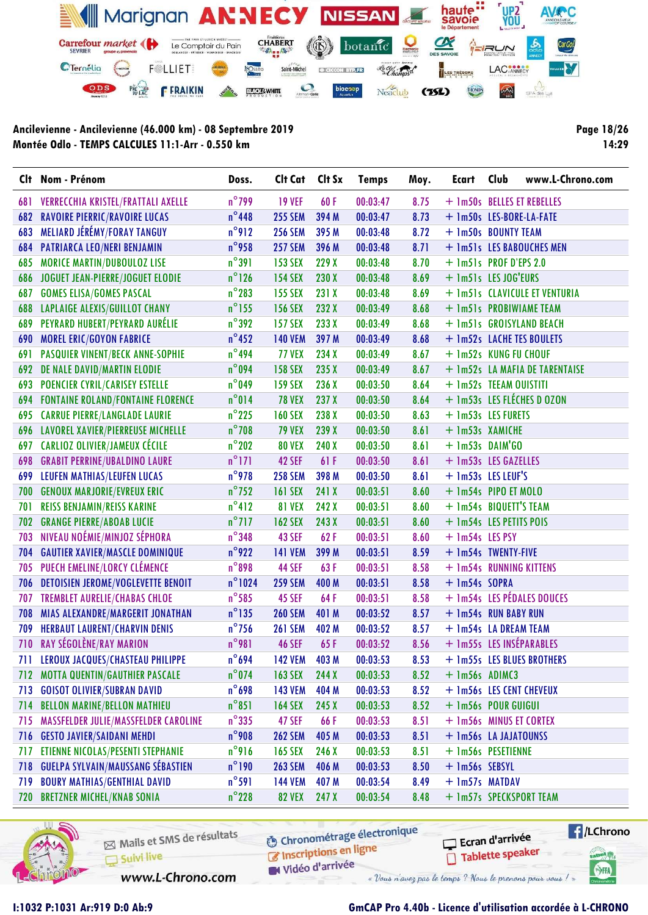

Page 18/26 14:29

|     | Clt Nom - Prénom                          | Doss.            | Clt Cat        | Clt Sx | <b>Temps</b> | Moy. | Ecart                    | Club | www.L-Chrono.com               |
|-----|-------------------------------------------|------------------|----------------|--------|--------------|------|--------------------------|------|--------------------------------|
| 681 | VERRECCHIA KRISTEL/FRATTALI AXELLE        | $n^{\circ}$ 799  | <b>19 VEF</b>  | 60F    | 00:03:47     | 8.75 |                          |      | + 1m50s BELLES ET REBELLES     |
| 682 | <b>RAVOIRE PIERRIC/RAVOIRE LUCAS</b>      | $n^{\circ}$ 448  | <b>255 SEM</b> | 394 M  | 00:03:47     | 8.73 | + 1m50s LES-BORE-LA-FATE |      |                                |
| 683 | MELIARD JÉRÉMY/FORAY TANGUY               | $n^{\circ}$ 912  | <b>256 SEM</b> | 395 M  | 00:03:48     | 8.72 | + 1m50s BOUNTY TEAM      |      |                                |
| 684 | PATRIARCA LEO/NERI BENJAMIN               | $n^{\circ}$ 958  | <b>257 SEM</b> | 396 M  | 00:03:48     | 8.71 |                          |      | + 1m51s LES BABOUCHES MEN      |
| 685 | <b>MORICE MARTIN/DUBOULOZ LISE</b>        | $n^{\circ}391$   | <b>153 SEX</b> | 229 X  | 00:03:48     | 8.70 | + 1m51s PROF D'EPS 2.0   |      |                                |
| 686 | JOGUET JEAN-PIERRE/JOGUET ELODIE          | $n^{\circ}$ 126  | <b>154 SEX</b> | 230 X  | 00:03:48     | 8.69 | + 1m51s LES JOG'EURS     |      |                                |
| 687 | <b>GOMES ELISA/GOMES PASCAL</b>           | $n^{\circ}$ 283  | <b>155 SEX</b> | 231 X  | 00:03:48     | 8.69 |                          |      | + 1m51s CLAVICULE ET VENTURIA  |
| 688 | <b>LAPLAIGE ALEXIS/GUILLOT CHANY</b>      | $n^{\circ}$ 155  | <b>156 SEX</b> | 232 X  | 00:03:49     | 8.68 |                          |      | + 1m51s PROBIWIAME TEAM        |
| 689 | PEYRARD HUBERT/PEYRARD AURÉLIE            | $n^{\circ}$ 392  | <b>157 SEX</b> | 233 X  | 00:03:49     | 8.68 |                          |      | + 1m51s GROISYLAND BEACH       |
| 690 | <b>MOREL ERIC/GOYON FABRICE</b>           | $n^{\circ}$ 452  | <b>140 VEM</b> | 397 M  | 00:03:49     | 8.68 |                          |      | + 1m52s LACHE TES BOULETS      |
| 691 | PASQUIER VINENT/BECK ANNE-SOPHIE          | $n^{\circ}$ 494  | <b>77 VEX</b>  | 234 X  | 00:03:49     | 8.67 | + 1m52s KUNG FU CHOUF    |      |                                |
| 692 | DE NALE DAVID/MARTIN ELODIE               | $n^{\circ}$ 094  | <b>158 SEX</b> | 235 X  | 00:03:49     | 8.67 |                          |      | + 1m52s LA MAFIA DE TARENTAISE |
| 693 | <b>POENCIER CYRIL/CARISEY ESTELLE</b>     | $n^{\circ}$ 049  | <b>159 SEX</b> | 236 X  | 00:03:50     | 8.64 | + 1m52s TEEAM OUISTITI   |      |                                |
| 694 | <b>FONTAINE ROLAND/FONTAINE FLORENCE</b>  | $n^{\circ}014$   | <b>78 VEX</b>  | 237 X  | 00:03:50     | 8.64 |                          |      | + 1m53s LES FLÉCHES D OZON     |
| 695 | <b>CARRUE PIERRE/LANGLADE LAURIE</b>      | $n^{\circ}$ 225  | <b>160 SEX</b> | 238 X  | 00:03:50     | 8.63 | + 1m53s LES FURETS       |      |                                |
| 696 | LAVOREL XAVIER/PIERREUSE MICHELLE         | $n^{\circ}$ 708  | <b>79 VEX</b>  | 239 X  | 00:03:50     | 8.61 | + 1m53s XAMICHE          |      |                                |
| 697 | CARLIOZ OLIVIER/JAMEUX CÉCILE             | $n^{\circ}$ 202  | <b>80 VEX</b>  | 240 X  | 00:03:50     | 8.61 | $+$ 1m53s DAIM'GO        |      |                                |
| 698 | <b>GRABIT PERRINE/UBALDINO LAURE</b>      | $n^{\circ}$ 171  | 42 SEF         | 61F    | 00:03:50     | 8.61 | + 1m53s LES GAZELLES     |      |                                |
| 699 | LEUFEN MATHIAS/LEUFEN LUCAS               | $n^{\circ}$ 978  | <b>258 SEM</b> | 398 M  | 00:03:50     | 8.61 | + 1m53s LES LEUF'S       |      |                                |
| 700 | <b>GENOUX MARJORIE/EVREUX ERIC</b>        | $n^{\circ}$ 752  | <b>161 SEX</b> | 241 X  | 00:03:51     | 8.60 | + 1m54s PIPO ET MOLO     |      |                                |
| 701 | <b>REISS BENJAMIN/REISS KARINE</b>        | $n^{\circ}412$   | <b>81 VEX</b>  | 242 X  | 00:03:51     | 8.60 | + 1m54s BIQUETT'S TEAM   |      |                                |
| 702 | <b>GRANGE PIERRE/ABOAB LUCIE</b>          | $n^{\circ}$ 717  | <b>162 SEX</b> | 243 X  | 00:03:51     | 8.60 | + 1m54s LES PETITS POIS  |      |                                |
| 703 | NIVEAU NOÉMIE/MINJOZ SÉPHORA              | $n^{\circ}$ 348  | 43 SEF         | 62F    | 00:03:51     | 8.60 | + 1m54s LES PSY          |      |                                |
| 704 | <b>GAUTIER XAVIER/MASCLE DOMINIQUE</b>    | $n^{\circ}$ 922  | <b>141 VEM</b> | 399 M  | 00:03:51     | 8.59 | + 1m54s TWENTY-FIVE      |      |                                |
| 705 | PUECH EMELINE/LORCY CLÉMENCE              | $n^{\circ}$ 898  | 44 SEF         | 63F    | 00:03:51     | 8.58 | + 1m54s RUNNING KITTENS  |      |                                |
| 706 | <b>DETOISIEN JEROME/VOGLEVETTE BENOIT</b> | $n^{\circ}$ 1024 | <b>259 SEM</b> | 400 M  | 00:03:51     | 8.58 | + 1m54s SOPRA            |      |                                |
| 707 | <b>TREMBLET AURELIE/CHABAS CHLOE</b>      | $n^{\circ}$ 585  | <b>45 SEF</b>  | 64F    | 00:03:51     | 8.58 |                          |      | + 1m54s LES PÉDALES DOUCES     |
| 708 | MIAS ALEXANDRE/MARGERIT JONATHAN          | $n^{\circ}$ 135  | <b>260 SEM</b> | 401 M  | 00:03:52     | 8.57 | + 1m54s RUN BABY RUN     |      |                                |
| 709 | <b>HERBAUT LAURENT/CHARVIN DENIS</b>      | $n^{\circ}$ 756  | <b>261 SEM</b> | 402 M  | 00:03:52     | 8.57 | + 1m54s LA DREAM TEAM    |      |                                |
| 710 | RAY SÉGOLÈNE/RAY MARION                   | $n^{\circ}981$   | <b>46 SEF</b>  | 65F    | 00:03:52     | 8.56 | + 1m55s LES INSÉPARABLES |      |                                |
|     | 711 LEROUX JACQUES/CHASTEAU PHILIPPE      | $n^{\circ}694$   | <b>142 VEM</b> | 403 M  | 00:03:53     | 8.53 |                          |      | + 1m55s LES BLUES BROTHERS     |
|     | 712 MOTTA QUENTIN/GAUTHIER PASCALE        | $n^{\circ}$ 074  | <b>163 SEX</b> | 244 X  | 00:03:53     | 8.52 | + 1m56s ADIMC3           |      |                                |
| 713 | <b>GOISOT OLIVIER/SUBRAN DAVID</b>        | $n^{\circ}$ 698  | <b>143 VEM</b> | 404 M  | 00:03:53     | 8.52 | + 1m56s LES CENT CHEVEUX |      |                                |
| 714 | <b>BELLON MARINE/BELLON MATHIEU</b>       | $n^{\circ}851$   | <b>164 SEX</b> | 245X   | 00:03:53     | 8.52 | + 1m56s POUR GUIGUI      |      |                                |
| 715 | MASSFELDER JULIE/MASSFELDER CAROLINE      | $n^{\circ}$ 335  | 47 SEF         | 66 F   | 00:03:53     | 8.51 | + 1m56s MINUS ET CORTEX  |      |                                |
| 716 | <b>GESTO JAVIER/SAIDANI MEHDI</b>         | $n^{\circ}$ 908  | <b>262 SEM</b> | 405 M  | 00:03:53     | 8.51 | + 1m56s LA JAJATOUNSS    |      |                                |
| 717 | ETIENNE NICOLAS/PESENTI STEPHANIE         | $n^{\circ}$ 916  | <b>165 SEX</b> | 246 X  | 00:03:53     | 8.51 | + 1m56s PESETIENNE       |      |                                |
| 718 | <b>GUELPA SYLVAIN/MAUSSANG SÉBASTIEN</b>  | $n^{\circ}$ 190  | <b>263 SEM</b> | 406 M  | 00:03:53     | 8.50 | + 1m56s SEBSYL           |      |                                |
| 719 | <b>BOURY MATHIAS/GENTHIAL DAVID</b>       | $n^{\circ}$ 591  | <b>144 VEM</b> | 407 M  | 00:03:54     | 8.49 | + 1m57s MATDAV           |      |                                |
|     | 720 BRETZNER MICHEL/KNAB SONIA            | $n^{\circ}$ 228  | <b>82 VEX</b>  | 247 X  | 00:03:54     | 8.48 |                          |      | + 1m57s SPECKSPORT TEAM        |



Mails et SMS de résultats Suivi live

**6** Chronométrage électronique

« Vous n'avez pas le temps ? Nous le prenons pour vous !

www.L-Chrono.com

C Inscriptions en ligne W Vidéo d'arrivée

### I:1032 P:1031 Ar:919 D:0 Ab:9 GmCAP Pro 4.40b - Licence d'utilisation accordée à L-CHRONO

Ecran d'arrivée

Tablette speaker

 $\sqrt{1}$ /LChrono

tabel<sub>()</sub>

SHA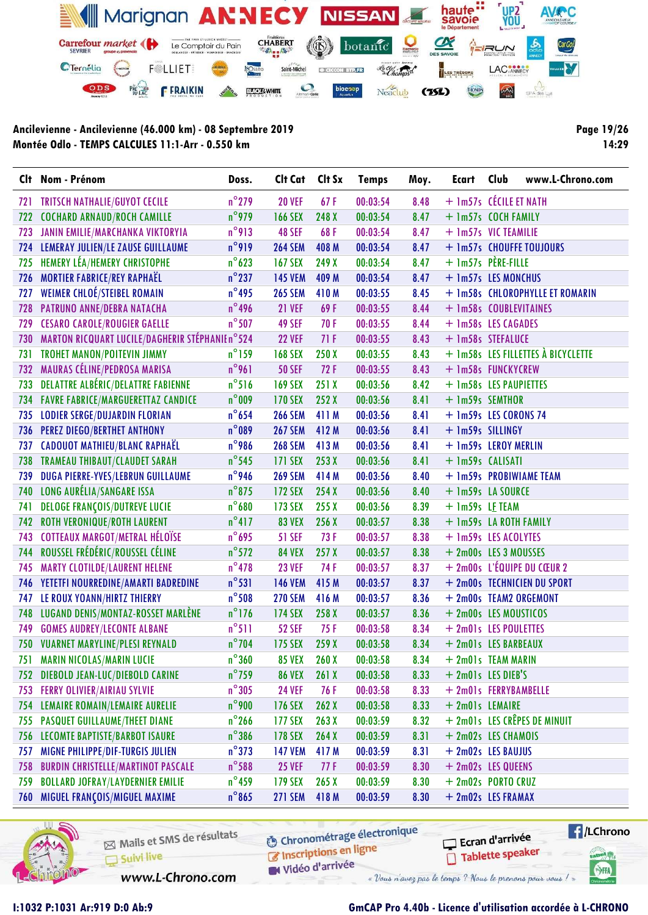

Page 19/26 14:29

|     | Clt Nom - Prénom                                | Doss.           | Clt Cat            | Clt Sx | <b>Temps</b> | Moy. | Ecart                  | Club | www.L-Chrono.com                   |
|-----|-------------------------------------------------|-----------------|--------------------|--------|--------------|------|------------------------|------|------------------------------------|
| 721 | <b>TRITSCH NATHALIE/GUYOT CECILE</b>            | $n^{\circ}$ 279 | <b>20 VEF</b>      | 67F    | 00:03:54     | 8.48 | + 1m57s CÉCILE ET NATH |      |                                    |
| 722 | <b>COCHARD ARNAUD/ROCH CAMILLE</b>              | $n^{\circ}$ 979 | <b>166 SEX</b>     | 248 X  | 00:03:54     | 8.47 | + 1m57s COCH FAMILY    |      |                                    |
| 723 | JANIN EMILIE/MARCHANKA VIKTORYIA                | $n^{\circ}$ 913 | 48 SEF             | 68F    | 00:03:54     | 8.47 | + 1m57s VIC TEAMILIE   |      |                                    |
|     | 724 LEMERAY JULIEN/LE ZAUSE GUILLAUME           | $n^{\circ}$ 919 | <b>264 SEM</b>     | 408 M  | 00:03:54     | 8.47 |                        |      | + 1m57s CHOUFFE TOUJOURS           |
| 725 | <b>HEMERY LÉA/HEMERY CHRISTOPHE</b>             | $n^{\circ}$ 623 | <b>167 SEX</b>     | 249 X  | 00:03:54     | 8.47 | $+$ 1m57s PÈRE-FILLE   |      |                                    |
| 726 | <b>MORTIER FABRICE/REY RAPHAËL</b>              | $n^{\circ}$ 237 | <b>145 VEM</b>     | 409 M  | 00:03:54     | 8.47 | + 1m57s LES MONCHUS    |      |                                    |
| 727 | <b>WEIMER CHLOÉ/STEIBEL ROMAIN</b>              | $n^{\circ}$ 495 | <b>265 SEM</b>     | 410M   | 00:03:55     | 8.45 |                        |      | + 1m58s CHLOROPHYLLE ET ROMARIN    |
| 728 | PATRUNO ANNE/DEBRA NATACHA                      | $n^{\circ}$ 496 | <b>21 VEF</b>      | 69 F   | 00:03:55     | 8.44 | + 1m58s COUBLEVITAINES |      |                                    |
| 729 | <b>CESARO CAROLE/ROUGIER GAELLE</b>             | $n^{\circ}$ 507 | 49 SEF             | 70F    | 00:03:55     | 8.44 | + 1m58s LES CAGADES    |      |                                    |
| 730 | MARTON RICQUART LUCILE/DAGHERIR STÉPHANIE n°524 |                 | <b>22 VEF</b>      | 71F    | 00:03:55     | 8.43 | + 1m58s STEFALUCE      |      |                                    |
| 731 | TROHET MANON/POITEVIN JIMMY                     | $n^{\circ}$ 159 | <b>168 SEX</b>     | 250X   | 00:03:55     | 8.43 |                        |      | + 1m58s LES FILLETTES À BICYCLETTE |
| 732 | MAURAS CÉLINE/PEDROSA MARISA                    | $n^{\circ}$ 961 | <b>50 SEF</b>      | 72F    | 00:03:55     | 8.43 | + 1m58s FUNCKYCREW     |      |                                    |
| 733 | <b>DELATTRE ALBÉRIC/DELATTRE FABIENNE</b>       | $n^{\circ}$ 516 | <b>169 SEX</b>     | 251X   | 00:03:56     | 8.42 | + 1m58s LES PAUPIETTES |      |                                    |
|     | 734 FAVRE FABRICE/MARGUERETTAZ CANDICE          | $n^{\circ}$ 009 | <b>170 SEX</b>     | 252 X  | 00:03:56     | 8.41 | + 1m59s SEMTHOR        |      |                                    |
| 735 | <b>LODIER SERGE/DUJARDIN FLORIAN</b>            | $n^{\circ}$ 654 | <b>266 SEM</b>     | 411 M  | 00:03:56     | 8.41 | + 1m59s LES CORONS 74  |      |                                    |
| 736 | PEREZ DIEGO/BERTHET ANTHONY                     | $n^{\circ}$ 089 | <b>267 SEM</b>     | 412 M  | 00:03:56     | 8.41 | + 1m59s SILLINGY       |      |                                    |
| 737 | <b>CADOUOT MATHIEU/BLANC RAPHAËL</b>            | $n^{\circ}$ 986 | <b>268 SEM</b>     | 413M   | 00:03:56     | 8.41 | + 1m59s LEROY MERLIN   |      |                                    |
| 738 | <b>TRAMEAU THIBAUT/CLAUDET SARAH</b>            | $n^{\circ}$ 545 | 171 SEX            | 253X   | 00:03:56     | 8.41 | + 1m59s CALISATI       |      |                                    |
| 739 | DUGA PIERRE-YVES/LEBRUN GUILLAUME               | $n^{\circ}$ 946 | <b>269 SEM</b>     | 414M   | 00:03:56     | 8.40 |                        |      | + 1m59s PROBIWIAME TEAM            |
|     | 740 LONG AURÉLIA/SANGARE ISSA                   | $n^{\circ}$ 875 | <b>172 SEX</b>     | 254X   | 00:03:56     | 8.40 | + 1m59s LA SOURCE      |      |                                    |
| 741 | <b>DELOGE FRANÇOIS/DUTREVE LUCIE</b>            | $n^{\circ}680$  | 173 SEX            | 255X   | 00:03:56     | 8.39 | + 1m59s LE TEAM        |      |                                    |
| 742 | <b>ROTH VERONIQUE/ROTH LAURENT</b>              | $n^{\circ}417$  | <b>83 VEX</b>      | 256 X  | 00:03:57     | 8.38 | + 1m59s LA ROTH FAMILY |      |                                    |
| 743 | <b>COTTEAUX MARGOT/METRAL HÉLOÏSE</b>           | $n^{\circ}$ 695 | <b>51 SEF</b>      | 73 F   | 00:03:57     | 8.38 | + 1m59s LES ACOLYTES   |      |                                    |
| 744 | ROUSSEL FRÉDÉRIC/ROUSSEL CÉLINE                 | $n^{\circ}$ 572 | <b>84 VEX</b>      | 257X   | 00:03:57     | 8.38 | + 2m00s LES 3 MOUSSES  |      |                                    |
| 745 | <b>MARTY CLOTILDE/LAURENT HELENE</b>            | $n^{\circ}$ 478 | <b>23 VEF</b>      | 74 F   | 00:03:57     | 8.37 |                        |      | $+$ 2m00s L'ÉQUIPE DU CŒUR 2       |
|     | 746 YETETFI NOURREDINE/AMARTI BADREDINE         | $n^{\circ}531$  | <b>146 VEM</b>     | 415 M  | 00:03:57     | 8.37 |                        |      | + 2m00s TECHNICIEN DU SPORT        |
| 747 | LE ROUX YOANN/HIRTZ THIERRY                     | $n^{\circ}$ 508 | <b>270 SEM</b>     | 416 M  | 00:03:57     | 8.36 |                        |      | + 2m00s TEAM2 ORGEMONT             |
| 748 | LUGAND DENIS/MONTAZ-ROSSET MARLÈNE              | $n^{\circ}$ 176 | <b>174 SEX</b>     | 258 X  | 00:03:57     | 8.36 | + 2m00s LES MOUSTICOS  |      |                                    |
| 749 | <b>GOMES AUDREY/LECONTE ALBANE</b>              | $n^{\circ}511$  | <b>52 SEF</b>      | 75 F   | 00:03:58     | 8.34 | + 2m01s LES POULETTES  |      |                                    |
| 750 | <b>VUARNET MARYLINE/PLESI REYNALD</b>           | $n^{\circ}$ 704 | <b>175 SEX</b>     | 259 X  | 00:03:58     | 8.34 | + 2m01s LES BARBEAUX   |      |                                    |
|     | 751 MARIN NICOLAS/MARIN LUCIE                   |                 | n°360 85 VEX 260 X |        | 00:03:58     | 8.34 | + 2m01s TEAM MARIN     |      |                                    |
| 752 | DIEBOLD JEAN-LUC/DIEBOLD CARINE                 | $n^{\circ}$ 759 | <b>86 VEX</b>      | 261X   | 00:03:58     | 8.33 | + 2m01s LES DIEB'S     |      |                                    |
| 753 | <b>FERRY OLIVIER/AIRIAU SYLVIE</b>              | $n^{\circ}305$  | <b>24 VEF</b>      | 76 F   | 00:03:58     | 8.33 | + 2m01s FERRYBAMBELLE  |      |                                    |
| 754 | LEMAIRE ROMAIN/LEMAIRE AURELIE                  | $n^{\circ}$ 900 | <b>176 SEX</b>     | 262X   | 00:03:58     | 8.33 | + 2m01s LEMAIRE        |      |                                    |
| 755 | <b>PASQUET GUILLAUME/THEET DIANE</b>            | $n^{\circ}$ 266 | <b>177 SEX</b>     | 263X   | 00:03:59     | 8.32 |                        |      | + 2m01s LES CRÊPES DE MINUIT       |
| 756 | LECOMTE BAPTISTE/BARBOT ISAURE                  | $n^{\circ}$ 386 | 178 SEX            | 264X   | 00:03:59     | 8.31 | + 2m02s LES CHAMOIS    |      |                                    |
| 757 | MIGNE PHILIPPE/DIF-TURGIS JULIEN                | $n^{\circ}373$  | <b>147 VEM</b>     | 417 M  | 00:03:59     | 8.31 | + 2m02s LES BAUJUS     |      |                                    |
| 758 | <b>BURDIN CHRISTELLE/MARTINOT PASCALE</b>       | $n^{\circ}$ 588 | <b>25 VEF</b>      | 77F    | 00:03:59     | 8.30 | + 2m02s LES QUEENS     |      |                                    |
| 759 | <b>BOLLARD JOFRAY/LAYDERNIER EMILIE</b>         | $n^{\circ}$ 459 | <b>179 SEX</b>     | 265X   | 00:03:59     | 8.30 | + 2m02s PORTO CRUZ     |      |                                    |
| 760 | MIGUEL FRANÇOIS/MIGUEL MAXIME                   | $n^{\circ}865$  | <b>271 SEM</b>     | 418 M  | 00:03:59     | 8.30 | + 2m02s LES FRAMAX     |      |                                    |



Mails et SMS de résultats Suivi live

**6** Chronométrage électronique C Inscriptions en ligne W Vidéo d'arrivée

Tablette speaker

 $\sqrt{1}$ /LChrono Ecran d'arrivée tabel<sub>()</sub>

SHA

www.L-Chrono.com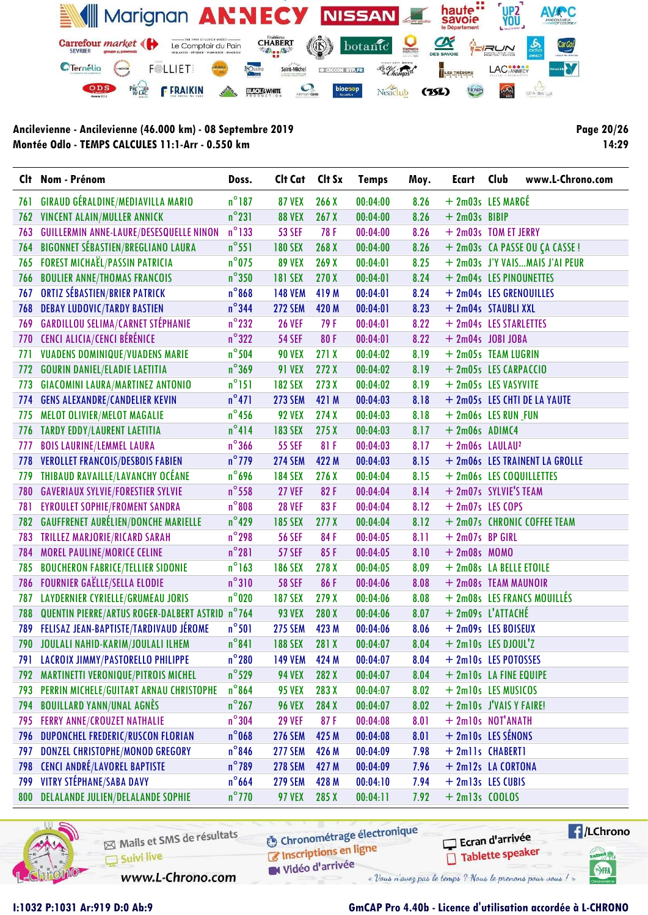

Page 20/26 14:29

|     | Clt Nom - Prénom                                | Doss.           | Clt Cat        | Clt Sx           | <b>Temps</b> | Moy. | Ecart                         | Club | www.L-Chrono.com               |
|-----|-------------------------------------------------|-----------------|----------------|------------------|--------------|------|-------------------------------|------|--------------------------------|
| 761 | <b>GIRAUD GÉRALDINE/MEDIAVILLA MARIO</b>        | $n^{\circ}$ 187 | <b>87 VEX</b>  | 266X             | 00:04:00     | 8.26 | + 2m03s LES MARGÉ             |      |                                |
| 762 | VINCENT ALAIN/MULLER ANNICK                     | $n^{\circ}231$  | <b>88 VEX</b>  | 267X             | 00:04:00     | 8.26 | $+ 2m03s$ BIBIP               |      |                                |
| 763 | <b>GUILLERMIN ANNE-LAURE/DESESQUELLE NINON</b>  | $n^{\circ}$ 133 | <b>53 SEF</b>  | 78 F             | 00:04:00     | 8.26 | + 2m03s TOM ET JERRY          |      |                                |
| 764 | <b>BIGONNET SÉBASTIEN/BREGLIANO LAURA</b>       | $n^{\circ}$ 551 | <b>180 SEX</b> | 268 X            | 00:04:00     | 8.26 |                               |      | + 2m03s CA PASSE OU ÇA CASSE!  |
| 765 | <b>FOREST MICHAËL/PASSIN PATRICIA</b>           | $n^{\circ}$ 075 | <b>89 VEX</b>  | 269 X            | 00:04:01     | 8.25 |                               |      | + 2m03s J'Y VAISMAIS J'AI PEUR |
| 766 | <b>BOULIER ANNE/THOMAS FRANCOIS</b>             | $n^{\circ}350$  | <b>181 SEX</b> | 270 X            | 00:04:01     | 8.24 | + 2m04s LES PINOUNETTES       |      |                                |
| 767 | <b>ORTIZ SÉBASTIEN/BRIER PATRICK</b>            | $n^{\circ}868$  | <b>148 VEM</b> | 419 M            | 00:04:01     | 8.24 | + 2m04s LES GRENOUILLES       |      |                                |
| 768 | <b>DEBAY LUDOVIC/TARDY BASTIEN</b>              | $n^{\circ}$ 344 | <b>272 SEM</b> | 420 M            | 00:04:01     | 8.23 | + 2m04s STAUBLI XXL           |      |                                |
| 769 | <b>GARDILLOU SELIMA/CARNET STÉPHANIE</b>        | $n^{\circ}$ 232 | <b>26 VEF</b>  | 79F              | 00:04:01     | 8.22 | + 2m04s LES STARLETTES        |      |                                |
| 770 | CENCI ALICIA/CENCI BÉRÉNICE                     | $n^{\circ}322$  | <b>54 SEF</b>  | 80F              | 00:04:01     | 8.22 | $+ 2m04s$ JOBI JOBA           |      |                                |
| 771 | <b>VUADENS DOMINIQUE/VUADENS MARIE</b>          | $n^{\circ}$ 504 | <b>90 VEX</b>  | 271X             | 00:04:02     | 8.19 | + 2m05s TEAM LUGRIN           |      |                                |
| 772 | <b>GOURIN DANIEL/ELADIE LAETITIA</b>            | $n^{\circ}369$  | <b>91 VEX</b>  | 272X             | 00:04:02     | 8.19 | + 2m05s LES CARPACCIO         |      |                                |
| 773 | <b>GIACOMINI LAURA/MARTINEZ ANTONIO</b>         | $n^{\circ}151$  | <b>182 SEX</b> | 273 X            | 00:04:02     | 8.19 | + 2m05s LES VASYVITE          |      |                                |
| 774 | <b>GENS ALEXANDRE/CANDELIER KEVIN</b>           | $n^{\circ}471$  | <b>273 SEM</b> | 421 M            | 00:04:03     | 8.18 |                               |      | + 2m05s LES CHTI DE LA YAUTE   |
| 775 | MELOT OLIVIER/MELOT MAGALIE                     | $n^{\circ}$ 456 | <b>92 VEX</b>  | 274X             | 00:04:03     | 8.18 | + 2m06s LES RUN FUN           |      |                                |
| 776 | <b>TARDY EDDY/LAURENT LAETITIA</b>              | $n^{\circ}414$  | <b>183 SEX</b> | 275X             | 00:04:03     | 8.17 | $+ 2m06s$ ADIMC4              |      |                                |
| 777 | <b>BOIS LAURINE/LEMMEL LAURA</b>                | $n^{\circ}$ 366 | <b>55 SEF</b>  | 81F              | 00:04:03     | 8.17 | $+ 2m06s$ LAULAU <sup>2</sup> |      |                                |
| 778 | <b>VEROLLET FRANCOIS/DESBOIS FABIEN</b>         | $n^{\circ}$ 779 | <b>274 SEM</b> | 422 M            | 00:04:03     | 8.15 |                               |      | + 2m06s LES TRAINENT LA GROLLE |
| 779 | THIBAUD RAVAILLE/LAVANCHY OCÉANE                | $n^{\circ}$ 696 | <b>184 SEX</b> | 276X             | 00:04:04     | 8.15 |                               |      | + 2m06s LES COQUILLETTES       |
| 780 | <b>GAVERIAUX SYLVIE/FORESTIER SYLVIE</b>        | $n^{\circ}$ 558 | <b>27 VEF</b>  | 82F              | 00:04:04     | 8.14 | + 2m07s SYLVIE'S TEAM         |      |                                |
| 781 | <b>EYROULET SOPHIE/FROMENT SANDRA</b>           | $n^{\circ}808$  | <b>28 VEF</b>  | 83F              | 00:04:04     | 8.12 | $+2m07s$ LES COPS             |      |                                |
| 782 | <b>GAUFFRENET AURÉLIEN/DONCHE MARIELLE</b>      | $n^{\circ}$ 429 | <b>185 SEX</b> | 277 <sub>X</sub> | 00:04:04     | 8.12 |                               |      | + 2m07s CHRONIC COFFEE TEAM    |
| 783 | TRILLEZ MARJORIE/RICARD SARAH                   | $n^{\circ}$ 298 | <b>56 SEF</b>  | 84F              | 00:04:05     | 8.11 | $+ 2m07s$ BP GIRL             |      |                                |
| 784 | <b>MOREL PAULINE/MORICE CELINE</b>              | $n^{\circ}281$  | <b>57 SEF</b>  | 85F              | 00:04:05     | 8.10 | $+ 2m08s$ MOMO                |      |                                |
| 785 | <b>BOUCHERON FABRICE/TELLIER SIDONIE</b>        | $n^{\circ}$ 163 | <b>186 SEX</b> | 278 <sub>X</sub> | 00:04:05     | 8.09 | + 2m08s LA BELLE ETOILE       |      |                                |
| 786 | <b>FOURNIER GAËLLE/SELLA ELODIE</b>             | $n^{\circ}310$  | <b>58 SEF</b>  | 86F              | 00:04:06     | 8.08 | + 2m08s TEAM MAUNOIR          |      |                                |
| 787 | <b>LAYDERNIER CYRIELLE/GRUMEAU JORIS</b>        | $n^{\circ}$ 020 | <b>187 SEX</b> | 279 X            | 00:04:06     | 8.08 |                               |      | + 2m08s LES FRANCS MOUILLÉS    |
| 788 | QUENTIN PIERRE/ARTUS ROGER-DALBERT ASTRID n°764 |                 | <b>93 VEX</b>  | 280 X            | 00:04:06     | 8.07 | + 2m09s L'ATTACHÉ             |      |                                |
| 789 | FELISAZ JEAN-BAPTISTE/TARDIVAUD JÉROME          | $n^{\circ}501$  | <b>275 SEM</b> | 423 M            | 00:04:06     | 8.06 | + 2m09s LES BOISEUX           |      |                                |
|     | 790 JOULALI NAHID-KARIM/JOULALI ILHEM           | $n^{\circ}841$  | <b>188 SEX</b> | 281 X            | 00:04:07     | 8.04 | $+$ 2m10s LES DJOUL'Z         |      |                                |
| 791 | LACROIX JIMMY/PASTORELLO PHILIPPE               | $n^{\circ}280$  | <b>149 VEM</b> | 424 M            | 00:04:07     | 8.04 | + 2m10s LES POTOSSES          |      |                                |
| 792 | MARTINETTI VERONIQUE/PITROIS MICHEL             | $n^{\circ}$ 529 | <b>94 VEX</b>  | 282 X            | 00:04:07     | 8.04 | + 2m10s LA FINE EQUIPE        |      |                                |
| 793 | PERRIN MICHELE/GUITART ARNAU CHRISTOPHE         | $n^{\circ}864$  | <b>95 VEX</b>  | 283X             | 00:04:07     | 8.02 | + 2m10s LES MUSICOS           |      |                                |
| 794 | <b>BOUILLARD YANN/UNAL AGNÈS</b>                | $n^{\circ}$ 267 | <b>96 VEX</b>  | 284 X            | 00:04:07     | 8.02 | + 2m10s J'VAIS Y FAIRE!       |      |                                |
| 795 | <b>FERRY ANNE/CROUZET NATHALIE</b>              | $n^{\circ}304$  | <b>29 VEF</b>  | 87F              | 00:04:08     | 8.01 | + 2m10s NOT'ANATH             |      |                                |
| 796 | DUPONCHEL FREDERIC/RUSCON FLORIAN               | $n^{\circ}$ 068 | <b>276 SEM</b> | 425 M            | 00:04:08     | 8.01 | $+ 2$ ml0s LES SÉNONS         |      |                                |
| 797 | DONZEL CHRISTOPHE/MONOD GREGORY                 | $n^{\circ}$ 846 | <b>277 SEM</b> | 426 M            | 00:04:09     | 7.98 | + 2mlls CHABERT1              |      |                                |
| 798 | <b>CENCI ANDRÉ/LAVOREL BAPTISTE</b>             | $n^{\circ}$ 789 | <b>278 SEM</b> | 427 M            | 00:04:09     | 7.96 | + 2m12s LA CORTONA            |      |                                |
| 799 | <b>VITRY STÉPHANE/SABA DAVY</b>                 | $n^{\circ}$ 664 | <b>279 SEM</b> | 428 M            | 00:04:10     | 7.94 | + 2m13s LES CUBIS             |      |                                |
| 800 | <b>DELALANDE JULIEN/DELALANDE SOPHIE</b>        | $n^{\circ}$ 770 | <b>97 VEX</b>  | 285 X            | 00:04:11     | 7.92 | $+ 2m13s$ COOLOS              |      |                                |



Mails et SMS de résultats Suivi live

www.L-Chrono.com

**6** Chronométrage électronique Inscriptions en ligne

 $\sqrt{1}$ /LChrono Ecran d'arrivée Tablette speaker

sabel <sub>(2)</sub>

SHA

Vidéo d'arrivée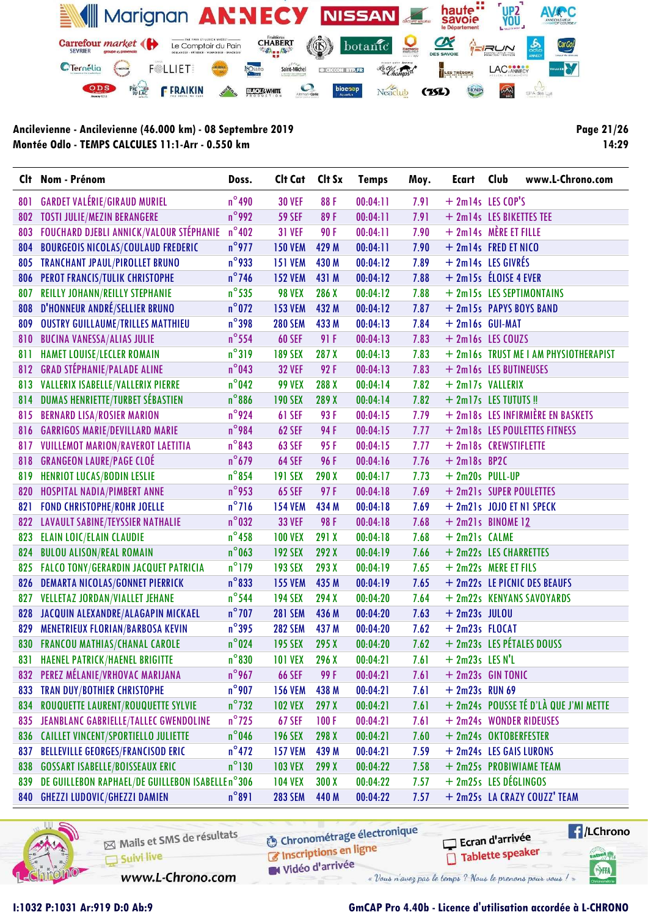

Page 21/26 14:29

|     | Clt Nom - Prénom                                 | Doss.           | Clt Cat        | Clt Sx | <b>Temps</b> | Moy. | Ecart                          | Club | www.L-Chrono.com                      |
|-----|--------------------------------------------------|-----------------|----------------|--------|--------------|------|--------------------------------|------|---------------------------------------|
| 801 | <b>GARDET VALÉRIE/GIRAUD MURIEL</b>              | $n^{\circ}$ 490 | <b>30 VEF</b>  | 88F    | 00:04:11     | 7.91 | $+ 2m14s$ LES COP'S            |      |                                       |
| 802 | <b>TOSTI JULIE/MEZIN BERANGERE</b>               | $n^{\circ}$ 992 | <b>59 SEF</b>  | 89F    | 00:04:11     | 7.91 | + 2m14s LES BIKETTES TEE       |      |                                       |
| 803 | FOUCHARD DJEBLI ANNICK/VALOUR STÉPHANIE          | $n^{\circ}402$  | <b>31 VEF</b>  | 90F    | 00:04:11     | 7.90 | $+ 2m14s$ MÈRE ET FILLE        |      |                                       |
| 804 | <b>BOURGEOIS NICOLAS/COULAUD FREDERIC</b>        | $n^{\circ}$ 977 | <b>150 VEM</b> | 429 M  | 00:04:11     | 7.90 | + 2m14s FRED ET NICO           |      |                                       |
| 805 | <b>TRANCHANT JPAUL/PIROLLET BRUNO</b>            | $n^{\circ}$ 933 | <b>151 VEM</b> | 430 M  | 00:04:12     | 7.89 | + 2m14s LES GIVRÉS             |      |                                       |
| 806 | PEROT FRANCIS/TULIK CHRISTOPHE                   | $n^{\circ}$ 746 | <b>152 VEM</b> | 431 M  | 00:04:12     | 7.88 | + 2m15s ELOISE 4 EVER          |      |                                       |
| 807 | <b>REILLY JOHANN/REILLY STEPHANIE</b>            | $n^{\circ}$ 535 | <b>98 VEX</b>  | 286 X  | 00:04:12     | 7.88 |                                |      | + 2m15s LES SEPTIMONTAINS             |
| 808 | D'HONNEUR ANDRÉ/SELLIER BRUNO                    | $n^{\circ}$ 072 | <b>153 VEM</b> | 432 M  | 00:04:12     | 7.87 |                                |      | + 2m15s PAPYS BOYS BAND               |
| 809 | <b>OUSTRY GUILLAUME/TRILLES MATTHIEU</b>         | $n^{\circ}$ 398 | <b>280 SEM</b> | 433 M  | 00:04:13     | 7.84 | $+ 2ml6s$ GUI-MAT              |      |                                       |
| 810 | <b>BUCINA VANESSA/ALIAS JULIE</b>                | $n^{\circ}$ 554 | <b>60 SEF</b>  | 91 F   | 00:04:13     | 7.83 | + 2m16s LES COUZS              |      |                                       |
| 811 | <b>HAMET LOUISE/LECLER ROMAIN</b>                | $n^{\circ}319$  | <b>189 SEX</b> | 287X   | 00:04:13     | 7.83 |                                |      | + 2m16s TRUST ME I AM PHYSIOTHERAPIST |
| 812 | <b>GRAD STÉPHANIE/PALADE ALINE</b>               | $n^{\circ}$ 043 | <b>32 VEF</b>  | 92F    | 00:04:13     | 7.83 | + 2m16s LES BUTINEUSES         |      |                                       |
|     | 813 VALLERIX ISABELLE/VALLERIX PIERRE            | $n^{\circ}$ 042 | <b>99 VEX</b>  | 288 X  | 00:04:14     | 7.82 | + 2m17s VALLERIX               |      |                                       |
|     | 814 DUMAS HENRIETTE/TURBET SÉBASTIEN             | $n^{\circ}886$  | <b>190 SEX</b> | 289 X  | 00:04:14     | 7.82 | + 2m17s LES TUTUTS!!           |      |                                       |
| 815 | <b>BERNARD LISA/ROSIER MARION</b>                | $n^{\circ}$ 924 | <b>61 SEF</b>  | 93F    | 00:04:15     | 7.79 |                                |      | + 2m18s LES INFIRMIÈRE EN BASKETS     |
| 816 | <b>GARRIGOS MARIE/DEVILLARD MARIE</b>            | n°984           | <b>62 SEF</b>  | 94 F   | 00:04:15     | 7.77 |                                |      | + 2m18s LES POULETTES FITNESS         |
| 817 | VUILLEMOT MARION/RAVEROT LAETITIA                | $n^{\circ}843$  | <b>63 SEF</b>  | 95F    | 00:04:15     | 7.77 | + 2m18s CREWSTIFLETTE          |      |                                       |
| 818 | <b>GRANGEON LAURE/PAGE CLOÉ</b>                  | $n^{\circ}$ 679 | <b>64 SEF</b>  | 96F    | 00:04:16     | 7.76 | $+ 2m18s$ BP2C                 |      |                                       |
| 819 | <b>HENRIOT LUCAS/BODIN LESLIE</b>                | $n^{\circ}$ 854 | <b>191 SEX</b> | 290X   | 00:04:17     | 7.73 | $+ 2m20s$ PULL-UP              |      |                                       |
| 820 | HOSPITAL NADIA/PIMBERT ANNE                      | $n^{\circ}$ 953 | <b>65 SEF</b>  | 97F    | 00:04:18     | 7.69 | + 2m21s SUPER POULETTES        |      |                                       |
| 821 | <b>FOND CHRISTOPHE/ROHR JOELLE</b>               | $n^{\circ}$ 716 | <b>154 VEM</b> | 434 M  | 00:04:18     | 7.69 | $+ 2m21s$ JOJO ET N1 SPECK     |      |                                       |
| 822 | <b>LAVAULT SABINE/TEYSSIER NATHALIE</b>          | $n^{\circ}$ 032 | <b>33 VEF</b>  | 98F    | 00:04:18     | 7.68 | $+ 2m21s$ BINOME <sub>12</sub> |      |                                       |
| 823 | <b>ELAIN LOIC/ELAIN CLAUDIE</b>                  | $n^{\circ}$ 458 | <b>100 VEX</b> | 291 X  | 00:04:18     | 7.68 | + 2m21s CALME                  |      |                                       |
| 824 | <b>BULOU ALISON/REAL ROMAIN</b>                  | $n^{\circ}$ 063 | <b>192 SEX</b> | 292 X  | 00:04:19     | 7.66 | + 2m22s LES CHARRETTES         |      |                                       |
| 825 | <b>FALCO TONY/GERARDIN JACQUET PATRICIA</b>      | $n^{\circ}$ 179 | <b>193 SEX</b> | 293 X  | 00:04:19     | 7.65 | + 2m22s MERE ET FILS           |      |                                       |
| 826 | <b>DEMARTA NICOLAS/GONNET PIERRICK</b>           | $n^{\circ}833$  | <b>155 VEM</b> | 435 M  | 00:04:19     | 7.65 |                                |      | + 2m22s LE PICNIC DES BEAUFS          |
| 827 | <b>VELLETAZ JORDAN/VIALLET JEHANE</b>            | $n^{\circ}$ 544 | <b>194 SEX</b> | 294 X  | 00:04:20     | 7.64 |                                |      | + 2m22s KENYANS SAVOYARDS             |
| 828 | JACQUIN ALEXANDRE/ALAGAPIN MICKAEL               | $n^{\circ}$ 707 | <b>281 SEM</b> | 436 M  | 00:04:20     | 7.63 | $+ 2m23s$ JULOU                |      |                                       |
| 829 | MENETRIEUX FLORIAN/BARBOSA KEVIN                 | $n^{\circ}$ 395 | <b>282 SEM</b> | 437 M  | 00:04:20     | 7.62 | $+ 2m23s$ FLOCAT               |      |                                       |
| 830 | <b>FRANCOU MATHIAS/CHANAL CAROLE</b>             | $n^{\circ}$ 024 | <b>195 SEX</b> | 295 X  | 00:04:20     | 7.62 |                                |      | + 2m23s LES PÉTALES DOUSS             |
| 831 | <b>HAENEL PATRICK/HAENEL BRIGITTE</b>            | $n^{\circ}830$  | 101 VEX 296 X  |        | 00:04:21     |      | $7.61 + 2m23s$ LES N'L         |      |                                       |
| 832 | PEREZ MÉLANIE/VRHOVAC MARIJANA                   | $n^{\circ}$ 967 | <b>66 SEF</b>  | 99 F   | 00:04:21     | 7.61 | + 2m23s GIN TONIC              |      |                                       |
| 833 | <b>TRAN DUY/BOTHIER CHRISTOPHE</b>               | $n^{\circ}$ 907 | <b>156 VEM</b> | 438 M  | 00:04:21     | 7.61 | $+ 2m23s$ RUN 69               |      |                                       |
| 834 | ROUQUETTE LAURENT/ROUQUETTE SYLVIE               | $n^{\circ}$ 732 | <b>102 VEX</b> | 297 X  | 00:04:21     | 7.61 |                                |      | + 2m24s POUSSE TÉ D'LÀ QUE J'MI METTE |
| 835 | JEANBLANC GABRIELLE/TALLEC GWENDOLINE            | $n^{\circ}$ 725 | <b>67 SEF</b>  | 100F   | 00:04:21     | 7.61 |                                |      | + 2m24s WONDER RIDEUSES               |
| 836 | <b>CAILLET VINCENT/SPORTIELLO JULIETTE</b>       | $n^{\circ}$ 046 | <b>196 SEX</b> | 298 X  | 00:04:21     | 7.60 | + 2m24s OKTOBERFESTER          |      |                                       |
| 837 | <b>BELLEVILLE GEORGES/FRANCISOD ERIC</b>         | $n^{\circ}472$  | <b>157 VEM</b> | 439 M  | 00:04:21     | 7.59 | + 2m24s LES GAIS LURONS        |      |                                       |
| 838 | <b>GOSSART ISABELLE/BOISSEAUX ERIC</b>           | $n^{\circ}$ 130 | <b>103 VEX</b> | 299X   | 00:04:22     | 7.58 |                                |      | + 2m25s PROBIWIAME TEAM               |
| 839 | DE GUILLEBON RAPHAEL/DE GUILLEBON ISABELLE n°306 |                 | <b>104 VEX</b> | 300X   | 00:04:22     | 7.57 | + 2m25s LES DÉGLINGOS          |      |                                       |
|     | 840 GHEZZI LUDOVIC/GHEZZI DAMIEN                 | $n^{\circ}891$  | <b>283 SEM</b> | 440 M  | 00:04:22     | 7.57 |                                |      | + 2m25s LA CRAZY COUZZ' TEAM          |



Mails et SMS de résultats Suivi live

**6** Chronométrage électronique

 $\sqrt{1}$ /LChrono Ecran d'arrivée Tablette speaker

tabel<sub>()</sub>

SHA

W Vidéo d'arrivée

C Inscriptions en ligne

www.L-Chrono.com

### I:1032 P:1031 Ar:919 D:0 Ab:9 GmCAP Pro 4.40b - Licence d'utilisation accordée à L-CHRONO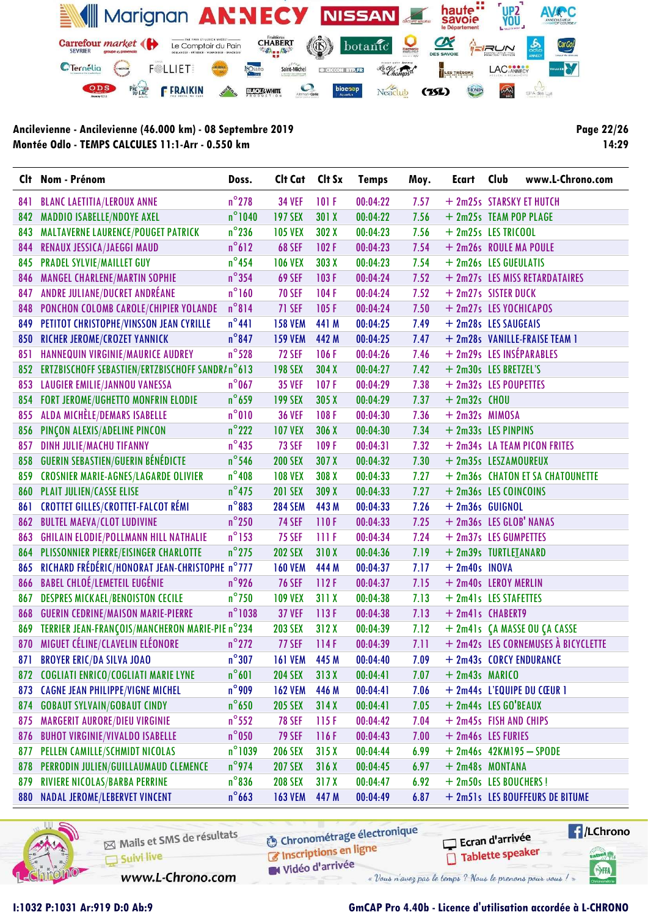

Page 22/26 14:29

|     | Clt Nom - Prénom                                    | Doss.            | Clt Cat        | Clt Sx | <b>Temps</b> | Moy. | <b>Ecart</b>             | Club | www.L-Chrono.com                    |
|-----|-----------------------------------------------------|------------------|----------------|--------|--------------|------|--------------------------|------|-------------------------------------|
| 841 | <b>BLANC LAETITIA/LEROUX ANNE</b>                   | $n^{\circ}$ 278  | <b>34 VEF</b>  | 101F   | 00:04:22     | 7.57 | + 2m25s STARSKY ET HUTCH |      |                                     |
| 842 | <b>MADDIO ISABELLE/NDOYE AXEL</b>                   | $n^{\circ}$ 1040 | <b>197 SEX</b> | 301X   | 00:04:22     | 7.56 | + 2m25s TEAM POP PLAGE   |      |                                     |
| 843 | MALTAVERNE LAURENCE/POUGET PATRICK                  | $n^{\circ}$ 236  | <b>105 VEX</b> | 302 X  | 00:04:23     | 7.56 | + 2m25s LES TRICOOL      |      |                                     |
| 844 | RENAUX JESSICA/JAEGGI MAUD                          | $n^{\circ}612$   | <b>68 SEF</b>  | 102F   | 00:04:23     | 7.54 | + 2m26s ROULE MA POULE   |      |                                     |
| 845 | <b>PRADEL SYLVIE/MAILLET GUY</b>                    | $n^{\circ}$ 454  | <b>106 VEX</b> | 303 X  | 00:04:23     | 7.54 | + 2m26s LES GUEULATIS    |      |                                     |
| 846 | <b>MANGEL CHARLENE/MARTIN SOPHIE</b>                | $n^{\circ}$ 354  | <b>69 SEF</b>  | 103F   | 00:04:24     | 7.52 |                          |      | + 2m27s LES MISS RETARDATAIRES      |
| 847 | ANDRE JULIANE/DUCRET ANDRÉANE                       | $n^{\circ}$ 160  | <b>70 SEF</b>  | 104F   | 00:04:24     | 7.52 | + 2m27s SISTER DUCK      |      |                                     |
| 848 | PONCHON COLOMB CAROLE/CHIPIER YOLANDE               | $n^{\circ}814$   | <b>71 SEF</b>  | 105F   | 00:04:24     | 7.50 | + 2m27s LES YOCHICAPOS   |      |                                     |
| 849 | PETITOT CHRISTOPHE/VINSSON JEAN CYRILLE             | $n^{\circ}441$   | <b>158 VEM</b> | 441 M  | 00:04:25     | 7.49 | + 2m28s LES SAUGEAIS     |      |                                     |
| 850 | RICHER JEROME/CROZET YANNICK                        | $n^{\circ}$ 847  | <b>159 VEM</b> | 442 M  | 00:04:25     | 7.47 |                          |      | + 2m28s VANILLE-FRAISE TEAM 1       |
| 851 | HANNEQUIN VIRGINIE/MAURICE AUDREY                   | $n^{\circ}$ 528  | <b>72 SEF</b>  | 106F   | 00:04:26     | 7.46 | + 2m29s LES INSÉPARABLES |      |                                     |
|     | 852 ERTZBISCHOFF SEBASTIEN/ERTZBISCHOFF SANDR/n°613 |                  | <b>198 SEX</b> | 304 X  | 00:04:27     | 7.42 | + 2m30s LES BRETZEL'S    |      |                                     |
|     | 853 LAUGIER EMILIE/JANNOU VANESSA                   | $n^{\circ}$ 067  | <b>35 VEF</b>  | 107F   | 00:04:29     | 7.38 | + 2m32s LES POUPETTES    |      |                                     |
| 854 | <b>FORT JEROME/UGHETTO MONFRIN ELODIE</b>           | $n^{\circ}$ 659  | <b>199 SEX</b> | 305X   | 00:04:29     | 7.37 | $+ 2m32s$ CHOU           |      |                                     |
| 855 | ALDA MICHÈLE/DEMARS ISABELLE                        | $n^{\circ}010$   | <b>36 VEF</b>  | 108F   | 00:04:30     | 7.36 | + 2m32s MIMOSA           |      |                                     |
| 856 | PINÇON ALEXIS/ADELINE PINCON                        | $n^{\circ}$ 222  | <b>107 VEX</b> | 306 X  | 00:04:30     | 7.34 | + 2m33s LES PINPINS      |      |                                     |
| 857 | <b>DINH JULIE/MACHU TIFANNY</b>                     | $n^{\circ}$ 435  | <b>73 SEF</b>  | 109F   | 00:04:31     | 7.32 |                          |      | + 2m34s LA TEAM PICON FRITES        |
| 858 | <b>GUERIN SEBASTIEN/GUERIN BÉNÉDICTE</b>            | $n^{\circ}$ 546  | <b>200 SEX</b> | 307 X  | 00:04:32     | 7.30 | + 2m35s LESZAMOUREUX     |      |                                     |
| 859 | <b>CROSNIER MARIE-AGNES/LAGARDE OLIVIER</b>         | $n^{\circ}408$   | <b>108 VEX</b> | 308 X  | 00:04:33     | 7.27 |                          |      | + 2m36s CHATON ET SA CHATOUNETTE    |
| 860 | <b>PLAIT JULIEN/CASSE ELISE</b>                     | $n^{\circ}$ 475  | <b>201 SEX</b> | 309 X  | 00:04:33     | 7.27 | + 2m36s LES COINCOINS    |      |                                     |
| 861 | <b>CROTTET GILLES/CROTTET-FALCOT RÉMI</b>           | $n^{\circ}883$   | <b>284 SEM</b> | 443 M  | 00:04:33     | 7.26 | $+ 2m36s$ GUIGNOL        |      |                                     |
| 862 | <b>BULTEL MAEVA/CLOT LUDIVINE</b>                   | $n^{\circ}$ 250  | <b>74 SEF</b>  | 110F   | 00:04:33     | 7.25 | + 2m36s LES GLOB' NANAS  |      |                                     |
| 863 | <b>GHILAIN ELODIE/POLLMANN HILL NATHALIE</b>        | $n^{\circ}$ 153  | <b>75 SEF</b>  | IIIF   | 00:04:34     | 7.24 | + 2m37s LES GUMPETTES    |      |                                     |
| 864 | <b>PLISSONNIER PIERRE/EISINGER CHARLOTTE</b>        | $n^{\circ}$ 275  | <b>202 SEX</b> | 310X   | 00:04:36     | 7.19 | + 2m39s TURTLEIANARD     |      |                                     |
| 865 | RICHARD FRÉDÉRIC/HONORAT JEAN-CHRISTOPHE n°777      |                  | <b>160 VEM</b> | 444 M  | 00:04:37     | 7.17 | $+ 2m40s$ INOVA          |      |                                     |
| 866 | <b>BABEL CHLOÉ/LEMETEIL EUGÉNIE</b>                 | $n^{\circ}$ 926  | <b>76 SEF</b>  | 112F   | 00:04:37     | 7.15 | + 2m40s LEROY MERLIN     |      |                                     |
| 867 | <b>DESPRES MICKAEL/BENOISTON CECILE</b>             | $n^{\circ}$ 750  | <b>109 VEX</b> | 311X   | 00:04:38     | 7.13 | + 2m41s LES STAFETTES    |      |                                     |
| 868 | <b>GUERIN CEDRINE/MAISON MARIE-PIERRE</b>           | $n^{\circ}$ 1038 | <b>37 VEF</b>  | 113F   | 00:04:38     | 7.13 | + 2m41s CHABERT9         |      |                                     |
| 869 | TERRIER JEAN-FRANÇOIS/MANCHERON MARIE-PIE n°234     |                  | <b>203 SEX</b> | 312X   | 00:04:39     | 7.12 |                          |      | + 2m41s ÇA MASSE OU ÇA CASSE        |
|     | 870 MIGUET CÉLINE/CLAVELIN ELÉONORE                 | $n^{\circ}$ 272  | <b>77 SEF</b>  | 114F   | 00:04:39     | 7.11 |                          |      | + 2m42s LES CORNEMUSES À BICYCLETTE |
|     | 871 BROYER ERIC/DA SILVA JOAO                       | $n^{\circ}307$   | <b>161 VEM</b> | 445 M  | 00:04:40     | 7.09 |                          |      | + 2m43s CORCY ENDURANCE             |
|     | 872 COGLIATI ENRICO/COGLIATI MARIE LYNE             | $n^{\circ}601$   | <b>204 SEX</b> | 313X   | 00:04:41     | 7.07 | $+ 2m43s$ MARICO         |      |                                     |
|     | 873 CAGNE JEAN PHILIPPE/VIGNE MICHEL                | $n^{\circ}$ 909  | <b>162 VEM</b> | 446 M  | 00:04:41     | 7.06 |                          |      | + 2m44s L'EQUIPE DU CŒUR 1          |
| 874 | <b>GOBAUT SYLVAIN/GOBAUT CINDY</b>                  | $n^{\circ}$ 650  | <b>205 SEX</b> | 314X   | 00:04:41     | 7.05 | + 2m44s LES GO'BEAUX     |      |                                     |
| 875 | <b>MARGERIT AURORE/DIEU VIRGINIE</b>                | $n^{\circ}$ 552  | <b>78 SEF</b>  | 115F   | 00:04:42     | 7.04 | + 2m45s FISH AND CHIPS   |      |                                     |
| 876 | <b>BUHOT VIRGINIE/VIVALDO ISABELLE</b>              | $n^{\circ}$ 050  | <b>79 SEF</b>  | 116F   | 00:04:43     | 7.00 | + 2m46s LES FURIES       |      |                                     |
| 877 | PELLEN CAMILLE/SCHMIDT NICOLAS                      | $n^{\circ}$ 1039 | <b>206 SEX</b> | 315X   | 00:04:44     | 6.99 |                          |      | $+ 2m46s$ 42KM195 - SPODE           |
| 878 | PERRODIN JULIEN/GUILLAUMAUD CLEMENCE                | $n^{\circ}$ 974  | <b>207 SEX</b> | 316X   | 00:04:45     | 6.97 | + 2m48s MONTANA          |      |                                     |
| 879 | RIVIERE NICOLAS/BARBA PERRINE                       | $n^{\circ}836$   | <b>208 SEX</b> | 317X   | 00:04:47     | 6.92 | + 2m50s LES BOUCHERS!    |      |                                     |
| 880 | NADAL JEROME/LEBERVET VINCENT                       | $n^{\circ}$ 663  | <b>163 VEM</b> | 447 M  | 00:04:49     | 6.87 |                          |      | + 2m51s LES BOUFFEURS DE BITUME     |



Mails et SMS de résultats Suivi live

www.L-Chrono.com

**6** Chronométrage électronique C Inscriptions en ligne W Vidéo d'arrivée

Ecran d'arrivée Tablette speaker

« Vous n'avez pas le temps ? Nous le prenons pour vous !

 $\sqrt{1}$ /LChrono tabel<sub>()</sub>

SHA

### I:1032 P:1031 Ar:919 D:0 Ab:9 GmCAP Pro 4.40b - Licence d'utilisation accordée à L-CHRONO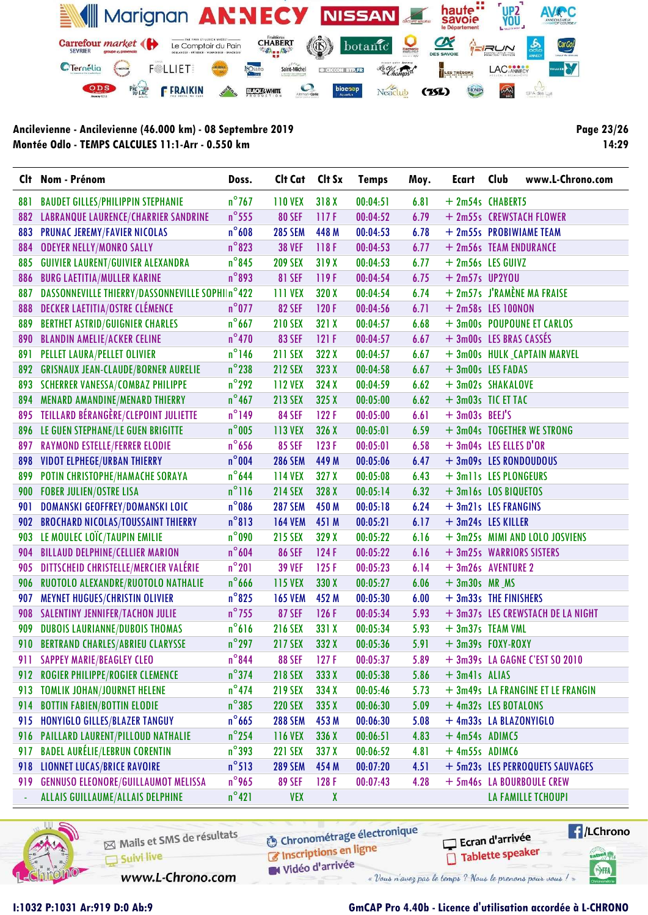

Page 23/26 14:29

|     | Clt Nom - Prénom                                | Doss.           | Cit Cat Cit Sx |              | <b>Temps</b> | Moy. | Ecart Club              | www.L-Chrono.com                  |
|-----|-------------------------------------------------|-----------------|----------------|--------------|--------------|------|-------------------------|-----------------------------------|
| 881 | <b>BAUDET GILLES/PHILIPPIN STEPHANIE</b>        | $n^{\circ}$ 767 | <b>110 VEX</b> | 318X         | 00:04:51     | 6.81 | + 2m54s CHABERT5        |                                   |
| 882 | <b>LABRANQUE LAURENCE/CHARRIER SANDRINE</b>     | $n^{\circ}$ 555 | <b>80 SEF</b>  | 117F         | 00:04:52     | 6.79 |                         | + 2m55s CREWSTACH FLOWER          |
| 883 | <b>PRUNAC JEREMY/FAVIER NICOLAS</b>             | $n^{\circ}608$  | <b>285 SEM</b> | 448 M        | 00:04:53     | 6.78 |                         | + 2m55s PROBIWIAME TEAM           |
| 884 | <b>ODEYER NELLY/MONRO SALLY</b>                 | $n^{\circ}$ 823 | <b>38 VEF</b>  | 118F         | 00:04:53     | 6.77 | + 2m56s TEAM ENDURANCE  |                                   |
| 885 | <b>GUIVIER LAURENT/GUIVIER ALEXANDRA</b>        | $n^{\circ}$ 845 | <b>209 SEX</b> | 319X         | 00:04:53     | 6.77 | + 2m56s LES GUIVZ       |                                   |
| 886 | <b>BURG LAETITIA/MULLER KARINE</b>              | $n^{\circ}$ 893 | <b>81 SEF</b>  | 119F         | 00:04:54     | 6.75 | $+ 2m57s$ UP2YOU        |                                   |
| 887 | DASSONNEVILLE THIERRY/DASSONNEVILLE SOPHIIn°422 |                 | <b>111 VEX</b> | 320 X        | 00:04:54     | 6.74 |                         | + 2m57s J'RAMÈNE MA FRAISE        |
| 888 | DECKER LAETITIA/OSTRE CLÉMENCE                  | $n^{\circ}$ 077 | <b>82 SEF</b>  | 120F         | 00:04:56     | 6.71 | + 2m58s LES 100NON      |                                   |
| 889 | <b>BERTHET ASTRID/GUIGNIER CHARLES</b>          | $n^{\circ}$ 667 | <b>210 SEX</b> | 321 X        | 00:04:57     | 6.68 |                         | + 3m00s POUPOUNE ET CARLOS        |
| 890 | <b>BLANDIN AMELIE/ACKER CELINE</b>              | $n^{\circ}470$  | <b>83 SEF</b>  | 121F         | 00:04:57     | 6.67 | + 3m00s LES BRAS CASSÉS |                                   |
| 891 | PELLET LAURA/PELLET OLIVIER                     | $n^{\circ}$ 146 | <b>211 SEX</b> | 322 X        | 00:04:57     | 6.67 |                         | + 3m00s HULK_CAPTAIN MARVEL       |
| 892 | <b>GRISNAUX JEAN-CLAUDE/BORNER AURELIE</b>      | $n^{\circ}$ 238 | <b>212 SEX</b> | 323 X        | 00:04:58     | 6.67 | + 3m00s LES FADAS       |                                   |
| 893 | <b>SCHERRER VANESSA/COMBAZ PHILIPPE</b>         | $n^{\circ}$ 292 | <b>112 VEX</b> | 324 X        | 00:04:59     | 6.62 | + 3m02s SHAKALOVE       |                                   |
|     | 894 MENARD AMANDINE/MENARD THIERRY              | $n^{\circ}$ 467 | <b>213 SEX</b> | 325X         | 00:05:00     | 6.62 | $+3m03s$ TIC ET TAC     |                                   |
|     | 895 TEILLARD BÉRANGÈRE/CLEPOINT JULIETTE        | $n^{\circ}$ 149 | <b>84 SEF</b>  | 122F         | 00:05:00     | 6.61 | $+3m03s$ BEEJ'S         |                                   |
|     | 896 LE GUEN STEPHANE/LE GUEN BRIGITTE           | $n^{\circ}$ 005 | <b>113 VEX</b> | 326 X        | 00:05:01     | 6.59 |                         | + 3m04s TOGETHER WE STRONG        |
| 897 | <b>RAYMOND ESTELLE/FERRER ELODIE</b>            | $n^{\circ}$ 656 | <b>85 SEF</b>  | 123F         | 00:05:01     | 6.58 | + 3m04s LES ELLES D'OR  |                                   |
| 898 | <b>VIDOT ELPHEGE/URBAN THIERRY</b>              | $n^{\circ}004$  | <b>286 SEM</b> | 449 M        | 00:05:06     | 6.47 | + 3m09s LES RONDOUDOUS  |                                   |
| 899 | POTIN CHRISTOPHE/HAMACHE SORAYA                 | $n^{\circ}$ 644 | <b>114 VEX</b> | 327 X        | 00:05:08     | 6.43 | + 3mlls LES PLONGEURS   |                                   |
| 900 | <b>FOBER JULIEN/OSTRE LISA</b>                  | $n^{\circ}116$  | <b>214 SEX</b> | 328 X        | 00:05:14     | 6.32 | + 3m16s LOS BIQUETOS    |                                   |
| 901 | DOMANSKI GEOFFREY/DOMANSKI LOIC                 | $n^{\circ}086$  | <b>287 SEM</b> | 450 M        | 00:05:18     | 6.24 | + 3m21s LES FRANGINS    |                                   |
| 902 | <b>BROCHARD NICOLAS/TOUSSAINT THIERRY</b>       | $n^{\circ}813$  | <b>164 VEM</b> | 451 M        | 00:05:21     | 6.17 | + 3m24s LES KILLER      |                                   |
| 903 | LE MOULEC LOÏC/TAUPIN EMILIE                    | $n^{\circ}$ 090 | <b>215 SEX</b> | 329 X        | 00:05:22     | 6.16 |                         | + 3m25s MIMI AND LOLO JOSVIENS    |
| 904 | <b>BILLAUD DELPHINE/CELLIER MARION</b>          | $n^{\circ}604$  | <b>86 SEF</b>  | 124F         | 00:05:22     | 6.16 |                         | + 3m25s WARRIORS SISTERS          |
| 905 | DITTSCHEID CHRISTELLE/MERCIER VALÉRIE           | $n^{\circ}201$  | <b>39 VEF</b>  | 125F         | 00:05:23     | 6.14 | + 3m26s AVENTURE 2      |                                   |
| 906 | RUOTOLO ALEXANDRE/RUOTOLO NATHALIE              | $n^{\circ}$ 666 | <b>115 VEX</b> | 330 X        | 00:05:27     | 6.06 | $+3m30s$ MR $MS$        |                                   |
| 907 | <b>MEYNET HUGUES/CHRISTIN OLIVIER</b>           | $n^{\circ}$ 825 | <b>165 VEM</b> | 452 M        | 00:05:30     | 6.00 | + 3m33s THE FINISHERS   |                                   |
| 908 | <b>SALENTINY JENNIFER/TACHON JULIE</b>          | $n^{\circ}$ 755 | <b>87 SEF</b>  | 126F         | 00:05:34     | 5.93 |                         | + 3m37s LES CREWSTACH DE LA NIGHT |
| 909 | <b>DUBOIS LAURIANNE/DUBOIS THOMAS</b>           | $n^{\circ}616$  | <b>216 SEX</b> | 331 X        | 00:05:34     | 5.93 | + 3m37s TEAM VML        |                                   |
| 910 | <b>BERTRAND CHARLES/ABRIEU CLARYSSE</b>         | $n^{\circ}$ 297 | <b>217 SEX</b> | 332 X        | 00:05:36     | 5.91 | $+3m39s$ FOXY-ROXY      |                                   |
|     | 911 SAPPEY MARIE/BEAGLEY CLEO                   | $n^{\circ}$ 844 | <b>88 SEF</b>  | 127F         | 00:05:37     | 5.89 |                         | + 3m39s LA GAGNE C'EST SO 2010    |
| 912 | ROGIER PHILIPPE/ROGIER CLEMENCE                 | $n^{\circ}$ 374 | <b>218 SEX</b> | 333 X        | 00:05:38     | 5.86 | $+3m41s$ ALIAS          |                                   |
| 913 | <b>TOMLIK JOHAN/JOURNET HELENE</b>              | $n^{\circ}474$  | <b>219 SEX</b> | 334 X        | 00:05:46     | 5.73 |                         | + 3m49s LA FRANGINE ET LE FRANGIN |
| 914 | <b>BOTTIN FABIEN/BOTTIN ELODIE</b>              | $n^{\circ}385$  | <b>220 SEX</b> | 335 X        | 00:06:30     | 5.09 | + 4m32s LES BOTALONS    |                                   |
| 915 | HONYIGLO GILLES/BLAZER TANGUY                   | $n^{\circ}$ 665 | <b>288 SEM</b> | 453 M        | 00:06:30     | 5.08 | + 4m33s LA BLAZONYIGLO  |                                   |
| 916 | PAILLARD LAURENT/PILLOUD NATHALIE               | $n^{\circ}$ 254 | <b>116 VEX</b> | 336 X        | 00:06:51     | 4.83 | $+4m54s$ ADIMC5         |                                   |
| 917 | <b>BADEL AURÉLIE/LEBRUN CORENTIN</b>            | $n^{\circ}$ 393 | <b>221 SEX</b> | 337 X        | 00:06:52     | 4.81 | $+4m55s$ ADIMC6         |                                   |
| 918 | <b>LIONNET LUCAS/BRICE RAVOIRE</b>              | $n^{\circ}513$  | <b>289 SEM</b> | 454 M        | 00:07:20     | 4.51 |                         | + 5m23s LES PERROQUETS SAUVAGES   |
| 919 | <b>GENNUSO ELEONORE/GUILLAUMOT MELISSA</b>      | $n^{\circ}$ 965 | <b>89 SEF</b>  | 128F         | 00:07:43     | 4.28 |                         | + 5m46s LA BOURBOULE CREW         |
| ÷   | <b>ALLAIS GUILLAUME/ALLAIS DELPHINE</b>         | $n^{\circ}421$  | <b>VEX</b>     | $\mathbf{X}$ |              |      |                         | LA FAMILLE TCHOUPI                |



Mails et SMS de résultats Suivi live

**6** Chronométrage électronique

www.L-Chrono.com

C Inscriptions en ligne W Vidéo d'arrivée

« Vous n'avez pas le temps ? Nous le prenons pour vous !

Ecran d'arrivée

Tablette speaker

 $\sqrt{1}$ /LChrono

tabel<sub>()</sub>

SHA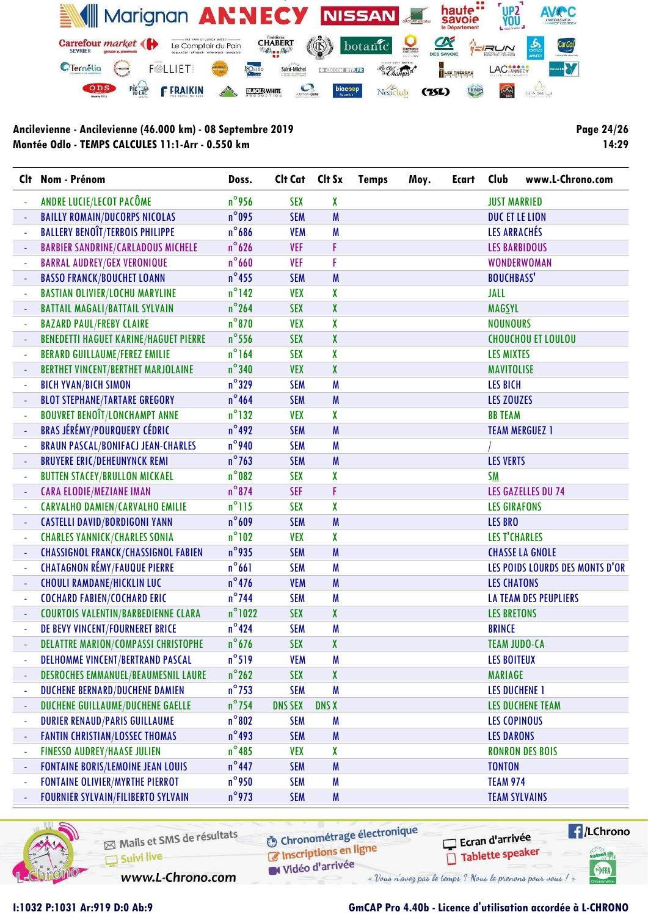

Page 24/26 14:29

|                          | Clt Nom - Prénom                             | Doss.            | Clt Cat Clt Sx |              | <b>Temps</b> | Moy. | <b>Ecart</b> | Club                 | www.L-Chrono.com                |
|--------------------------|----------------------------------------------|------------------|----------------|--------------|--------------|------|--------------|----------------------|---------------------------------|
|                          | ANDRE LUCIE/LECOT PACÔME                     | $n^{\circ}$ 956  | <b>SEX</b>     | X            |              |      |              | <b>JUST MARRIED</b>  |                                 |
|                          | <b>BAILLY ROMAIN/DUCORPS NICOLAS</b>         | $n^{\circ}$ 095  | <b>SEM</b>     | M            |              |      |              | DUC ET LE LION       |                                 |
|                          | <b>BALLERY BENOÎT/TERBOIS PHILIPPE</b>       | $n^{\circ}$ 686  | <b>VEM</b>     | M            |              |      |              | LES ARRACHÉS         |                                 |
|                          | <b>BARBIER SANDRINE/CARLADOUS MICHELE</b>    | $n^{\circ}$ 626  | <b>VEF</b>     | F            |              |      |              |                      | <b>LES BARBIDOUS</b>            |
|                          | <b>BARRAL AUDREY/GEX VERONIQUE</b>           | $n^{\circ}$ 660  | <b>VEF</b>     | F            |              |      |              |                      | <b>WONDERWOMAN</b>              |
|                          | <b>BASSO FRANCK/BOUCHET LOANN</b>            | $n^{\circ}$ 455  | <b>SEM</b>     | M            |              |      |              | <b>BOUCHBASS'</b>    |                                 |
|                          | <b>BASTIAN OLIVIER/LOCHU MARYLINE</b>        | $n^{\circ}$ 142  | <b>VEX</b>     | X            |              |      |              | JALL                 |                                 |
|                          | <b>BATTAIL MAGALI/BATTAIL SYLVAIN</b>        | $n^{\circ}$ 264  | <b>SEX</b>     | X            |              |      |              | <b>MAGSYL</b>        |                                 |
|                          | <b>BAZARD PAUL/FREBY CLAIRE</b>              | $n^{\circ}$ 870  | <b>VEX</b>     | X            |              |      |              | <b>NOUNOURS</b>      |                                 |
|                          | <b>BENEDETTI HAGUET KARINE/HAGUET PIERRE</b> | $n^{\circ}$ 556  | <b>SEX</b>     | X            |              |      |              |                      | <b>CHOUCHOU ET LOULOU</b>       |
|                          | <b>BERARD GUILLAUME/FEREZ EMILIE</b>         | $n^{\circ}$ 164  | <b>SEX</b>     | X            |              |      |              | <b>LES MIXTES</b>    |                                 |
|                          | <b>BERTHET VINCENT/BERTHET MARJOLAINE</b>    | $n^{\circ}$ 340  | <b>VEX</b>     | X            |              |      |              | <b>MAVITOLISE</b>    |                                 |
|                          | <b>BICH YVAN/BICH SIMON</b>                  | $n^{\circ}$ 329  | <b>SEM</b>     | M            |              |      |              | <b>LES BICH</b>      |                                 |
|                          | <b>BLOT STEPHANE/TARTARE GREGORY</b>         | $n^{\circ}$ 464  | <b>SEM</b>     | M            |              |      |              | <b>LES ZOUZES</b>    |                                 |
|                          | <b>BOUVRET BENOÎT/LONCHAMPT ANNE</b>         | $n^{\circ}$ 132  | <b>VEX</b>     | X            |              |      |              | <b>BB TEAM</b>       |                                 |
|                          | <b>BRAS JÉRÉMY/POURQUERY CÉDRIC</b>          | $n^{\circ}$ 492  | <b>SEM</b>     | M            |              |      |              |                      | <b>TEAM MERGUEZ 1</b>           |
|                          | <b>BRAUN PASCAL/BONIFACJ JEAN-CHARLES</b>    | $n^{\circ}$ 940  | <b>SEM</b>     | M            |              |      |              |                      |                                 |
|                          | <b>BRUYERE ERIC/DEHEUNYNCK REMI</b>          | $n^{\circ}$ 763  | <b>SEM</b>     | M            |              |      |              | <b>LES VERTS</b>     |                                 |
|                          | <b>BUTTEN STACEY/BRULLON MICKAEL</b>         | $n^{\circ}$ 082  | <b>SEX</b>     | X            |              |      |              | <b>SM</b>            |                                 |
|                          | <b>CARA ELODIE/MEZIANE IMAN</b>              | $n^{\circ}$ 874  | <b>SEF</b>     | F            |              |      |              |                      | <b>LES GAZELLES DU 74</b>       |
|                          | <b>CARVALHO DAMIEN/CARVALHO EMILIE</b>       | $n^{\circ}$ 115  | <b>SEX</b>     | X            |              |      |              | <b>LES GIRAFONS</b>  |                                 |
|                          | <b>CASTELLI DAVID/BORDIGONI YANN</b>         | $n^{\circ}609$   | <b>SEM</b>     | M            |              |      |              | <b>LES BRO</b>       |                                 |
|                          | <b>CHARLES YANNICK/CHARLES SONIA</b>         | $n^{\circ}102$   | <b>VEX</b>     | X            |              |      |              | <b>LES T'CHARLES</b> |                                 |
|                          | <b>CHASSIGNOL FRANCK/CHASSIGNOL FABIEN</b>   | $n^{\circ}$ 935  | <b>SEM</b>     | M            |              |      |              |                      | <b>CHASSE LA GNOLE</b>          |
|                          | <b>CHATAGNON RÉMY/FAUQUE PIERRE</b>          | $n^{\circ}661$   | <b>SEM</b>     | M            |              |      |              |                      | LES POIDS LOURDS DES MONTS D'OR |
|                          | <b>CHOULI RAMDANE/HICKLIN LUC</b>            | $n^{\circ}476$   | <b>VEM</b>     | M            |              |      |              | <b>LES CHATONS</b>   |                                 |
|                          | <b>COCHARD FABIEN/COCHARD ERIC</b>           | $n^{\circ}$ 744  | <b>SEM</b>     | M            |              |      |              |                      | LA TEAM DES PEUPLIERS           |
|                          | <b>COURTOIS VALENTIN/BARBEDIENNE CLARA</b>   | $n^{\circ}$ 1022 | <b>SEX</b>     | X            |              |      |              | <b>LES BRETONS</b>   |                                 |
|                          | DE BEVY VINCENT/FOURNERET BRICE              | $n^{\circ}424$   | <b>SEM</b>     | M            |              |      |              | <b>BRINCE</b>        |                                 |
|                          | <b>DELATTRE MARION/COMPASSI CHRISTOPHE</b>   | $n^{\circ}$ 676  | <b>SEX</b>     | X            |              |      |              | <b>TEAM JUDO-CA</b>  |                                 |
|                          | DELHOMME VINCENT/BERTRAND PASCAL             | $n^{\circ}519$   | <b>VEM</b>     | M            |              |      |              | <b>LES BOITEUX</b>   |                                 |
|                          | <b>DESROCHES EMMANUEL/BEAUMESNIL LAURE</b>   | $n^{\circ}$ 262  | <b>SEX</b>     | X            |              |      |              | <b>MARIAGE</b>       |                                 |
|                          | DUCHENE BERNARD/DUCHENE DAMIEN               | $n^{\circ}$ 753  | <b>SEM</b>     | M            |              |      |              | <b>LES DUCHENE 1</b> |                                 |
| $\overline{\phantom{a}}$ | DUCHENE GUILLAUME/DUCHENE GAELLE             | $n^{\circ}$ 754  | <b>DNS SEX</b> | <b>DNS X</b> |              |      |              |                      | <b>LES DUCHENE TEAM</b>         |
|                          | <b>DURIER RENAUD/PARIS GUILLAUME</b>         | $n^{\circ}802$   | <b>SEM</b>     | M            |              |      |              | <b>LES COPINOUS</b>  |                                 |
| ÷                        | <b>FANTIN CHRISTIAN/LOSSEC THOMAS</b>        | $n^{\circ}$ 493  | <b>SEM</b>     | M            |              |      |              | <b>LES DARONS</b>    |                                 |
| ÷,                       | <b>FINESSO AUDREY/HAASE JULIEN</b>           | $n^{\circ}$ 485  | <b>VEX</b>     | X            |              |      |              |                      | <b>RONRON DES BOIS</b>          |
|                          | <b>FONTAINE BORIS/LEMOINE JEAN LOUIS</b>     | $n^{\circ}$ 447  | <b>SEM</b>     | M            |              |      |              | <b>TONTON</b>        |                                 |
|                          | <b>FONTAINE OLIVIER/MYRTHE PIERROT</b>       | $n^{\circ}$ 950  | <b>SEM</b>     | M            |              |      |              | <b>TEAM 974</b>      |                                 |
|                          | <b>FOURNIER SYLVAIN/FILIBERTO SYLVAIN</b>    | $n^{\circ}$ 973  | <b>SEM</b>     | M            |              |      |              |                      | <b>TEAM SYLVAINS</b>            |



Mails et SMS de résultats Suivi live

**6** Chronométrage électronique

www.L-Chrono.com

C Inscriptions en ligne W Vidéo d'arrivée

Ecran d'arrivée Tablette speaker

 $\sqrt{1}$ /LChrono tabel<sub>()</sub>

SHA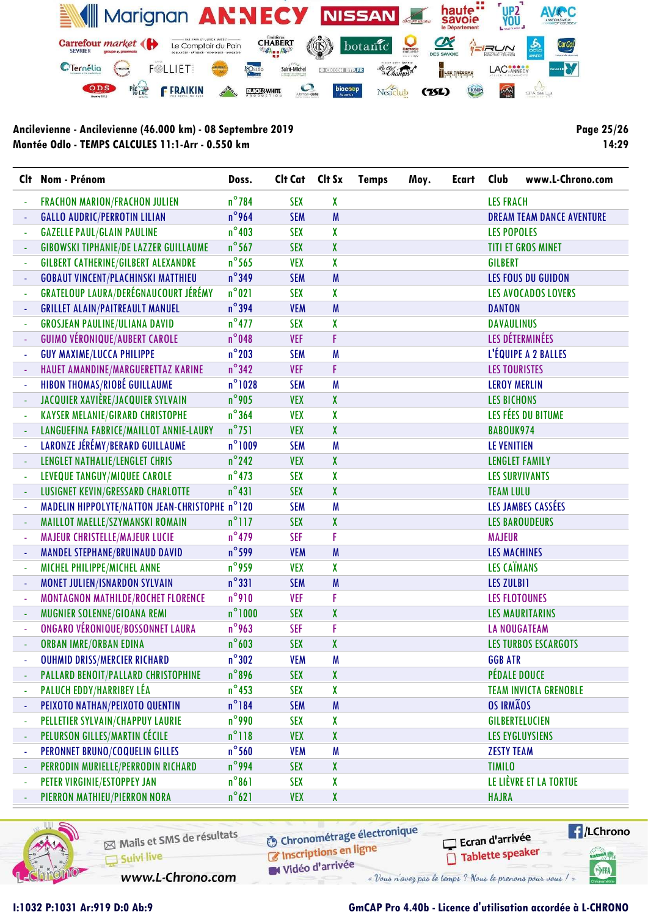

Page 25/26 14:29

|   | Clt Nom - Prénom                               | Doss.            | Clt Cat Clt Sx |   | <b>Temps</b> | Moy. | <b>Ecart</b> | Club                 | www.L-Chrono.com                 |
|---|------------------------------------------------|------------------|----------------|---|--------------|------|--------------|----------------------|----------------------------------|
|   | <b>FRACHON MARION/FRACHON JULIEN</b>           | $n^{\circ}$ 784  | <b>SEX</b>     | X |              |      |              | <b>LES FRACH</b>     |                                  |
|   | <b>GALLO AUDRIC/PERROTIN LILIAN</b>            | $n^{\circ}$ 964  | <b>SEM</b>     | M |              |      |              |                      | <b>DREAM TEAM DANCE AVENTURE</b> |
|   | <b>GAZELLE PAUL/GLAIN PAULINE</b>              | $n^{\circ}$ 403  | <b>SEX</b>     | X |              |      |              | <b>LES POPOLES</b>   |                                  |
|   | <b>GIBOWSKI TIPHANIE/DE LAZZER GUILLAUME</b>   | $n^{\circ}$ 567  | <b>SEX</b>     | X |              |      |              |                      | <b>TITI ET GROS MINET</b>        |
|   | <b>GILBERT CATHERINE/GILBERT ALEXANDRE</b>     | $n^{\circ}$ 565  | <b>VEX</b>     | X |              |      |              | <b>GILBERT</b>       |                                  |
|   | <b>GOBAUT VINCENT/PLACHINSKI MATTHIEU</b>      | $n^{\circ}$ 349  | <b>SEM</b>     | M |              |      |              |                      | <b>LES FOUS DU GUIDON</b>        |
|   | GRATELOUP LAURA/DERÉGNAUCOURT JÉRÉMY           | $n^{\circ}021$   | <b>SEX</b>     | X |              |      |              |                      | <b>LES AVOCADOS LOVERS</b>       |
|   | <b>GRILLET ALAIN/PAITREAULT MANUEL</b>         | $n^{\circ}$ 394  | <b>VEM</b>     | M |              |      |              | <b>DANTON</b>        |                                  |
|   | <b>GROSJEAN PAULINE/ULIANA DAVID</b>           | $n^{\circ}$ 477  | <b>SEX</b>     | X |              |      |              | <b>DAVAULINUS</b>    |                                  |
|   | <b>GUIMO VÉRONIQUE/AUBERT CAROLE</b>           | $n^{\circ}$ 048  | <b>VEF</b>     | F |              |      |              |                      | LES DÉTERMINÉES                  |
|   | <b>GUY MAXIME/LUCCA PHILIPPE</b>               | $n^{\circ}$ 203  | <b>SEM</b>     | M |              |      |              |                      | L'ÉQUIPE A 2 BALLES              |
|   | HAUET AMANDINE/MARGUERETTAZ KARINE             | $n^{\circ}$ 342  | <b>VEF</b>     | F |              |      |              | <b>LES TOURISTES</b> |                                  |
|   | <b>HIBON THOMAS/RIOBÉ GUILLAUME</b>            | $n^{\circ}$ 1028 | <b>SEM</b>     | M |              |      |              | <b>LEROY MERLIN</b>  |                                  |
|   | JACQUIER XAVIÈRE/JACQUIER SYLVAIN              | $n^{\circ}$ 905  | <b>VEX</b>     | X |              |      |              | <b>LES BICHONS</b>   |                                  |
|   | <b>KAYSER MELANIE/GIRARD CHRISTOPHE</b>        | $n^{\circ}364$   | <b>VEX</b>     | X |              |      |              |                      | LES FÉES DU BITUME               |
|   | LANGUEFINA FABRICE/MAILLOT ANNIE-LAURY         | $n^{\circ}751$   | <b>VEX</b>     | X |              |      |              | BABOUK974            |                                  |
|   | LARONZE JÉRÉMY/BERARD GUILLAUME                | $n^{\circ}$ 1009 | <b>SEM</b>     | M |              |      |              | <b>LE VENITIEN</b>   |                                  |
|   | LENGLET NATHALIE/LENGLET CHRIS                 | $n^{\circ}$ 242  | <b>VEX</b>     | X |              |      |              |                      | <b>LENGLET FAMILY</b>            |
|   | LEVEQUE TANGUY/MIQUEE CAROLE                   | $n^{\circ}473$   | <b>SEX</b>     | X |              |      |              |                      | <b>LES SURVIVANTS</b>            |
|   | LUSIGNET KEVIN/GRESSARD CHARLOTTE              | $n^{\circ}431$   | <b>SEX</b>     | X |              |      |              | <b>TEAM LULU</b>     |                                  |
|   | MADELIN HIPPOLYTE/NATTON JEAN-CHRISTOPHE n°120 |                  | <b>SEM</b>     | M |              |      |              |                      | LES JAMBES CASSÉES               |
|   | MAILLOT MAELLE/SZYMANSKI ROMAIN                | $n^{\circ}$ 117  | <b>SEX</b>     | X |              |      |              |                      | <b>LES BAROUDEURS</b>            |
|   | MAJEUR CHRISTELLE/MAJEUR LUCIE                 | $n^{\circ}479$   | <b>SEF</b>     | F |              |      |              | <b>MAJEUR</b>        |                                  |
|   | <b>MANDEL STEPHANE/BRUINAUD DAVID</b>          | $n^{\circ}$ 599  | <b>VEM</b>     | M |              |      |              | <b>LES MACHINES</b>  |                                  |
|   | MICHEL PHILIPPE/MICHEL ANNE                    | $n^{\circ}$ 959  | <b>VEX</b>     | X |              |      |              | <b>LES CAÏMANS</b>   |                                  |
|   | MONET JULIEN/ISNARDON SYLVAIN                  | $n^{\circ}331$   | <b>SEM</b>     | M |              |      |              | <b>LES ZULBI1</b>    |                                  |
|   | MONTAGNON MATHILDE/ROCHET FLORENCE             | $n^{\circ}$ 910  | <b>VEF</b>     | F |              |      |              |                      | <b>LES FLOTOUNES</b>             |
|   | MUGNIER SOLENNE/GIOANA REMI                    | $n^{\circ}1000$  | <b>SEX</b>     | X |              |      |              |                      | <b>LES MAURITARINS</b>           |
|   | ONGARO VÉRONIQUE/BOSSONNET LAURA               | $n^{\circ}$ 963  | <b>SEF</b>     | F |              |      |              |                      | <b>LA NOUGATEAM</b>              |
|   | <b>ORBAN IMRE/ORBAN EDINA</b>                  | $n^{\circ}603$   | <b>SEX</b>     | X |              |      |              |                      | <b>LES TURBOS ESCARGOTS</b>      |
|   | <b>OUHMID DRISS/MERCIER RICHARD</b>            | $n^{\circ}302$   | <b>VEM</b>     | M |              |      |              | <b>GGB ATR</b>       |                                  |
|   | PALLARD BENOIT/PALLARD CHRISTOPHINE            | $n^{\circ}$ 896  | <b>SEX</b>     | X |              |      |              |                      | <b>PÉDALE DOUCE</b>              |
|   | PALUCH EDDY/HARRIBEY LÉA                       | $n^{\circ}$ 453  | <b>SEX</b>     | X |              |      |              |                      | <b>TEAM INVICTA GRENOBLE</b>     |
|   | PEIXOTO NATHAN/PEIXOTO QUENTIN                 | $n^{\circ}184$   | <b>SEM</b>     | M |              |      |              | <b>OS IRMÃOS</b>     |                                  |
| ÷ | PELLETIER SYLVAIN/CHAPPUY LAURIE               | $n^{\circ}$ 990  | <b>SEX</b>     | X |              |      |              |                      | GILBERTELUCIEN                   |
|   | PELURSON GILLES/MARTIN CÉCILE                  | $n^{\circ}118$   | <b>VEX</b>     | χ |              |      |              |                      | <b>LES EYGLUYSIENS</b>           |
|   | PERONNET BRUNO/COQUELIN GILLES                 | $n^{\circ}$ 560  | <b>VEM</b>     | M |              |      |              | <b>ZESTY TEAM</b>    |                                  |
|   | PERRODIN MURIELLE/PERRODIN RICHARD             | $n^{\circ}$ 994  | <b>SEX</b>     | X |              |      |              | <b>TIMILO</b>        |                                  |
|   | PETER VIRGINIE/ESTOPPEY JAN                    | $n^{\circ}861$   | <b>SEX</b>     | X |              |      |              |                      | LE LIÈVRE ET LA TORTUE           |
|   | PIERRON MATHIEU/PIERRON NORA                   | $n^{\circ}621$   | <b>VEX</b>     | X |              |      |              | <b>HAJRA</b>         |                                  |



Mails et SMS de résultats Suivi live

**6** Chronométrage électronique

C Inscriptions en ligne

www.L-Chrono.com

W Vidéo d'arrivée « Vous n'avez pas le temps ? Nous le prenons pour vous !

 $\sqrt{1}$ /LChrono Ecran d'arrivée Tablette speaker tabel<sub>()</sub>

SHA

## I:1032 P:1031 Ar:919 D:0 Ab:9 GmCAP Pro 4.40b - Licence d'utilisation accordée à L-CHRONO